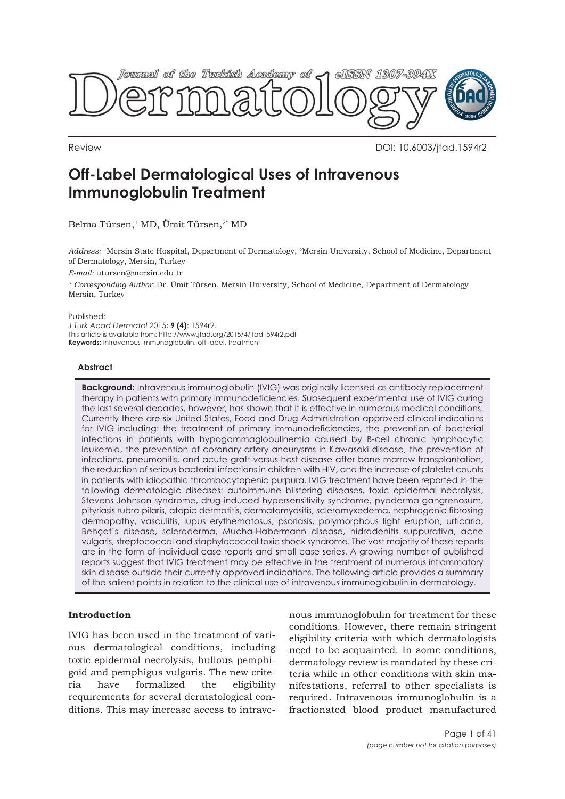

Review DOI: 10.6003/jtad.1594r2

# **Off-Label Dermatological Uses of Intravenous Immunoglobulin Treatment**

Belma Türsen,<sup>1</sup> MD, Ümit Türsen,<sup>2\*</sup> MD

*Address:* 1Mersin State Hospital, Department of Dermatology, 2Mersin University, School of Medicine, Department of Dermatology, Mersin, Turkey

*E-mail:* utursen@mersin.edu.tr

*\* Corresponding Author:* Dr. Ümit Türsen, Mersin University, School of Medicine, Department of Dermatology Mersin, Turkey

Published:

*J Turk Acad Dermatol* 2015; **9 (4)**: 1594r2. This article is available from: http://www.jtad.org/2015/4/jtad1594r2.pdf **Keywords:** Intravenous immunoglobulin, off-label, treatment

## **Abstract**

**Background:** Intravenous immunoglobulin (IVIG) was originally licensed as antibody replacement therapy in patients with primary immunodeficiencies. Subsequent experimental use of IVIG during the last several decades, however, has shown that it is effective in numerous medical conditions. Currently there are six United States, Food and Drug Administration approved clinical indications for IVIG including: the treatment of primary immunodeficiencies, the prevention of bacterial infections in patients with hypogammaglobulinemia caused by B-cell chronic lymphocytic leukemia, the prevention of coronary artery aneurysms in Kawasaki disease, the prevention of infections, pneumonitis, and acute graft-versus-host disease after bone marrow transplantation, the reduction of serious bacterial infections in children with HIV, and the increase of platelet counts in patients with idiopathic thrombocytopenic purpura. IVIG treatment have been reported in the following dermatologic diseases: autoimmune blistering diseases, toxic epidermal necrolysis, Stevens Johnson syndrome, drug-induced hypersensitivity syndrome, pyoderma gangrenosum, pityriasis rubra pilaris, atopic dermatitis, dermatomyositis, scleromyxedema, nephrogenic fibrosing dermopathy, vasculitis, lupus erythematosus, psoriasis, polymorphous light eruption, urticaria, Behçet's disease, scleroderma, Mucha-Habermann disease, hidradenitis suppurativa, acne vulgaris, streptococcal and staphylococcal toxic shock syndrome. The vast majority of these reports are in the form of individual case reports and small case series. A growing number of published reports suggest that IVIG treatment may be effective in the treatment of numerous inflammatory skin disease outside their currently approved indications. The following article provides a summary of the salient points in relation to the clinical use of intravenous immunoglobulin in dermatology.

## **Introduction**

IVIG has been used in the treatment of various dermatological conditions, including toxic epidermal necrolysis, bullous pemphigoid and pemphigus vulgaris. The new criteria have formalized the eligibility requirements for several dermatological conditions. This may increase access to intravenous immunoglobulin for treatment for these conditions. However, there remain stringent eligibility criteria with which dermatologists need to be acquainted. In some conditions, dermatology review is mandated by these criteria while in other conditions with skin manifestations, referral to other specialists is required. Intravenous immunoglobulin is a fractionated blood product manufactured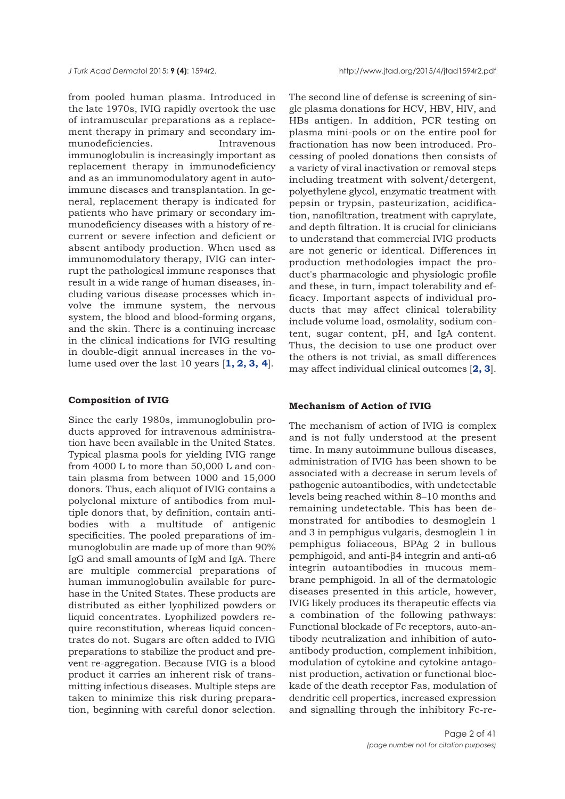*J Turk Acad Dermato*l 2015; **9 (4)**: 1594r2. http://www.jtad.org/2015/4/jtad1594r2.pdf

from pooled human plasma. Introduced in the late 1970s, IVIG rapidly overtook the use of intramuscular preparations as a replacement therapy in primary and secondary immunodeficiencies. Intravenous immunoglobulin is increasingly important as replacement therapy in immunodeficiency and as an immunomodulatory agent in autoimmune diseases and transplantation. In general, replacement therapy is indicated for patients who have primary or secondary immunodeficiency diseases with a history of recurrent or severe infection and deficient or absent antibody production. When used as immunomodulatory therapy, IVIG can interrupt the pathological immune responses that result in a wide range of human diseases, including various disease processes which involve the immune system, the nervous system, the blood and blood-forming organs, and the skin. There is a continuing increase in the clinical indications for IVIG resulting in double-digit annual increases in the volume used over the last 10 years [**[1, 2, 3,](#page-35-0) [4](#page-35-0)**].

#### **Composition of IVIG**

Since the early 1980s, immunoglobulin products approved for intravenous administration have been available in the United States. Typical plasma pools for yielding IVIG range from 4000 L to more than 50,000 L and contain plasma from between 1000 and 15,000 donors. Thus, each aliquot of IVIG contains a polyclonal mixture of antibodies from multiple donors that, by definition, contain antibodies with a multitude of antigenic specificities. The pooled preparations of immunoglobulin are made up of more than 90% IgG and small amounts of IgM and IgA. There are multiple commercial preparations of human immunoglobulin available for purchase in the United States. These products are distributed as either lyophilized powders or liquid concentrates. Lyophilized powders require reconstitution, whereas liquid concentrates do not. Sugars are often added to IVIG preparations to stabilize the product and prevent re-aggregation. Because IVIG is a blood product it carries an inherent risk of transmitting infectious diseases. Multiple steps are taken to minimize this risk during preparation, beginning with careful donor selection.

The second line of defense is screening of single plasma donations for HCV, HBV, HIV, and HBs antigen. In addition, PCR testing on plasma mini-pools or on the entire pool for fractionation has now been introduced. Processing of pooled donations then consists of a variety of viral inactivation or removal steps including treatment with solvent/detergent, polyethylene glycol, enzymatic treatment with pepsin or trypsin, pasteurization, acidification, nanofiltration, treatment with caprylate, and depth filtration. It is crucial for clinicians to understand that commercial IVIG products are not generic or identical. Differences in production methodologies impact the product's pharmacologic and physiologic profile and these, in turn, impact tolerability and efficacy. Important aspects of individual products that may affect clinical tolerability include volume load, osmolality, sodium content, sugar content, pH, and IgA content. Thus, the decision to use one product over the others is not trivial, as small differences may affect individual clinical outcomes [**[2, 3](#page-35-0)**].

### **Mechanism of Action of IVIG**

The mechanism of action of IVIG is complex and is not fully understood at the present time. In many autoimmune bullous diseases, administration of IVIG has been shown to be associated with a decrease in serum levels of pathogenic autoantibodies, with undetectable levels being reached within 8–10 months and remaining undetectable. This has been demonstrated for antibodies to desmoglein 1 and 3 in pemphigus vulgaris, desmoglein 1 in pemphigus foliaceous, BPAg 2 in bullous pemphigoid, and anti-β4 integrin and anti-α6 integrin autoantibodies in mucous membrane pemphigoid. In all of the dermatologic diseases presented in this article, however, IVIG likely produces its therapeutic effects via a combination of the following pathways: Functional blockade of Fc receptors, auto-antibody neutralization and inhibition of autoantibody production, complement inhibition, modulation of cytokine and cytokine antagonist production, activation or functional blockade of the death receptor Fas, modulation of dendritic cell properties, increased expression and signalling through the inhibitory Fc-re-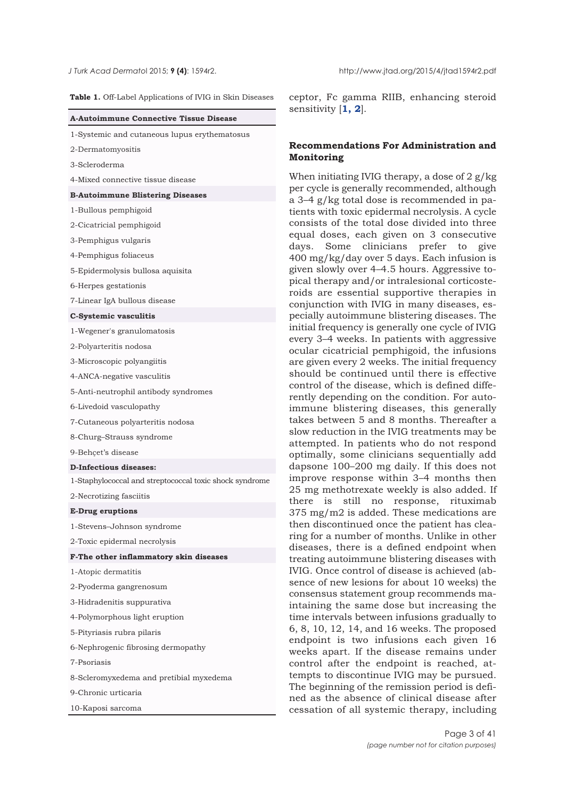**Table 1.** Off-Label Applications of IVIG in Skin Diseases

| A-Autoimmune Connective Tissue Disease |  |  |  |
|----------------------------------------|--|--|--|
|----------------------------------------|--|--|--|

| 1-Systemic and cutaneous lupus erythematosus |  |  |
|----------------------------------------------|--|--|
|----------------------------------------------|--|--|

2-Dermatomyositis

3-Scleroderma

4-Mixed connective tissue disease

**B-Autoimmune Blistering Diseases**

1-Bullous pemphigoid

2-Cicatricial pemphigoid

3-Pemphigus vulgaris

4-Pemphigus foliaceus

5-Epidermolysis bullosa aquisita

6-Herpes gestationis

7-Linear IgA bullous disease

**C-Systemic vasculitis**

1-Wegener's granulomatosis

2-Polyarteritis nodosa

3-Microscopic polyangiitis

4-ANCA-negative vasculitis

5-Anti-neutrophil antibody syndromes

6-Livedoid vasculopathy

7-Cutaneous polyarteritis nodosa

8-Churg–Strauss syndrome

9-Behçet's disease

**D-Infectious diseases:**

1-Staphylococcal and streptococcal toxic shock syndrome

2-Necrotizing fasciitis

**E-Drug eruptions**

1-Stevens–Johnson syndrome

2-Toxic epidermal necrolysis

**F-The other inflammatory skin diseases**

1-Atopic dermatitis

2-Pyoderma gangrenosum

3-Hidradenitis suppurativa

4-Polymorphous light eruption

5-Pityriasis rubra pilaris

6-Nephrogenic fibrosing dermopathy

7-Psoriasis

8-Scleromyxedema and pretibial myxedema

9-Chronic urticaria

10-Kaposi sarcoma

ceptor, Fc gamma RIIB, enhancing steroid sensitivity [**[1,](#page-35-0) [2](#page-35-0)**].

## **Recommendations For Administration and Monitoring**

When initiating IVIG therapy, a dose of 2 g/kg per cycle is generally recommended, although a 3–4 g/kg total dose is recommended in patients with toxic epidermal necrolysis. A cycle consists of the total dose divided into three equal doses, each given on 3 consecutive days. Some clinicians prefer to give 400 mg/kg/day over 5 days. Each infusion is given slowly over 4–4.5 hours. Aggressive topical therapy and/or intralesional corticosteroids are essential supportive therapies in conjunction with IVIG in many diseases, especially autoimmune blistering diseases. The initial frequency is generally one cycle of IVIG every 3–4 weeks. In patients with aggressive ocular cicatricial pemphigoid, the infusions are given every 2 weeks. The initial frequency should be continued until there is effective control of the disease, which is defined differently depending on the condition. For autoimmune blistering diseases, this generally takes between 5 and 8 months. Thereafter a slow reduction in the IVIG treatments may be attempted. In patients who do not respond optimally, some clinicians sequentially add dapsone 100–200 mg daily. If this does not improve response within 3–4 months then 25 mg methotrexate weekly is also added. If there is still no response, rituximab 375 mg/m2 is added. These medications are then discontinued once the patient has clearing for a number of months. Unlike in other diseases, there is a defined endpoint when treating autoimmune blistering diseases with IVIG. Once control of disease is achieved (absence of new lesions for about 10 weeks) the consensus statement group recommends maintaining the same dose but increasing the time intervals between infusions gradually to 6, 8, 10, 12, 14, and 16 weeks. The proposed endpoint is two infusions each given 16 weeks apart. If the disease remains under control after the endpoint is reached, attempts to discontinue IVIG may be pursued. The beginning of the remission period is defined as the absence of clinical disease after cessation of all systemic therapy, including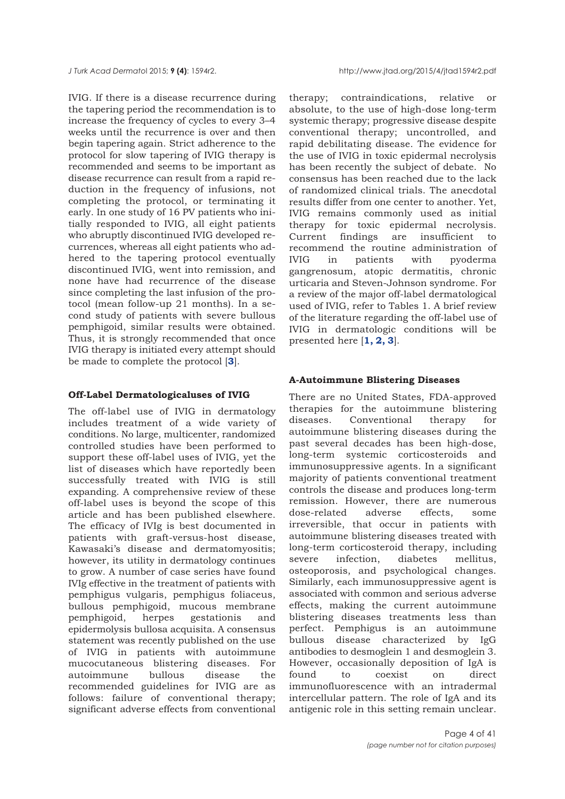IVIG. If there is a disease recurrence during the tapering period the recommendation is to increase the frequency of cycles to every 3–4 weeks until the recurrence is over and then begin tapering again. Strict adherence to the protocol for slow tapering of IVIG therapy is recommended and seems to be important as disease recurrence can result from a rapid reduction in the frequency of infusions, not completing the protocol, or terminating it early. In one study of 16 PV patients who initially responded to IVIG, all eight patients who abruptly discontinued IVIG developed recurrences, whereas all eight patients who adhered to the tapering protocol eventually discontinued IVIG, went into remission, and none have had recurrence of the disease since completing the last infusion of the protocol (mean follow-up 21 months). In a second study of patients with severe bullous pemphigoid, similar results were obtained. Thus, it is strongly recommended that once IVIG therapy is initiated every attempt should be made to complete the protocol [**[3](#page-35-0)**].

#### **Off-Label Dermatologicaluses of IVIG**

The off-label use of IVIG in dermatology includes treatment of a wide variety of conditions. No large, multicenter, randomized controlled studies have been performed to support these off-label uses of IVIG, yet the list of diseases which have reportedly been successfully treated with IVIG is still expanding. A comprehensive review of these off-label uses is beyond the scope of this article and has been published elsewhere. The efficacy of IVIg is best documented in patients with graft-versus-host disease, Kawasaki's disease and dermatomyositis; however, its utility in dermatology continues to grow. A number of case series have found IVIg effective in the treatment of patients with pemphigus vulgaris, pemphigus foliaceus, bullous pemphigoid, mucous membrane pemphigoid, herpes gestationis and epidermolysis bullosa acquisita. A consensus statement was recently published on the use of IVIG in patients with autoimmune mucocutaneous blistering diseases. For autoimmune bullous disease the recommended guidelines for IVIG are as follows: failure of conventional therapy; significant adverse effects from conventional

therapy; contraindications, relative or absolute, to the use of high-dose long-term systemic therapy; progressive disease despite conventional therapy; uncontrolled, and rapid debilitating disease. The evidence for the use of IVIG in toxic epidermal necrolysis has been recently the subject of debate. No consensus has been reached due to the lack of randomized clinical trials. The anecdotal results differ from one center to another. Yet, IVIG remains commonly used as initial therapy for toxic epidermal necrolysis. Current findings are insufficient to recommend the routine administration of IVIG in patients with pyoderma gangrenosum, atopic dermatitis, chronic urticaria and Steven-Johnson syndrome. For a review of the major off-label dermatological used of IVIG, refer to Tables 1. A brief review of the literature regarding the off-label use of IVIG in dermatologic conditions will be presented here [**[1, 2, 3](#page-35-0)**].

#### **A-Autoimmune Blistering Diseases**

There are no United States, FDA-approved therapies for the autoimmune blistering diseases. Conventional therapy for autoimmune blistering diseases during the past several decades has been high-dose, long-term systemic corticosteroids and immunosuppressive agents. In a significant majority of patients conventional treatment controls the disease and produces long-term remission. However, there are numerous<br>dose-related adverse effects, some dose-related adverse effects, some irreversible, that occur in patients with autoimmune blistering diseases treated with long-term corticosteroid therapy, including severe infection, diabetes mellitus, osteoporosis, and psychological changes. Similarly, each immunosuppressive agent is associated with common and serious adverse effects, making the current autoimmune blistering diseases treatments less than perfect. Pemphigus is an autoimmune bullous disease characterized by IgG antibodies to desmoglein 1 and desmoglein 3. However, occasionally deposition of IgA is found to coexist on direct immunofluorescence with an intradermal intercellular pattern. The role of IgA and its antigenic role in this setting remain unclear.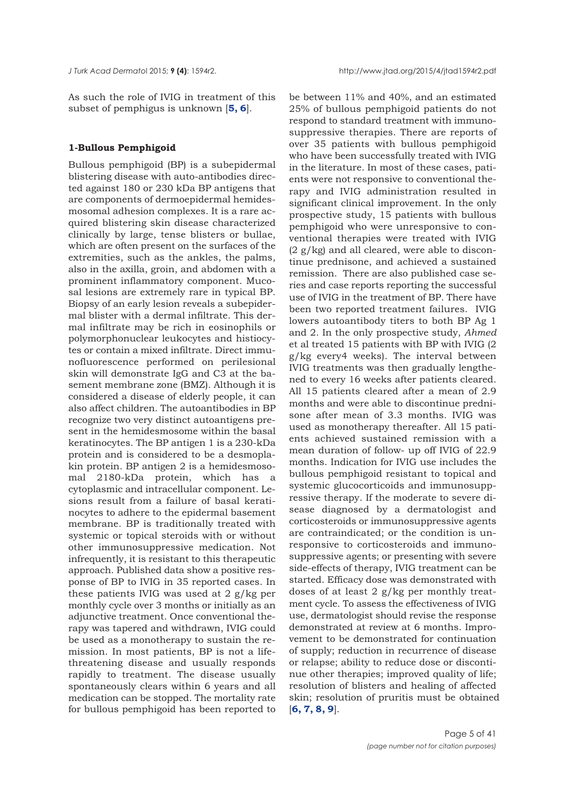As such the role of IVIG in treatment of this subset of pemphigus is unknown [**[5, 6](#page-35-0)**].

#### **1-Bullous Pemphigoid**

Bullous pemphigoid (BP) is a subepidermal blistering disease with auto-antibodies directed against 180 or 230 kDa BP antigens that are components of dermoepidermal hemidesmosomal adhesion complexes. It is a rare acquired blistering skin disease characterized clinically by large, tense blisters or bullae, which are often present on the surfaces of the extremities, such as the ankles, the palms, also in the axilla, groin, and abdomen with a prominent inflammatory component. Mucosal lesions are extremely rare in typical BP. Biopsy of an early lesion reveals a subepidermal blister with a dermal infiltrate. This dermal infiltrate may be rich in eosinophils or polymorphonuclear leukocytes and histiocytes or contain a mixed infiltrate. Direct immunofluorescence performed on perilesional skin will demonstrate IgG and C3 at the basement membrane zone (BMZ). Although it is considered a disease of elderly people, it can also affect children. The autoantibodies in BP recognize two very distinct autoantigens present in the hemidesmosome within the basal keratinocytes. The BP antigen 1 is a 230-kDa protein and is considered to be a desmoplakin protein. BP antigen 2 is a hemidesmosomal 2180-kDa protein, which has a cytoplasmic and intracellular component. Lesions result from a failure of basal keratinocytes to adhere to the epidermal basement membrane. BP is traditionally treated with systemic or topical steroids with or without other immunosuppressive medication. Not infrequently, it is resistant to this therapeutic approach. Published data show a positive response of BP to IVIG in 35 reported cases. In these patients IVIG was used at 2 g/kg per monthly cycle over 3 months or initially as an adjunctive treatment. Once conventional therapy was tapered and withdrawn, IVIG could be used as a monotherapy to sustain the remission. In most patients, BP is not a lifethreatening disease and usually responds rapidly to treatment. The disease usually spontaneously clears within 6 years and all medication can be stopped. The mortality rate for bullous pemphigoid has been reported to

be between 11% and 40%, and an estimated 25% of bullous pemphigoid patients do not respond to standard treatment with immunosuppressive therapies. There are reports of over 35 patients with bullous pemphigoid who have been successfully treated with IVIG in the literature. In most of these cases, patients were not responsive to conventional therapy and IVIG administration resulted in significant clinical improvement. In the only prospective study, 15 patients with bullous pemphigoid who were unresponsive to conventional therapies were treated with IVIG  $(2 g/kg)$  and all cleared, were able to discontinue prednisone, and achieved a sustained remission. There are also published case series and case reports reporting the successful use of IVIG in the treatment of BP. There have been two reported treatment failures. IVIG lowers autoantibody titers to both BP Ag 1 and 2. In the only prospective study, *Ahmed* et al treated 15 patients with BP with IVIG (2 g/kg every4 weeks). The interval between IVIG treatments was then gradually lengthened to every 16 weeks after patients cleared. All 15 patients cleared after a mean of 2.9 months and were able to discontinue prednisone after mean of 3.3 months. IVIG was used as monotherapy thereafter. All 15 patients achieved sustained remission with a mean duration of follow- up off IVIG of 22.9 months. Indication for IVIG use includes the bullous pemphigoid resistant to topical and systemic glucocorticoids and immunosuppressive therapy. If the moderate to severe disease diagnosed by a dermatologist and corticosteroids or immunosuppressive agents are contraindicated; or the condition is unresponsive to corticosteroids and immunosuppressive agents; or presenting with severe side-effects of therapy, IVIG treatment can be started. Efficacy dose was demonstrated with doses of at least 2 g/kg per monthly treatment cycle. To assess the effectiveness of IVIG use, dermatologist should revise the response demonstrated at review at 6 months. Improvement to be demonstrated for continuation of supply; reduction in recurrence of disease or relapse; ability to reduce dose or discontinue other therapies; improved quality of life; resolution of blisters and healing of affected skin; resolution of pruritis must be obtained [**[6](#page-35-0), [7](#page-35-0), [8](#page-35-0), [9](#page-35-0)**].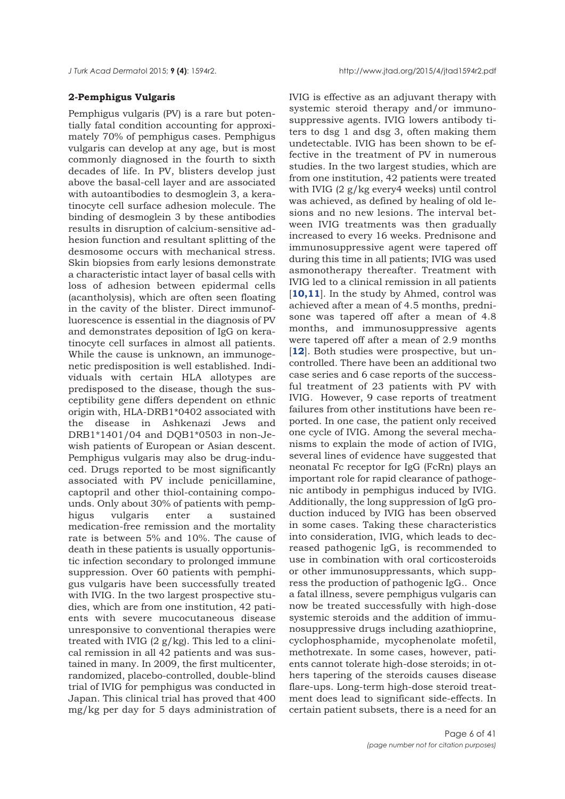## **2-Pemphigus Vulgaris**

Pemphigus vulgaris (PV) is a rare but potentially fatal condition accounting for approximately 70% of pemphigus cases. Pemphigus vulgaris can develop at any age, but is most commonly diagnosed in the fourth to sixth decades of life. In PV, blisters develop just above the basal-cell layer and are associated with autoantibodies to desmoglein 3, a keratinocyte cell surface adhesion molecule. The binding of desmoglein 3 by these antibodies results in disruption of calcium-sensitive adhesion function and resultant splitting of the desmosome occurs with mechanical stress. Skin biopsies from early lesions demonstrate a characteristic intact layer of basal cells with loss of adhesion between epidermal cells (acantholysis), which are often seen floating in the cavity of the blister. Direct immunofluorescence is essential in the diagnosis of PV and demonstrates deposition of IgG on keratinocyte cell surfaces in almost all patients. While the cause is unknown, an immunogenetic predisposition is well established. Individuals with certain HLA allotypes are predisposed to the disease, though the susceptibility gene differs dependent on ethnic origin with, HLA-DRB1\*0402 associated with the disease in Ashkenazi Jews and DRB1\*1401/04 and DQB1\*0503 in non-Jewish patients of European or Asian descent. Pemphigus vulgaris may also be drug-induced. Drugs reported to be most significantly associated with PV include penicillamine, captopril and other thiol-containing compounds. Only about 30% of patients with pemphigus vulgaris enter a sustained medication-free remission and the mortality rate is between 5% and 10%. The cause of death in these patients is usually opportunistic infection secondary to prolonged immune suppression. Over 60 patients with pemphigus vulgaris have been successfully treated with IVIG. In the two largest prospective studies, which are from one institution, 42 patients with severe mucocutaneous disease unresponsive to conventional therapies were treated with IVIG  $(2 g/kg)$ . This led to a clinical remission in all 42 patients and was sustained in many. In 2009, the first multicenter, randomized, placebo-controlled, double-blind trial of IVIG for pemphigus was conducted in Japan. This clinical trial has proved that 400 mg/kg per day for 5 days administration of

IVIG is effective as an adjuvant therapy with systemic steroid therapy and/or immunosuppressive agents. IVIG lowers antibody titers to dsg 1 and dsg 3, often making them undetectable. IVIG has been shown to be effective in the treatment of PV in numerous studies. In the two largest studies, which are from one institution, 42 patients were treated with IVIG (2 g/kg every4 weeks) until control was achieved, as defined by healing of old lesions and no new lesions. The interval between IVIG treatments was then gradually increased to every 16 weeks. Prednisone and immunosuppressive agent were tapered off during this time in all patients; IVIG was used asmonotherapy thereafter. Treatment with IVIG led to a clinical remission in all patients [[10,11](#page-35-0)]. In the study by Ahmed, control was achieved after a mean of 4.5 months, prednisone was tapered off after a mean of 4.8 months, and immunosuppressive agents were tapered off after a mean of 2.9 months [**[12](#page-35-0)**]. Both studies were prospective, but uncontrolled. There have been an additional two case series and 6 case reports of the successful treatment of 23 patients with PV with IVIG. However, 9 case reports of treatment failures from other institutions have been reported. In one case, the patient only received one cycle of IVIG. Among the several mechanisms to explain the mode of action of IVIG, several lines of evidence have suggested that neonatal Fc receptor for IgG (FcRn) plays an important role for rapid clearance of pathogenic antibody in pemphigus induced by IVIG. Additionally, the long suppression of IgG production induced by IVIG has been observed in some cases. Taking these characteristics into consideration, IVIG, which leads to decreased pathogenic IgG, is recommended to use in combination with oral corticosteroids or other immunosuppressants, which suppress the production of pathogenic IgG.. Once a fatal illness, severe pemphigus vulgaris can now be treated successfully with high-dose systemic steroids and the addition of immunosuppressive drugs including azathioprine, cyclophosphamide, mycophenolate mofetil, methotrexate. In some cases, however, patients cannot tolerate high-dose steroids; in others tapering of the steroids causes disease flare-ups. Long-term high-dose steroid treatment does lead to significant side-effects. In certain patient subsets, there is a need for an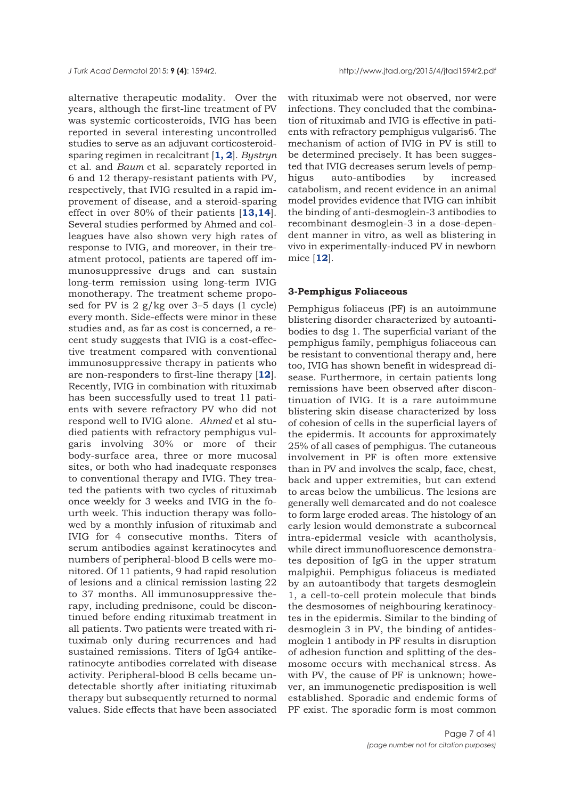alternative therapeutic modality. Over the years, although the first-line treatment of PV was systemic corticosteroids, IVIG has been reported in several interesting uncontrolled studies to serve as an adjuvant corticosteroidsparing regimen in recalcitrant [**[1, 2](#page-35-0)**]. *Bystryn* et al. and *Baum* et al. separately reported in 6 and 12 therapy-resistant patients with PV, respectively, that IVIG resulted in a rapid improvement of disease, and a steroid-sparing effect in over 80% of their patients [**[13,14](#page-35-0)**]. Several studies performed by Ahmed and colleagues have also shown very high rates of response to IVIG, and moreover, in their treatment protocol, patients are tapered off immunosuppressive drugs and can sustain long-term remission using long-term IVIG monotherapy. The treatment scheme proposed for PV is 2 g/kg over 3–5 days (1 cycle) every month. Side-effects were minor in these studies and, as far as cost is concerned, a recent study suggests that IVIG is a cost-effective treatment compared with conventional immunosuppressive therapy in patients who are non-responders to first-line therapy [**[12](#page-35-0)**]. Recently, IVIG in combination with rituximab has been successfully used to treat 11 patients with severe refractory PV who did not respond well to IVIG alone. *Ahmed* et al studied patients with refractory pemphigus vulgaris involving 30% or more of their body-surface area, three or more mucosal sites, or both who had inadequate responses to conventional therapy and IVIG. They treated the patients with two cycles of rituximab once weekly for 3 weeks and IVIG in the fourth week. This induction therapy was followed by a monthly infusion of rituximab and IVIG for 4 consecutive months. Titers of serum antibodies against keratinocytes and numbers of peripheral-blood B cells were monitored. Of 11 patients, 9 had rapid resolution of lesions and a clinical remission lasting 22 to 37 months. All immunosuppressive therapy, including prednisone, could be discontinued before ending rituximab treatment in all patients. Two patients were treated with rituximab only during recurrences and had sustained remissions. Titers of IgG4 antikeratinocyte antibodies correlated with disease activity. Peripheral-blood B cells became undetectable shortly after initiating rituximab therapy but subsequently returned to normal values. Side effects that have been associated

with rituximab were not observed, nor were infections. They concluded that the combination of rituximab and IVIG is effective in patients with refractory pemphigus vulgaris6. The mechanism of action of IVIG in PV is still to be determined precisely. It has been suggested that IVIG decreases serum levels of pemphigus auto-antibodies by increased catabolism, and recent evidence in an animal model provides evidence that IVIG can inhibit the binding of anti-desmoglein-3 antibodies to recombinant desmoglein-3 in a dose-dependent manner in vitro, as well as blistering in vivo in experimentally-induced PV in newborn mice [**[12](#page-36-0)**].

#### **3-Pemphigus Foliaceous**

Pemphigus foliaceus (PF) is an autoimmune blistering disorder characterized by autoantibodies to dsg 1. The superficial variant of the pemphigus family, pemphigus foliaceous can be resistant to conventional therapy and, here too, IVIG has shown benefit in widespread disease. Furthermore, in certain patients long remissions have been observed after discontinuation of IVIG. It is a rare autoimmune blistering skin disease characterized by loss of cohesion of cells in the superficial layers of the epidermis. It accounts for approximately 25% of all cases of pemphigus. The cutaneous involvement in PF is often more extensive than in PV and involves the scalp, face, chest, back and upper extremities, but can extend to areas below the umbilicus. The lesions are generally well demarcated and do not coalesce to form large eroded areas. The histology of an early lesion would demonstrate a subcorneal intra-epidermal vesicle with acantholysis, while direct immunofluorescence demonstrates deposition of IgG in the upper stratum malpighii. Pemphigus foliaceus is mediated by an autoantibody that targets desmoglein 1, a cell-to-cell protein molecule that binds the desmosomes of neighbouring keratinocytes in the epidermis. Similar to the binding of desmoglein 3 in PV, the binding of antidesmoglein 1 antibody in PF results in disruption of adhesion function and splitting of the desmosome occurs with mechanical stress. As with PV, the cause of PF is unknown; however, an immunogenetic predisposition is well established. Sporadic and endemic forms of PF exist. The sporadic form is most common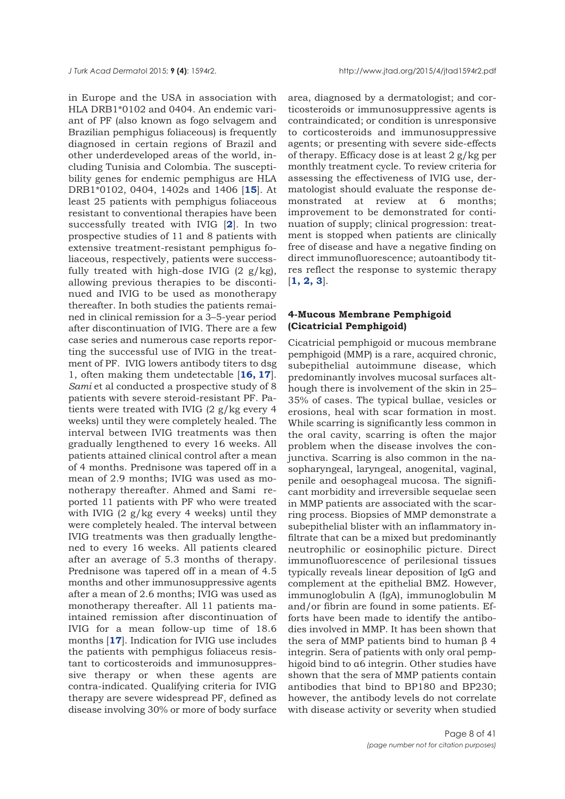in Europe and the USA in association with HLA DRB1\*0102 and 0404. An endemic variant of PF (also known as fogo selvagem and Brazilian pemphigus foliaceous) is frequently diagnosed in certain regions of Brazil and other underdeveloped areas of the world, including Tunisia and Colombia. The susceptibility genes for endemic pemphigus are HLA DRB1\*0102, 0404, 1402s and 1406 [**[15](#page-34-0)**]. At least 25 patients with pemphigus foliaceous resistant to conventional therapies have been successfully treated with IVIG [**[2](#page-35-0)**]. In two prospective studies of 11 and 8 patients with extensive treatment-resistant pemphigus foliaceous, respectively, patients were successfully treated with high-dose IVIG  $(2 \text{ g/kg})$ , allowing previous therapies to be discontinued and IVIG to be used as monotherapy thereafter. In both studies the patients remained in clinical remission for a 3–5-year period after discontinuation of IVIG. There are a few case series and numerous case reports reporting the successful use of IVIG in the treatment of PF. IVIG lowers antibody titers to dsg 1, often making them undetectable [**[16, 17](#page-35-0)**]. *Sami* et al conducted a prospective study of 8 patients with severe steroid-resistant PF. Patients were treated with IVIG (2 g/kg every 4 weeks) until they were completely healed. The interval between IVIG treatments was then gradually lengthened to every 16 weeks. All patients attained clinical control after a mean of 4 months. Prednisone was tapered off in a mean of 2.9 months; IVIG was used as monotherapy thereafter. Ahmed and Sami reported 11 patients with PF who were treated with IVIG (2 g/kg every 4 weeks) until they were completely healed. The interval between IVIG treatments was then gradually lengthened to every 16 weeks. All patients cleared after an average of 5.3 months of therapy. Prednisone was tapered off in a mean of 4.5 months and other immunosuppressive agents after a mean of 2.6 months; IVIG was used as monotherapy thereafter. All 11 patients maintained remission after discontinuation of IVIG for a mean follow-up time of 18.6 months [**[17](#page-35-0)**]. Indication for IVIG use includes the patients with pemphigus foliaceus resistant to corticosteroids and immunosuppressive therapy or when these agents are contra-indicated. Qualifying criteria for IVIG therapy are severe widespread PF, defined as disease involving 30% or more of body surface

area, diagnosed by a dermatologist; and corticosteroids or immunosuppressive agents is contraindicated; or condition is unresponsive to corticosteroids and immunosuppressive agents; or presenting with severe side-effects of therapy. Efficacy dose is at least  $2 g/kg$  per monthly treatment cycle. To review criteria for assessing the effectiveness of IVIG use, dermatologist should evaluate the response demonstrated at review at 6 months; improvement to be demonstrated for continuation of supply; clinical progression: treatment is stopped when patients are clinically free of disease and have a negative finding on direct immunofluorescence; autoantibody titres reflect the response to systemic therapy [**[1, 2, 3](#page-35-0)**].

## **4-Mucous Membrane Pemphigoid (Cicatricial Pemphigoid)**

Cicatricial pemphigoid or mucous membrane pemphigoid (MMP) is a rare, acquired chronic, subepithelial autoimmune disease, which predominantly involves mucosal surfaces although there is involvement of the skin in 25– 35% of cases. The typical bullae, vesicles or erosions, heal with scar formation in most. While scarring is significantly less common in the oral cavity, scarring is often the major problem when the disease involves the conjunctiva. Scarring is also common in the nasopharyngeal, laryngeal, anogenital, vaginal, penile and oesophageal mucosa. The significant morbidity and irreversible sequelae seen in MMP patients are associated with the scarring process. Biopsies of MMP demonstrate a subepithelial blister with an inflammatory infiltrate that can be a mixed but predominantly neutrophilic or eosinophilic picture. Direct immunofluorescence of perilesional tissues typically reveals linear deposition of IgG and complement at the epithelial BMZ. However, immunoglobulin A (IgA), immunoglobulin M and/or fibrin are found in some patients. Efforts have been made to identify the antibodies involved in MMP. It has been shown that the sera of MMP patients bind to human β 4 integrin. Sera of patients with only oral pemphigoid bind to α6 integrin. Other studies have shown that the sera of MMP patients contain antibodies that bind to BP180 and BP230; however, the antibody levels do not correlate with disease activity or severity when studied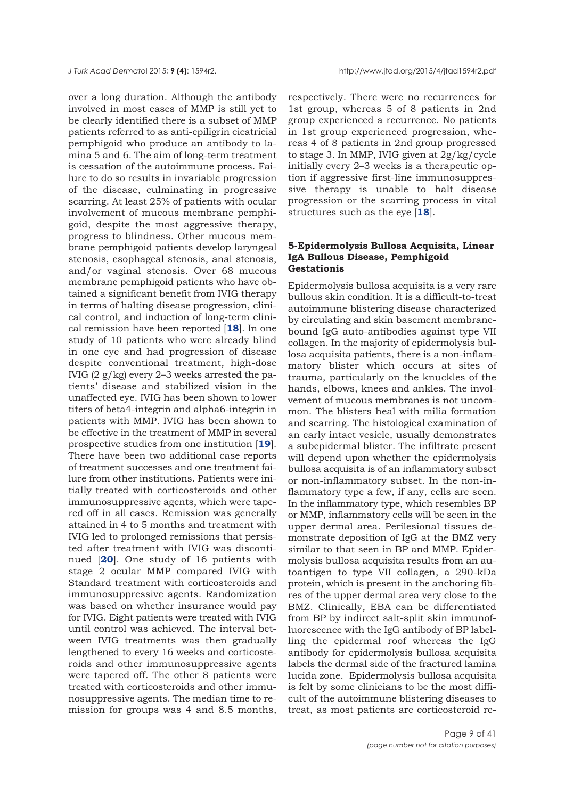over a long duration. Although the antibody involved in most cases of MMP is still yet to be clearly identified there is a subset of MMP patients referred to as anti-epiligrin cicatricial pemphigoid who produce an antibody to lamina 5 and 6. The aim of long-term treatment is cessation of the autoimmune process. Failure to do so results in invariable progression of the disease, culminating in progressive scarring. At least 25% of patients with ocular involvement of mucous membrane pemphigoid, despite the most aggressive therapy, progress to blindness. Other mucous membrane pemphigoid patients develop laryngeal stenosis, esophageal stenosis, anal stenosis, and/or vaginal stenosis. Over 68 mucous membrane pemphigoid patients who have obtained a significant benefit from IVIG therapy in terms of halting disease progression, clinical control, and induction of long-term clinical remission have been reported [**[18](#page-35-0)**]. In one study of 10 patients who were already blind in one eye and had progression of disease despite conventional treatment, high-dose IVIG (2 g/kg) every 2–3 weeks arrested the patients' disease and stabilized vision in the unaffected eye. IVIG has been shown to lower titers of beta4-integrin and alpha6-integrin in patients with MMP. IVIG has been shown to be effective in the treatment of MMP in several prospective studies from one institution [**[19](#page-35-0)**]. There have been two additional case reports of treatment successes and one treatment failure from other institutions. Patients were initially treated with corticosteroids and other immunosuppressive agents, which were tapered off in all cases. Remission was generally attained in 4 to 5 months and treatment with IVIG led to prolonged remissions that persisted after treatment with IVIG was discontinued [**[20](#page-35-0)**]. One study of 16 patients with stage 2 ocular MMP compared IVIG with Standard treatment with corticosteroids and immunosuppressive agents. Randomization was based on whether insurance would pay for IVIG. Eight patients were treated with IVIG until control was achieved. The interval between IVIG treatments was then gradually lengthened to every 16 weeks and corticosteroids and other immunosuppressive agents were tapered off. The other 8 patients were treated with corticosteroids and other immunosuppressive agents. The median time to remission for groups was 4 and 8.5 months,

respectively. There were no recurrences for 1st group, whereas 5 of 8 patients in 2nd group experienced a recurrence. No patients in 1st group experienced progression, whereas 4 of 8 patients in 2nd group progressed to stage 3. In MMP, IVIG given at 2g/kg/cycle initially every 2–3 weeks is a therapeutic option if aggressive first-line immunosuppressive therapy is unable to halt disease progression or the scarring process in vital structures such as the eye [**[18](#page-35-0)**].

## **5-Epidermolysis Bullosa Acquisita, Linear IgA Bullous Disease, Pemphigoid Gestationis**

Epidermolysis bullosa acquisita is a very rare bullous skin condition. It is a difficult-to-treat autoimmune blistering disease characterized by circulating and skin basement membranebound IgG auto-antibodies against type VII collagen. In the majority of epidermolysis bullosa acquisita patients, there is a non-inflammatory blister which occurs at sites of trauma, particularly on the knuckles of the hands, elbows, knees and ankles. The involvement of mucous membranes is not uncommon. The blisters heal with milia formation and scarring. The histological examination of an early intact vesicle, usually demonstrates a subepidermal blister. The infiltrate present will depend upon whether the epidermolysis bullosa acquisita is of an inflammatory subset or non-inflammatory subset. In the non-inflammatory type a few, if any, cells are seen. In the inflammatory type, which resembles BP or MMP, inflammatory cells will be seen in the upper dermal area. Perilesional tissues demonstrate deposition of IgG at the BMZ very similar to that seen in BP and MMP. Epidermolysis bullosa acquisita results from an autoantigen to type VII collagen, a 290-kDa protein, which is present in the anchoring fibres of the upper dermal area very close to the BMZ. Clinically, EBA can be differentiated from BP by indirect salt-split skin immunofluorescence with the IgG antibody of BP labelling the epidermal roof whereas the IgG antibody for epidermolysis bullosa acquisita labels the dermal side of the fractured lamina lucida zone. Epidermolysis bullosa acquisita is felt by some clinicians to be the most difficult of the autoimmune blistering diseases to treat, as most patients are corticosteroid re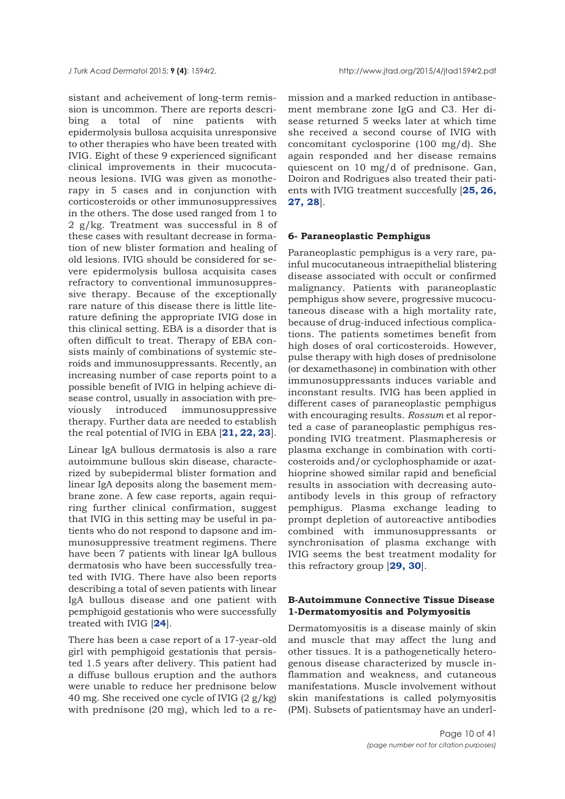sistant and acheivement of long-term remission is uncommon. There are reports describing a total of nine patients with epidermolysis bullosa acquisita unresponsive to other therapies who have been treated with IVIG. Eight of these 9 experienced significant clinical improvements in their mucocutaneous lesions. IVIG was given as monotherapy in 5 cases and in conjunction with corticosteroids or other immunosuppressives in the others. The dose used ranged from 1 to 2 g/kg. Treatment was successful in 8 of these cases with resultant decrease in formation of new blister formation and healing of old lesions. IVIG should be considered for severe epidermolysis bullosa acquisita cases refractory to conventional immunosuppressive therapy. Because of the exceptionally rare nature of this disease there is little literature defining the appropriate IVIG dose in this clinical setting. EBA is a disorder that is often difficult to treat. Therapy of EBA consists mainly of combinations of systemic steroids and immunosuppressants. Recently, an increasing number of case reports point to a possible benefit of IVIG in helping achieve disease control, usually in association with previously introduced immunosuppressive therapy. Further data are needed to establish the real potential of IVIG in EBA [**[21, 22, 23](#page-35-0)**].

Linear IgA bullous dermatosis is also a rare autoimmune bullous skin disease, characterized by subepidermal blister formation and linear IgA deposits along the basement membrane zone. A few case reports, again requiring further clinical confirmation, suggest that IVIG in this setting may be useful in patients who do not respond to dapsone and immunosuppressive treatment regimens. There have been 7 patients with linear IgA bullous dermatosis who have been successfully treated with IVIG. There have also been reports describing a total of seven patients with linear IgA bullous disease and one patient with pemphigoid gestationis who were successfully treated with IVIG [**[24](#page-35-0)**].

There has been a case report of a 17-year-old girl with pemphigoid gestationis that persisted 1.5 years after delivery. This patient had a diffuse bullous eruption and the authors were unable to reduce her prednisone below 40 mg. She received one cycle of IVIG  $(2 g/kg)$ with prednisone (20 mg), which led to a remission and a marked reduction in antibasement membrane zone IgG and C3. Her disease returned 5 weeks later at which time she received a second course of IVIG with concomitant cyclosporine (100 mg/d). She again responded and her disease remains quiescent on 10 mg/d of prednisone. Gan, Doiron and Rodrigues also treated their patients with IVIG treatment succesfully [**[25, 26,](#page-35-0) [27,](#page-35-0) [28](#page-36-0)**].

## **6- Paraneoplastic Pemphigus**

Paraneoplastic pemphigus is a very rare, painful mucocutaneous intraepithelial blistering disease associated with occult or confirmed malignancy. Patients with paraneoplastic pemphigus show severe, progressive mucocutaneous disease with a high mortality rate, because of drug-induced infectious complications. The patients sometimes benefit from high doses of oral corticosteroids. However, pulse therapy with high doses of prednisolone (or dexamethasone) in combination with other immunosuppressants induces variable and inconstant results. IVIG has been applied in different cases of paraneoplastic pemphigus with encouraging results. *Rossum* et al reported a case of paraneoplastic pemphigus responding IVIG treatment. Plasmapheresis or plasma exchange in combination with corticosteroids and/or cyclophosphamide or azathioprine showed similar rapid and beneficial results in association with decreasing autoantibody levels in this group of refractory pemphigus. Plasma exchange leading to prompt depletion of autoreactive antibodies combined with immunosuppressants or synchronisation of plasma exchange with IVIG seems the best treatment modality for this refractory group [**[29, 30](#page-36-0)**].

## **B-Autoimmune Connective Tissue Disease 1-Dermatomyositis and Polymyositis**

Dermatomyositis is a disease mainly of skin and muscle that may affect the lung and other tissues. It is a pathogenetically heterogenous disease characterized by muscle inflammation and weakness, and cutaneous manifestations. Muscle involvement without skin manifestations is called polymyositis (PM). Subsets of patientsmay have an underl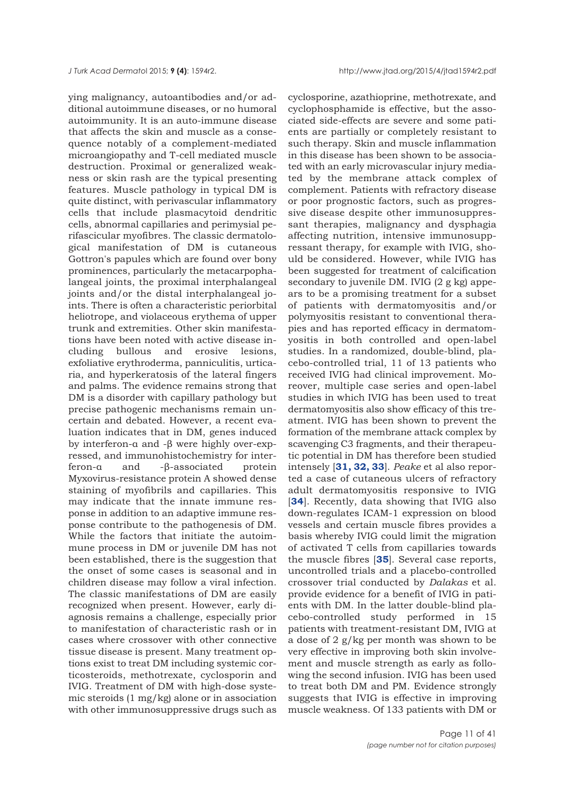ying malignancy, autoantibodies and/or additional autoimmune diseases, or no humoral autoimmunity. It is an auto-immune disease that affects the skin and muscle as a consequence notably of a complement-mediated microangiopathy and T-cell mediated muscle destruction. Proximal or generalized weakness or skin rash are the typical presenting features. Muscle pathology in typical DM is quite distinct, with perivascular inflammatory cells that include plasmacytoid dendritic cells, abnormal capillaries and perimysial perifascicular myofibres. The classic dermatological manifestation of DM is cutaneous Gottron's papules which are found over bony prominences, particularly the metacarpophalangeal joints, the proximal interphalangeal joints and/or the distal interphalangeal joints. There is often a characteristic periorbital heliotrope, and violaceous erythema of upper trunk and extremities. Other skin manifestations have been noted with active disease including bullous and erosive lesions, exfoliative erythroderma, panniculitis, urticaria, and hyperkeratosis of the lateral fingers and palms. The evidence remains strong that DM is a disorder with capillary pathology but precise pathogenic mechanisms remain uncertain and debated. However, a recent evaluation indicates that in DM, genes induced by interferon-α and -β were highly over-expressed, and immunohistochemistry for interferon-α and -β-associated protein Myxovirus-resistance protein A showed dense staining of myofibrils and capillaries. This may indicate that the innate immune response in addition to an adaptive immune response contribute to the pathogenesis of DM. While the factors that initiate the autoimmune process in DM or juvenile DM has not been established, there is the suggestion that the onset of some cases is seasonal and in children disease may follow a viral infection. The classic manifestations of DM are easily recognized when present. However, early diagnosis remains a challenge, especially prior to manifestation of characteristic rash or in cases where crossover with other connective tissue disease is present. Many treatment options exist to treat DM including systemic corticosteroids, methotrexate, cyclosporin and IVIG. Treatment of DM with high-dose systemic steroids (1 mg/kg) alone or in association with other immunosuppressive drugs such as

cyclosporine, azathioprine, methotrexate, and cyclophosphamide is effective, but the associated side-effects are severe and some patients are partially or completely resistant to such therapy. Skin and muscle inflammation in this disease has been shown to be associated with an early microvascular injury mediated by the membrane attack complex of complement. Patients with refractory disease or poor prognostic factors, such as progressive disease despite other immunosuppressant therapies, malignancy and dysphagia affecting nutrition, intensive immunosuppressant therapy, for example with IVIG, should be considered. However, while IVIG has been suggested for treatment of calcification secondary to juvenile DM. IVIG (2 g kg) appears to be a promising treatment for a subset of patients with dermatomyositis and/or polymyositis resistant to conventional therapies and has reported efficacy in dermatomyositis in both controlled and open-label studies. In a randomized, double-blind, placebo-controlled trial, 11 of 13 patients who received IVIG had clinical improvement. Moreover, multiple case series and open-label studies in which IVIG has been used to treat dermatomyositis also show efficacy of this treatment. IVIG has been shown to prevent the formation of the membrane attack complex by scavenging C3 fragments, and their therapeutic potential in DM has therefore been studied intensely [**[31, 32, 33](#page-36-0)**]. *Peake* et al also reported a case of cutaneous ulcers of refractory adult dermatomyositis responsive to IVIG [**[34](#page-36-0)**]. Recently, data showing that IVIG also down-regulates ICAM-1 expression on blood vessels and certain muscle fibres provides a basis whereby IVIG could limit the migration of activated T cells from capillaries towards the muscle fibres [**[35](#page-36-0)**]. Several case reports, uncontrolled trials and a placebo-controlled crossover trial conducted by *Dalakas* et al. provide evidence for a benefit of IVIG in patients with DM. In the latter double-blind placebo-controlled study performed in 15 patients with treatment-resistant DM, IVIG at a dose of 2 g/kg per month was shown to be very effective in improving both skin involvement and muscle strength as early as following the second infusion. IVIG has been used to treat both DM and PM. Evidence strongly suggests that IVIG is effective in improving muscle weakness. Of 133 patients with DM or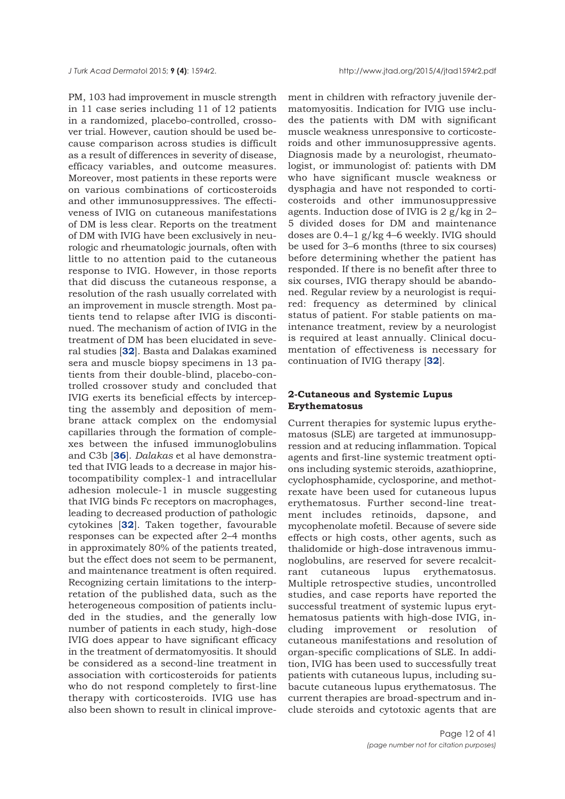PM, 103 had improvement in muscle strength in 11 case series including 11 of 12 patients in a randomized, placebo-controlled, crossover trial. However, caution should be used because comparison across studies is difficult as a result of differences in severity of disease, efficacy variables, and outcome measures. Moreover, most patients in these reports were on various combinations of corticosteroids and other immunosuppressives. The effectiveness of IVIG on cutaneous manifestations of DM is less clear. Reports on the treatment of DM with IVIG have been exclusively in neurologic and rheumatologic journals, often with little to no attention paid to the cutaneous response to IVIG. However, in those reports that did discuss the cutaneous response, a resolution of the rash usually correlated with an improvement in muscle strength. Most patients tend to relapse after IVIG is discontinued. The mechanism of action of IVIG in the treatment of DM has been elucidated in several studies [**[32](#page-36-0)**]. Basta and Dalakas examined sera and muscle biopsy specimens in 13 patients from their double-blind, placebo-controlled crossover study and concluded that IVIG exerts its beneficial effects by intercepting the assembly and deposition of membrane attack complex on the endomysial capillaries through the formation of complexes between the infused immunoglobulins and C3b [**[36](#page-36-0)**]. *Dalakas* et al have demonstrated that IVIG leads to a decrease in major histocompatibility complex-1 and intracellular adhesion molecule-1 in muscle suggesting that IVIG binds Fc receptors on macrophages, leading to decreased production of pathologic cytokines [**[32](#page-36-0)**]. Taken together, favourable responses can be expected after 2–4 months in approximately 80% of the patients treated, but the effect does not seem to be permanent, and maintenance treatment is often required. Recognizing certain limitations to the interpretation of the published data, such as the heterogeneous composition of patients included in the studies, and the generally low number of patients in each study, high-dose IVIG does appear to have significant efficacy in the treatment of dermatomyositis. It should be considered as a second-line treatment in association with corticosteroids for patients who do not respond completely to first-line therapy with corticosteroids. IVIG use has also been shown to result in clinical improvement in children with refractory juvenile dermatomyositis. Indication for IVIG use includes the patients with DM with significant muscle weakness unresponsive to corticosteroids and other immunosuppressive agents. Diagnosis made by a neurologist, rheumatologist, or immunologist of: patients with DM who have significant muscle weakness or dysphagia and have not responded to corticosteroids and other immunosuppressive agents. Induction dose of IVIG is 2 g/kg in 2– 5 divided doses for DM and maintenance doses are 0.4–1 g/kg 4–6 weekly. IVIG should be used for 3–6 months (three to six courses) before determining whether the patient has responded. If there is no benefit after three to six courses, IVIG therapy should be abandoned. Regular review by a neurologist is required: frequency as determined by clinical status of patient. For stable patients on maintenance treatment, review by a neurologist is required at least annually. Clinical documentation of effectiveness is necessary for continuation of IVIG therapy [**[32](#page-36-0)**].

## **2-Cutaneous and Systemic Lupus Erythematosus**

Current therapies for systemic lupus erythematosus (SLE) are targeted at immunosuppression and at reducing inflammation. Topical agents and first-line systemic treatment options including systemic steroids, azathioprine, cyclophosphamide, cyclosporine, and methotrexate have been used for cutaneous lupus erythematosus. Further second-line treatment includes retinoids, dapsone, and mycophenolate mofetil. Because of severe side effects or high costs, other agents, such as thalidomide or high-dose intravenous immunoglobulins, are reserved for severe recalcitrant cutaneous lupus erythematosus. Multiple retrospective studies, uncontrolled studies, and case reports have reported the successful treatment of systemic lupus erythematosus patients with high-dose IVIG, including improvement or resolution of cutaneous manifestations and resolution of organ-specific complications of SLE. In addition, IVIG has been used to successfully treat patients with cutaneous lupus, including subacute cutaneous lupus erythematosus. The current therapies are broad-spectrum and include steroids and cytotoxic agents that are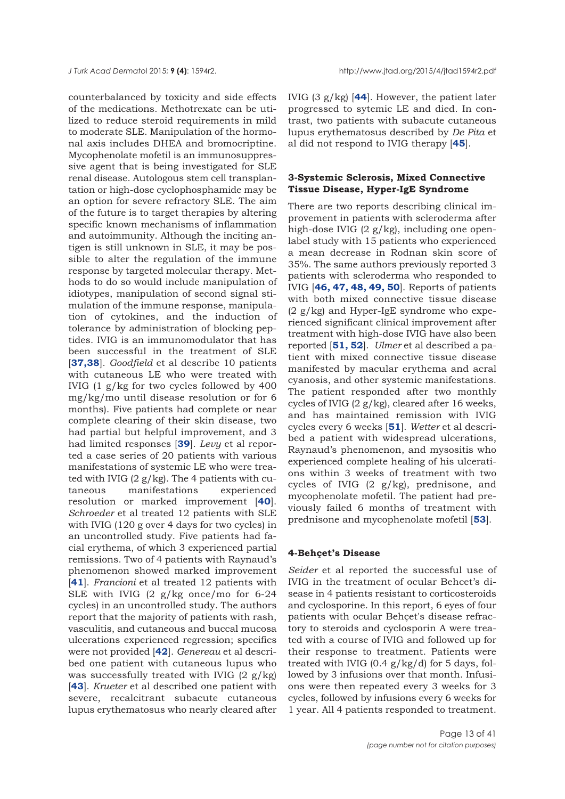counterbalanced by toxicity and side effects of the medications. Methotrexate can be utilized to reduce steroid requirements in mild to moderate SLE. Manipulation of the hormonal axis includes DHEA and bromocriptine. Mycophenolate mofetil is an immunosuppressive agent that is being investigated for SLE renal disease. Autologous stem cell transplantation or high-dose cyclophosphamide may be an option for severe refractory SLE. The aim of the future is to target therapies by altering specific known mechanisms of inflammation and autoimmunity. Although the inciting antigen is still unknown in SLE, it may be possible to alter the regulation of the immune response by targeted molecular therapy. Methods to do so would include manipulation of idiotypes, manipulation of second signal stimulation of the immune response, manipulation of cytokines, and the induction of tolerance by administration of blocking peptides. IVIG is an immunomodulator that has been successful in the treatment of SLE [**[37,38](#page-36-0)**]. *Goodfield* et al describe 10 patients with cutaneous LE who were treated with IVIG (1 g/kg for two cycles followed by 400 mg/kg/mo until disease resolution or for 6 months). Five patients had complete or near complete clearing of their skin disease, two had partial but helpful improvement, and 3 had limited responses [**[39](#page-36-0)**]. *Levy* et al reported a case series of 20 patients with various manifestations of systemic LE who were treated with IVIG  $(2 g/kg)$ . The 4 patients with cutaneous manifestations experienced resolution or marked improvement [**[40](#page-36-0)**]. *Schroeder* et al treated 12 patients with SLE with IVIG (120 g over 4 days for two cycles) in an uncontrolled study. Five patients had facial erythema, of which 3 experienced partial remissions. Two of 4 patients with Raynaud's phenomenon showed marked improvement [**[41](#page-36-0)**]. *Francioni* et al treated 12 patients with SLE with IVIG (2 g/kg once/mo for 6-24 cycles) in an uncontrolled study. The authors report that the majority of patients with rash, vasculitis, and cutaneous and buccal mucosa ulcerations experienced regression; specifics were not provided [**[42](#page-36-0)**]. *Genereau* et al described one patient with cutaneous lupus who was successfully treated with IVIG  $(2 \text{ g/kg})$ [**[43](#page-36-0)**]. *Krueter* et al described one patient with severe, recalcitrant subacute cutaneous lupus erythematosus who nearly cleared after

IVIG (3 g/kg) [**[44](#page-36-0)**]. However, the patient later progressed to sytemic LE and died. In contrast, two patients with subacute cutaneous lupus erythematosus described by *De Pita* et al did not respond to IVIG therapy [**[45](#page-36-0)**].

## **3-Systemic Sclerosis, Mixed Connective Tissue Disease, Hyper-IgE Syndrome**

There are two reports describing clinical improvement in patients with scleroderma after high-dose IVIG (2 g/kg), including one openlabel study with 15 patients who experienced a mean decrease in Rodnan skin score of 35%. The same authors previously reported 3 patients with scleroderma who responded to IVIG [**[46, 47, 48, 49, 50](#page-36-0)**]. Reports of patients with both mixed connective tissue disease  $(2 g/kg)$  and Hyper-IgE syndrome who experienced significant clinical improvement after treatment with high-dose IVIG have also been reported [**[51, 52](#page-37-0)**]. *Ulmer* et al described a patient with mixed connective tissue disease manifested by macular erythema and acral cyanosis, and other systemic manifestations. The patient responded after two monthly cycles of IVIG (2 g/kg), cleared after 16 weeks, and has maintained remission with IVIG cycles every 6 weeks [**[51](#page-37-0)**]. *Wetter* et al described a patient with widespread ulcerations, Raynaud's phenomenon, and mysositis who experienced complete healing of his ulcerations within 3 weeks of treatment with two cycles of IVIG (2 g/kg), prednisone, and mycophenolate mofetil. The patient had previously failed 6 months of treatment with prednisone and mycophenolate mofetil [**[53](#page-37-0)**].

#### **4-Behçet's Disease**

*Seider* et al reported the successful use of IVIG in the treatment of ocular Behcet's disease in 4 patients resistant to corticosteroids and cyclosporine. In this report, 6 eyes of four patients with ocular Behçet's disease refractory to steroids and cyclosporin A were treated with a course of IVIG and followed up for their response to treatment. Patients were treated with IVIG  $(0.4 \text{ g/kg/d})$  for 5 days, followed by 3 infusions over that month. Infusions were then repeated every 3 weeks for 3 cycles, followed by infusions every 6 weeks for 1 year. All 4 patients responded to treatment.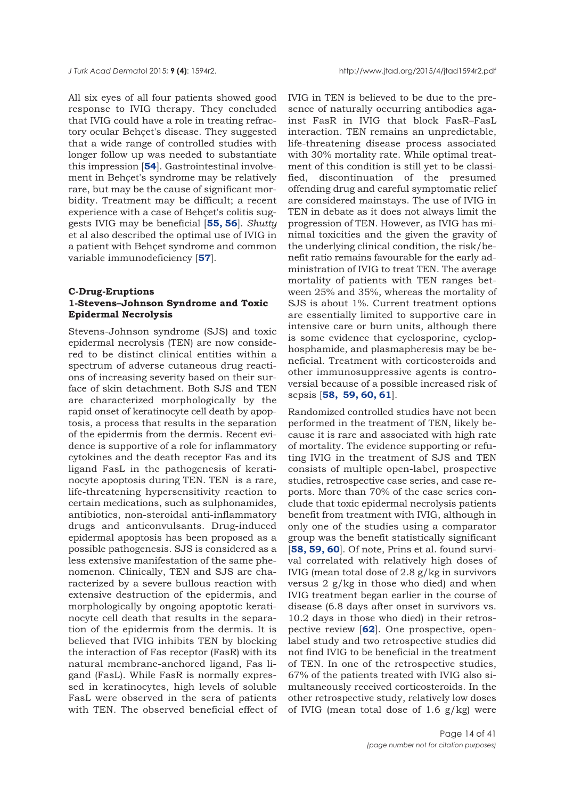All six eyes of all four patients showed good response to IVIG therapy. They concluded that IVIG could have a role in treating refractory ocular Behçet's disease. They suggested that a wide range of controlled studies with longer follow up was needed to substantiate this impression [**[54](#page-37-0)**]. Gastrointestinal involvement in Behçet's syndrome may be relatively rare, but may be the cause of significant morbidity. Treatment may be difficult; a recent experience with a case of Behçet's colitis suggests IVIG may be beneficial [**[55, 56](#page-37-0)**]. *Shutty* et al also described the optimal use of IVIG in a patient with Behçet syndrome and common variable immunodeficiency [**[57](#page-37-0)**].

## **C-Drug-Eruptions 1-Stevens–Johnson Syndrome and Toxic Epidermal Necrolysis**

Stevens-Johnson syndrome (SJS) and toxic epidermal necrolysis (TEN) are now considered to be distinct clinical entities within a spectrum of adverse cutaneous drug reactions of increasing severity based on their surface of skin detachment. Both SJS and TEN are characterized morphologically by the rapid onset of keratinocyte cell death by apoptosis, a process that results in the separation of the epidermis from the dermis. Recent evidence is supportive of a role for inflammatory cytokines and the death receptor Fas and its ligand FasL in the pathogenesis of keratinocyte apoptosis during TEN. TEN is a rare, life-threatening hypersensitivity reaction to certain medications, such as sulphonamides, antibiotics, non-steroidal anti-inflammatory drugs and anticonvulsants. Drug-induced epidermal apoptosis has been proposed as a possible pathogenesis. SJS is considered as a less extensive manifestation of the same phenomenon. Clinically, TEN and SJS are characterized by a severe bullous reaction with extensive destruction of the epidermis, and morphologically by ongoing apoptotic keratinocyte cell death that results in the separation of the epidermis from the dermis. It is believed that IVIG inhibits TEN by blocking the interaction of Fas receptor (FasR) with its natural membrane-anchored ligand, Fas ligand (FasL). While FasR is normally expressed in keratinocytes, high levels of soluble FasL were observed in the sera of patients with TEN. The observed beneficial effect of IVIG in TEN is believed to be due to the presence of naturally occurring antibodies against FasR in IVIG that block FasR–FasL interaction. TEN remains an unpredictable, life-threatening disease process associated with 30% mortality rate. While optimal treatment of this condition is still yet to be classified, discontinuation of the presumed offending drug and careful symptomatic relief are considered mainstays. The use of IVIG in TEN in debate as it does not always limit the progression of TEN. However, as IVIG has minimal toxicities and the given the gravity of the underlying clinical condition, the risk/benefit ratio remains favourable for the early administration of IVIG to treat TEN. The average mortality of patients with TEN ranges between 25% and 35%, whereas the mortality of SJS is about 1%. Current treatment options are essentially limited to supportive care in intensive care or burn units, although there is some evidence that cyclosporine, cyclophosphamide, and plasmapheresis may be beneficial. Treatment with corticosteroids and other immunosuppressive agents is controversial because of a possible increased risk of sepsis [**[58,](#page-37-0) [59, 60, 61](#page-37-0)**].

Randomized controlled studies have not been performed in the treatment of TEN, likely because it is rare and associated with high rate of mortality. The evidence supporting or refuting IVIG in the treatment of SJS and TEN consists of multiple open-label, prospective studies, retrospective case series, and case reports. More than 70% of the case series conclude that toxic epidermal necrolysis patients benefit from treatment with IVIG, although in only one of the studies using a comparator group was the benefit statistically significant [**[58, 59, 60](#page-37-0)**]. Of note, Prins et al. found survival correlated with relatively high doses of IVIG (mean total dose of 2.8 g/kg in survivors versus 2 g/kg in those who died) and when IVIG treatment began earlier in the course of disease (6.8 days after onset in survivors vs. 10.2 days in those who died) in their retrospective review [**[62](#page-37-0)**]. One prospective, openlabel study and two retrospective studies did not find IVIG to be beneficial in the treatment of TEN. In one of the retrospective studies, 67% of the patients treated with IVIG also simultaneously received corticosteroids. In the other retrospective study, relatively low doses of IVIG (mean total dose of 1.6  $g/kg$ ) were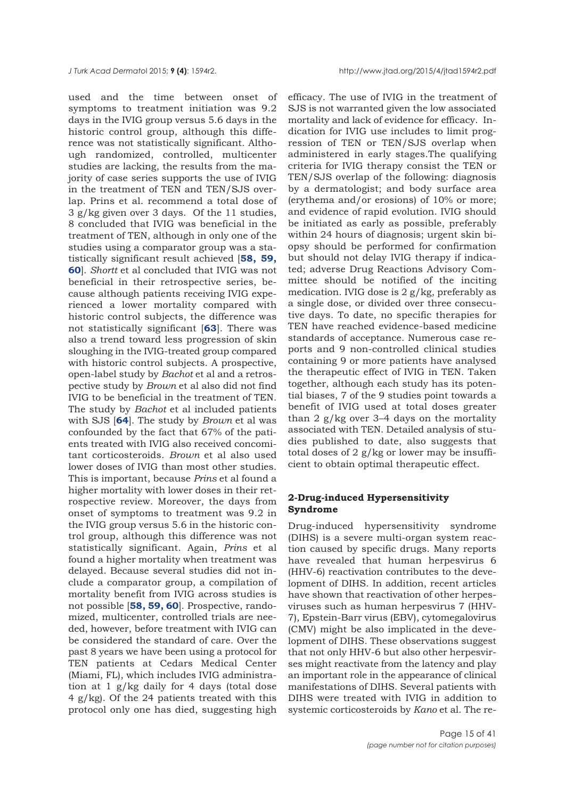used and the time between onset of symptoms to treatment initiation was 9.2 days in the IVIG group versus 5.6 days in the historic control group, although this difference was not statistically significant. Although randomized, controlled, multicenter studies are lacking, the results from the majority of case series supports the use of IVIG in the treatment of TEN and TEN/SJS overlap. Prins et al. recommend a total dose of 3 g/kg given over 3 days. Of the 11 studies, 8 concluded that IVIG was beneficial in the treatment of TEN, although in only one of the studies using a comparator group was a statistically significant result achieved [**[58,](#page-37-0) [59,](#page-37-0) [60](#page-37-0)**]. *Shortt* et al concluded that IVIG was not beneficial in their retrospective series, because although patients receiving IVIG experienced a lower mortality compared with historic control subjects, the difference was not statistically significant [**[63](#page-37-0)**]. There was also a trend toward less progression of skin sloughing in the IVIG-treated group compared with historic control subjects. A prospective, open-label study by *Bachot* et al and a retrospective study by *Brown* et al also did not find IVIG to be beneficial in the treatment of TEN. The study by *Bachot* et al included patients with SJS [**[64](#page-37-0)**]. The study by *Brown* et al was confounded by the fact that 67% of the patients treated with IVIG also received concomitant corticosteroids. *Brown* et al also used lower doses of IVIG than most other studies. This is important, because *Prins* et al found a higher mortality with lower doses in their retrospective review. Moreover, the days from onset of symptoms to treatment was 9.2 in the IVIG group versus 5.6 in the historic control group, although this difference was not statistically significant. Again, *Prins* et al found a higher mortality when treatment was delayed. Because several studies did not include a comparator group, a compilation of mortality benefit from IVIG across studies is not possible [**[58, 59, 60](#page-37-0)**]. Prospective, randomized, multicenter, controlled trials are needed, however, before treatment with IVIG can be considered the standard of care. Over the past 8 years we have been using a protocol for TEN patients at Cedars Medical Center (Miami, FL), which includes IVIG administration at  $1 \frac{g}{kg}$  daily for 4 days (total dose 4 g/kg). Of the 24 patients treated with this protocol only one has died, suggesting high

efficacy. The use of IVIG in the treatment of SJS is not warranted given the low associated mortality and lack of evidence for efficacy. Indication for IVIG use includes to limit progression of TEN or TEN/SJS overlap when administered in early stages.The qualifying criteria for IVIG therapy consist the TEN or TEN/SJS overlap of the following: diagnosis by a dermatologist; and body surface area (erythema and/or erosions) of 10% or more; and evidence of rapid evolution. IVIG should be initiated as early as possible, preferably within 24 hours of diagnosis; urgent skin biopsy should be performed for confirmation but should not delay IVIG therapy if indicated; adverse Drug Reactions Advisory Committee should be notified of the inciting medication. IVIG dose is 2 g/kg, preferably as a single dose, or divided over three consecutive days. To date, no specific therapies for TEN have reached evidence-based medicine standards of acceptance. Numerous case reports and 9 non-controlled clinical studies containing 9 or more patients have analysed the therapeutic effect of IVIG in TEN. Taken together, although each study has its potential biases, 7 of the 9 studies point towards a benefit of IVIG used at total doses greater than 2  $g/kg$  over 3–4 days on the mortality associated with TEN. Detailed analysis of studies published to date, also suggests that total doses of 2 g/kg or lower may be insufficient to obtain optimal therapeutic effect.

## **2-Drug-induced Hypersensitivity Syndrome**

Drug-induced hypersensitivity syndrome (DIHS) is a severe multi-organ system reaction caused by specific drugs. Many reports have revealed that human herpesvirus 6 (HHV-6) reactivation contributes to the development of DIHS. In addition, recent articles have shown that reactivation of other herpesviruses such as human herpesvirus 7 (HHV-7), Epstein-Barr virus (EBV), cytomegalovirus (CMV) might be also implicated in the development of DIHS. These observations suggest that not only HHV-6 but also other herpesvirses might reactivate from the latency and play an important role in the appearance of clinical manifestations of DIHS. Several patients with DIHS were treated with IVIG in addition to systemic corticosteroids by *Kano* et al. The re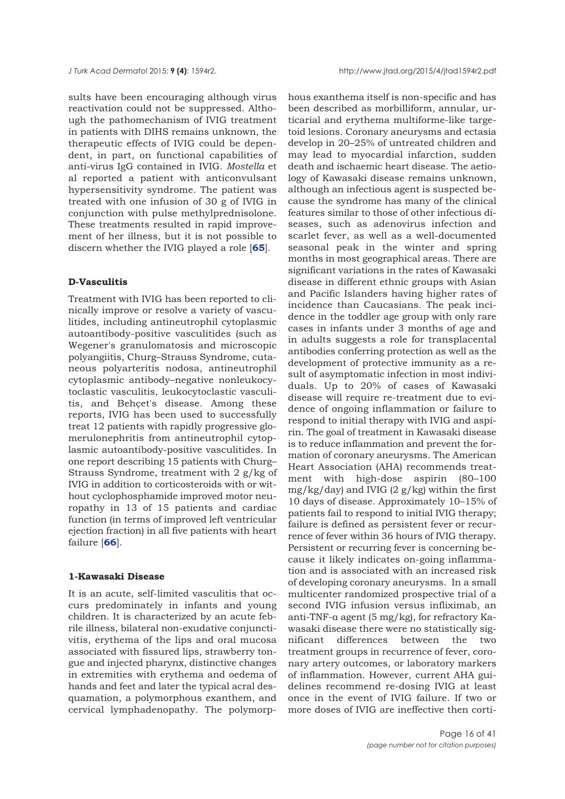sults have been encouraging although virus reactivation could not be suppressed. Although the pathomechanism of IVIG treatment in patients with DIHS remains unknown, the therapeutic effects of IVIG could be dependent, in part, on functional capabilities of anti-virus IgG contained in IVIG. *Mostella* et al reported a patient with anticonvulsant hypersensitivity syndrome. The patient was treated with one infusion of 30 g of IVIG in conjunction with pulse methylprednisolone. These treatments resulted in rapid improvement of her illness, but it is not possible to discern whether the IVIG played a role [**[65](#page-36-0)**].

#### **D-Vasculitis**

Treatment with IVIG has been reported to clinically improve or resolve a variety of vasculitides, including antineutrophil cytoplasmic autoantibody-positive vasculitides (such as Wegener's granulomatosis and microscopic polyangiitis, Churg–Strauss Syndrome, cutaneous polyarteritis nodosa, antineutrophil cytoplasmic antibody–negative nonleukocytoclastic vasculitis, leukocytoclastic vasculitis, and Behçet's disease. Among these reports, IVIG has been used to successfully treat 12 patients with rapidly progressive glomerulonephritis from antineutrophil cytoplasmic autoantibody-positive vasculitides. In one report describing 15 patients with Churg– Strauss Syndrome, treatment with 2 g/kg of IVIG in addition to corticosteroids with or without cyclophosphamide improved motor neuropathy in 13 of 15 patients and cardiac function (in terms of improved left ventricular ejection fraction) in all five patients with heart failure [**[66](#page-37-0)**].

## **1-Kawasaki Disease**

It is an acute, self-limited vasculitis that occurs predominately in infants and young children. It is characterized by an acute febrile illness, bilateral non-exudative conjunctivitis, erythema of the lips and oral mucosa associated with fissured lips, strawberry tongue and injected pharynx, distinctive changes in extremities with erythema and oedema of hands and feet and later the typical acral desquamation, a polymorphous exanthem, and cervical lymphadenopathy. The polymorphous exanthema itself is non-specific and has been described as morbilliform, annular, urticarial and erythema multiforme-like targetoid lesions. Coronary aneurysms and ectasia develop in 20–25% of untreated children and may lead to myocardial infarction, sudden death and ischaemic heart disease. The aetiology of Kawasaki disease remains unknown, although an infectious agent is suspected because the syndrome has many of the clinical features similar to those of other infectious diseases, such as adenovirus infection and scarlet fever, as well as a well-documented seasonal peak in the winter and spring months in most geographical areas. There are significant variations in the rates of Kawasaki disease in different ethnic groups with Asian and Pacific Islanders having higher rates of incidence than Caucasians. The peak incidence in the toddler age group with only rare cases in infants under 3 months of age and in adults suggests a role for transplacental antibodies conferring protection as well as the development of protective immunity as a result of asymptomatic infection in most individuals. Up to 20% of cases of Kawasaki disease will require re-treatment due to evidence of ongoing inflammation or failure to respond to initial therapy with IVIG and aspirin. The goal of treatment in Kawasaki disease is to reduce inflammation and prevent the formation of coronary aneurysms. The American Heart Association (AHA) recommends treatment with high-dose aspirin (80–100  $mg/kg/day$ ) and IVIG (2  $g/kg$ ) within the first 10 days of disease. Approximately 10–15% of patients fail to respond to initial IVIG therapy; failure is defined as persistent fever or recurrence of fever within 36 hours of IVIG therapy. Persistent or recurring fever is concerning because it likely indicates on-going inflammation and is associated with an increased risk of developing coronary aneurysms. In a small multicenter randomized prospective trial of a second IVIG infusion versus infliximab, an anti-TNF-α agent (5 mg/kg), for refractory Kawasaki disease there were no statistically significant differences between the two treatment groups in recurrence of fever, coronary artery outcomes, or laboratory markers of inflammation. However, current AHA guidelines recommend re-dosing IVIG at least once in the event of IVIG failure. If two or more doses of IVIG are ineffective then corti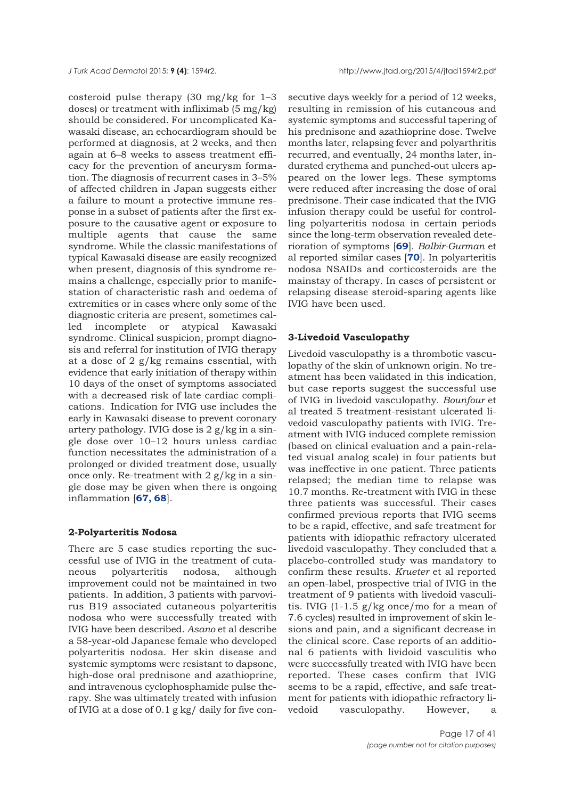costeroid pulse therapy (30 mg/kg for 1–3 doses) or treatment with infliximab (5 mg/kg) should be considered. For uncomplicated Kawasaki disease, an echocardiogram should be performed at diagnosis, at 2 weeks, and then again at 6–8 weeks to assess treatment efficacy for the prevention of aneurysm formation. The diagnosis of recurrent cases in 3–5% of affected children in Japan suggests either a failure to mount a protective immune response in a subset of patients after the first exposure to the causative agent or exposure to multiple agents that cause the same syndrome. While the classic manifestations of typical Kawasaki disease are easily recognized when present, diagnosis of this syndrome remains a challenge, especially prior to manifestation of characteristic rash and oedema of extremities or in cases where only some of the diagnostic criteria are present, sometimes called incomplete or atypical Kawasaki syndrome. Clinical suspicion, prompt diagnosis and referral for institution of IVIG therapy at a dose of 2 g/kg remains essential, with evidence that early initiation of therapy within 10 days of the onset of symptoms associated with a decreased risk of late cardiac complications. Indication for IVIG use includes the early in Kawasaki disease to prevent coronary artery pathology. IVIG dose is 2 g/kg in a single dose over 10–12 hours unless cardiac function necessitates the administration of a prolonged or divided treatment dose, usually once only. Re-treatment with 2 g/kg in a single dose may be given when there is ongoing inflammation [**[67, 68](#page-37-0)**].

#### **2-Polyarteritis Nodosa**

There are 5 case studies reporting the successful use of IVIG in the treatment of cutaneous polyarteritis nodosa, although improvement could not be maintained in two patients. In addition, 3 patients with parvovirus B19 associated cutaneous polyarteritis nodosa who were successfully treated with IVIG have been described. *Asano* et al describe a 58-year-old Japanese female who developed polyarteritis nodosa. Her skin disease and systemic symptoms were resistant to dapsone, high-dose oral prednisone and azathioprine, and intravenous cyclophosphamide pulse therapy. She was ultimately treated with infusion of IVIG at a dose of 0.1 g kg/ daily for five con-

secutive days weekly for a period of 12 weeks, resulting in remission of his cutaneous and systemic symptoms and successful tapering of his prednisone and azathioprine dose. Twelve months later, relapsing fever and polyarthritis recurred, and eventually, 24 months later, indurated erythema and punched-out ulcers appeared on the lower legs. These symptoms were reduced after increasing the dose of oral prednisone. Their case indicated that the IVIG infusion therapy could be useful for controlling polyarteritis nodosa in certain periods since the long-term observation revealed deterioration of symptoms [**[69](#page-37-0)**]. *Balbir-Gurman* et al reported similar cases [**[70](#page-37-0)**]. In polyarteritis nodosa NSAIDs and corticosteroids are the mainstay of therapy. In cases of persistent or relapsing disease steroid-sparing agents like IVIG have been used.

#### **3-Livedoid Vasculopathy**

Livedoid vasculopathy is a thrombotic vasculopathy of the skin of unknown origin. No treatment has been validated in this indication, but case reports suggest the successful use of IVIG in livedoid vasculopathy. *Bounfour* et al treated 5 treatment-resistant ulcerated livedoid vasculopathy patients with IVIG. Treatment with IVIG induced complete remission (based on clinical evaluation and a pain-related visual analog scale) in four patients but was ineffective in one patient. Three patients relapsed; the median time to relapse was 10.7 months. Re-treatment with IVIG in these three patients was successful. Their cases confirmed previous reports that IVIG seems to be a rapid, effective, and safe treatment for patients with idiopathic refractory ulcerated livedoid vasculopathy. They concluded that a placebo-controlled study was mandatory to confirm these results. *Krueter* et al reported an open-label, prospective trial of IVIG in the treatment of 9 patients with livedoid vasculitis. IVIG (1-1.5 g/kg once/mo for a mean of 7.6 cycles) resulted in improvement of skin lesions and pain, and a significant decrease in the clinical score. Case reports of an additional 6 patients with lividoid vasculitis who were successfully treated with IVIG have been reported. These cases confirm that IVIG seems to be a rapid, effective, and safe treatment for patients with idiopathic refractory livedoid vasculopathy. However, a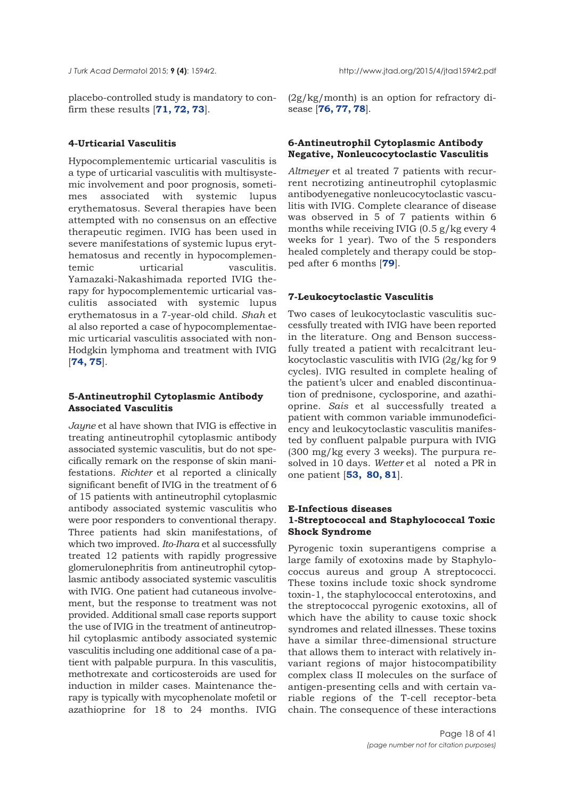placebo-controlled study is mandatory to confirm these results [**[71, 72, 73](#page-37-0)**].

## **4-Urticarial Vasculitis**

Hypocomplementemic urticarial vasculitis is a type of urticarial vasculitis with multisystemic involvement and poor prognosis, sometimes associated with systemic lupus erythematosus. Several therapies have been attempted with no consensus on an effective therapeutic regimen. IVIG has been used in severe manifestations of systemic lupus erythematosus and recently in hypocomplementemic urticarial vasculitis. Yamazaki-Nakashimada reported IVIG therapy for hypocomplementemic urticarial vasculitis associated with systemic lupus erythematosus in a 7-year-old child. *Shah* et al also reported a case of hypocomplementaemic urticarial vasculitis associated with non-Hodgkin lymphoma and treatment with IVIG [**[74, 75](#page-37-0)**].

## **5-Antineutrophil Cytoplasmic Antibody Associated Vasculitis**

*Jayne* et al have shown that IVIG is effective in treating antineutrophil cytoplasmic antibody associated systemic vasculitis, but do not specifically remark on the response of skin manifestations. *Richter* et al reported a clinically significant benefit of IVIG in the treatment of 6 of 15 patients with antineutrophil cytoplasmic antibody associated systemic vasculitis who were poor responders to conventional therapy. Three patients had skin manifestations, of which two improved. *Ito-Ihara* et al successfully treated 12 patients with rapidly progressive glomerulonephritis from antineutrophil cytoplasmic antibody associated systemic vasculitis with IVIG. One patient had cutaneous involvement, but the response to treatment was not provided. Additional small case reports support the use of IVIG in the treatment of antineutrophil cytoplasmic antibody associated systemic vasculitis including one additional case of a patient with palpable purpura. In this vasculitis, methotrexate and corticosteroids are used for induction in milder cases. Maintenance therapy is typically with mycophenolate mofetil or azathioprine for 18 to 24 months. IVIG

(2g/kg/month) is an option for refractory disease [**[76,](#page-37-0) [77, 78](#page-38-0)**].

## **6-Antineutrophil Cytoplasmic Antibody Negative, Nonleucocytoclastic Vasculitis**

*Altmeyer* et al treated 7 patients with recurrent necrotizing antineutrophil cytoplasmic antibodyenegative nonleucocytoclastic vasculitis with IVIG. Complete clearance of disease was observed in 5 of 7 patients within 6 months while receiving IVIG (0.5 g/kg every 4 weeks for 1 year). Two of the 5 responders healed completely and therapy could be stopped after 6 months [**[79](#page-38-0)**].

## **7-Leukocytoclastic Vasculitis**

Two cases of leukocytoclastic vasculitis successfully treated with IVIG have been reported in the literature. Ong and Benson successfully treated a patient with recalcitrant leukocytoclastic vasculitis with IVIG (2g/kg for 9 cycles). IVIG resulted in complete healing of the patient's ulcer and enabled discontinuation of prednisone, cyclosporine, and azathioprine. *Sais* et al successfully treated a patient with common variable immunodeficiency and leukocytoclastic vasculitis manifested by confluent palpable purpura with IVIG (300 mg/kg every 3 weeks). The purpura resolved in 10 days. *Wetter* et al noted a PR in one patient [**[53,](#page-36-0) [80, 81](#page-38-0)**].

## **E-Infectious diseases 1-Streptococcal and Staphylococcal Toxic Shock Syndrome**

Pyrogenic toxin superantigens comprise a large family of exotoxins made by Staphylococcus aureus and group A streptococci. These toxins include toxic shock syndrome toxin-1, the staphylococcal enterotoxins, and the streptococcal pyrogenic exotoxins, all of which have the ability to cause toxic shock syndromes and related illnesses. These toxins have a similar three-dimensional structure that allows them to interact with relatively invariant regions of major histocompatibility complex class II molecules on the surface of antigen-presenting cells and with certain variable regions of the T-cell receptor-beta chain. The consequence of these interactions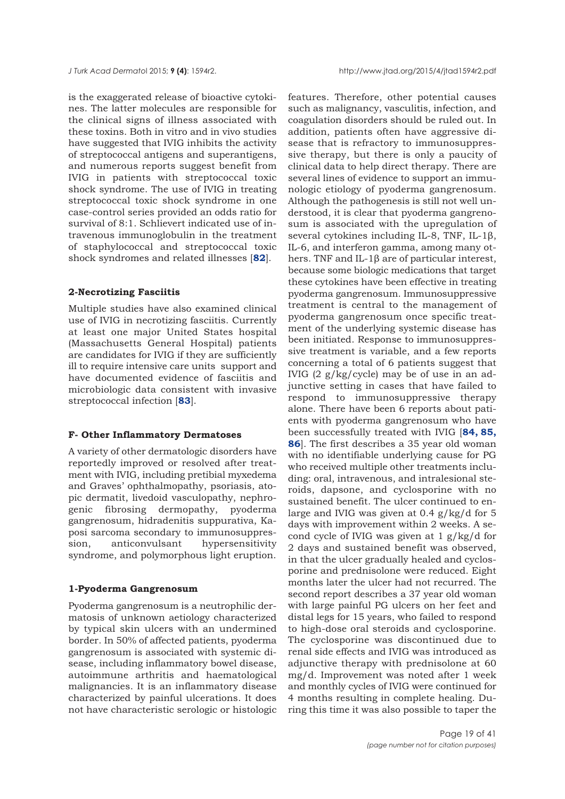is the exaggerated release of bioactive cytokines. The latter molecules are responsible for the clinical signs of illness associated with these toxins. Both in vitro and in vivo studies have suggested that IVIG inhibits the activity of streptococcal antigens and superantigens, and numerous reports suggest benefit from IVIG in patients with streptococcal toxic shock syndrome. The use of IVIG in treating streptococcal toxic shock syndrome in one case-control series provided an odds ratio for survival of 8:1. Schlievert indicated use of intravenous immunoglobulin in the treatment of staphylococcal and streptococcal toxic shock syndromes and related illnesses [**[82](#page-38-0)**].

#### **2-Necrotizing Fasciitis**

Multiple studies have also examined clinical use of IVIG in necrotizing fasciitis. Currently at least one major United States hospital (Massachusetts General Hospital) patients are candidates for IVIG if they are sufficiently ill to require intensive care units support and have documented evidence of fasciitis and microbiologic data consistent with invasive streptococcal infection [**[83](#page-38-0)**].

#### **F- Other Inflammatory Dermatoses**

A variety of other dermatologic disorders have reportedly improved or resolved after treatment with IVIG, including pretibial myxedema and Graves' ophthalmopathy, psoriasis, atopic dermatit, livedoid vasculopathy, nephrogenic fibrosing dermopathy, pyoderma gangrenosum, hidradenitis suppurativa, Kaposi sarcoma secondary to immunosuppression, anticonvulsant hypersensitivity syndrome, and polymorphous light eruption.

#### **1-Pyoderma Gangrenosum**

Pyoderma gangrenosum is a neutrophilic dermatosis of unknown aetiology characterized by typical skin ulcers with an undermined border. In 50% of affected patients, pyoderma gangrenosum is associated with systemic disease, including inflammatory bowel disease, autoimmune arthritis and haematological malignancies. It is an inflammatory disease characterized by painful ulcerations. It does not have characteristic serologic or histologic

features. Therefore, other potential causes such as malignancy, vasculitis, infection, and coagulation disorders should be ruled out. In addition, patients often have aggressive disease that is refractory to immunosuppressive therapy, but there is only a paucity of clinical data to help direct therapy. There are several lines of evidence to support an immunologic etiology of pyoderma gangrenosum. Although the pathogenesis is still not well understood, it is clear that pyoderma gangrenosum is associated with the upregulation of several cytokines including IL-8, TNF, IL-1β, IL-6, and interferon gamma, among many others. TNF and IL-1β are of particular interest, because some biologic medications that target these cytokines have been effective in treating pyoderma gangrenosum. Immunosuppressive treatment is central to the management of pyoderma gangrenosum once specific treatment of the underlying systemic disease has been initiated. Response to immunosuppressive treatment is variable, and a few reports concerning a total of 6 patients suggest that IVIG (2 g/kg/cycle) may be of use in an adjunctive setting in cases that have failed to respond to immunosuppressive therapy alone. There have been 6 reports about patients with pyoderma gangrenosum who have been successfully treated with IVIG [**[84, 85,](#page-38-0) [86](#page-38-0)**]. The first describes a 35 year old woman with no identifiable underlying cause for PG who received multiple other treatments including: oral, intravenous, and intralesional steroids, dapsone, and cyclosporine with no sustained benefit. The ulcer continued to enlarge and IVIG was given at 0.4 g/kg/d for 5 days with improvement within 2 weeks. A second cycle of IVIG was given at 1 g/kg/d for 2 days and sustained benefit was observed, in that the ulcer gradually healed and cyclosporine and prednisolone were reduced. Eight months later the ulcer had not recurred. The second report describes a 37 year old woman with large painful PG ulcers on her feet and distal legs for 15 years, who failed to respond to high-dose oral steroids and cyclosporine. The cyclosporine was discontinued due to renal side effects and IVIG was introduced as adjunctive therapy with prednisolone at 60 mg/d. Improvement was noted after 1 week and monthly cycles of IVIG were continued for 4 months resulting in complete healing. During this time it was also possible to taper the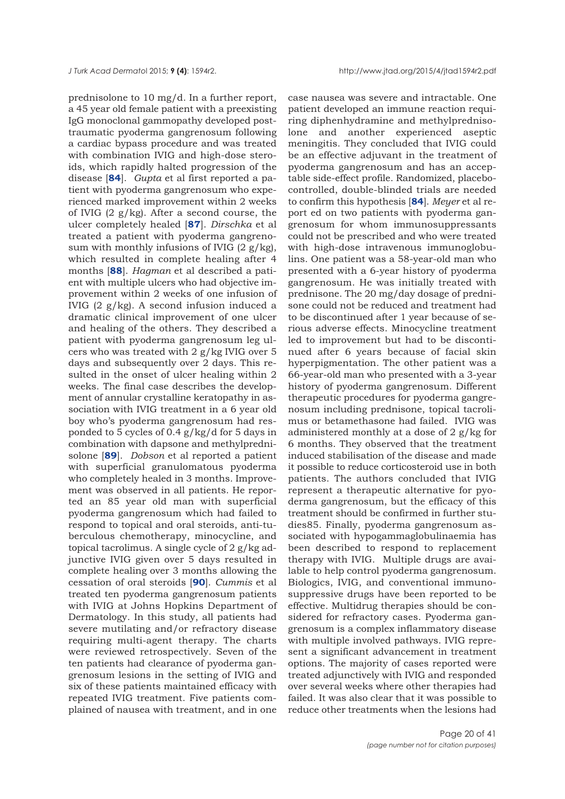prednisolone to 10 mg/d. In a further report, a 45 year old female patient with a preexisting IgG monoclonal gammopathy developed posttraumatic pyoderma gangrenosum following a cardiac bypass procedure and was treated with combination IVIG and high-dose steroids, which rapidly halted progression of the disease [**[84](#page-38-0)**]. *Gupta* et al first reported a patient with pyoderma gangrenosum who experienced marked improvement within 2 weeks of IVIG  $(2 g/kg)$ . After a second course, the ulcer completely healed [**[87](#page-38-0)**]. *Dirschka* et al treated a patient with pyoderma gangrenosum with monthly infusions of IVIG  $(2 g/kg)$ , which resulted in complete healing after 4 months [**[88](#page-38-0)**]. *Hagman* et al described a patient with multiple ulcers who had objective improvement within 2 weeks of one infusion of IVIG (2 g/kg). A second infusion induced a dramatic clinical improvement of one ulcer and healing of the others. They described a patient with pyoderma gangrenosum leg ulcers who was treated with 2 g/kg IVIG over 5 days and subsequently over 2 days. This resulted in the onset of ulcer healing within 2 weeks. The final case describes the development of annular crystalline keratopathy in association with IVIG treatment in a 6 year old boy who's pyoderma gangrenosum had responded to 5 cycles of 0.4 g/kg/d for 5 days in combination with dapsone and methylprednisolone [**[89](#page-38-0)**]. *Dobson* et al reported a patient with superficial granulomatous pyoderma who completely healed in 3 months. Improvement was observed in all patients. He reported an 85 year old man with superficial pyoderma gangrenosum which had failed to respond to topical and oral steroids, anti-tuberculous chemotherapy, minocycline, and topical tacrolimus. A single cycle of 2 g/kg adjunctive IVIG given over 5 days resulted in complete healing over 3 months allowing the cessation of oral steroids [**[90](#page-38-0)**]. *Cummis* et al treated ten pyoderma gangrenosum patients with IVIG at Johns Hopkins Department of Dermatology. In this study, all patients had severe mutilating and/or refractory disease requiring multi-agent therapy. The charts were reviewed retrospectively. Seven of the ten patients had clearance of pyoderma gangrenosum lesions in the setting of IVIG and six of these patients maintained efficacy with repeated IVIG treatment. Five patients complained of nausea with treatment, and in one

case nausea was severe and intractable. One patient developed an immune reaction requiring diphenhydramine and methylprednisolone and another experienced aseptic meningitis. They concluded that IVIG could be an effective adjuvant in the treatment of pyoderma gangrenosum and has an acceptable side-effect profile. Randomized, placebocontrolled, double-blinded trials are needed to confirm this hypothesis [**[84](#page-38-0)**]. *Meyer* et al report ed on two patients with pyoderma gangrenosum for whom immunosuppressants could not be prescribed and who were treated with high-dose intravenous immunoglobulins. One patient was a 58-year-old man who presented with a 6-year history of pyoderma gangrenosum. He was initially treated with prednisone. The 20 mg/day dosage of prednisone could not be reduced and treatment had to be discontinued after 1 year because of serious adverse effects. Minocycline treatment led to improvement but had to be discontinued after 6 years because of facial skin hyperpigmentation. The other patient was a 66-year-old man who presented with a 3-year history of pyoderma gangrenosum. Different therapeutic procedures for pyoderma gangrenosum including prednisone, topical tacrolimus or betamethasone had failed. IVIG was administered monthly at a dose of 2 g/kg for 6 months. They observed that the treatment induced stabilisation of the disease and made it possible to reduce corticosteroid use in both patients. The authors concluded that IVIG represent a therapeutic alternative for pyoderma gangrenosum, but the efficacy of this treatment should be confirmed in further studies85. Finally, pyoderma gangrenosum associated with hypogammaglobulinaemia has been described to respond to replacement therapy with IVIG. Multiple drugs are available to help control pyoderma gangrenosum. Biologics, IVIG, and conventional immunosuppressive drugs have been reported to be effective. Multidrug therapies should be considered for refractory cases. Pyoderma gangrenosum is a complex inflammatory disease with multiple involved pathways. IVIG represent a significant advancement in treatment options. The majority of cases reported were treated adjunctively with IVIG and responded over several weeks where other therapies had failed. It was also clear that it was possible to reduce other treatments when the lesions had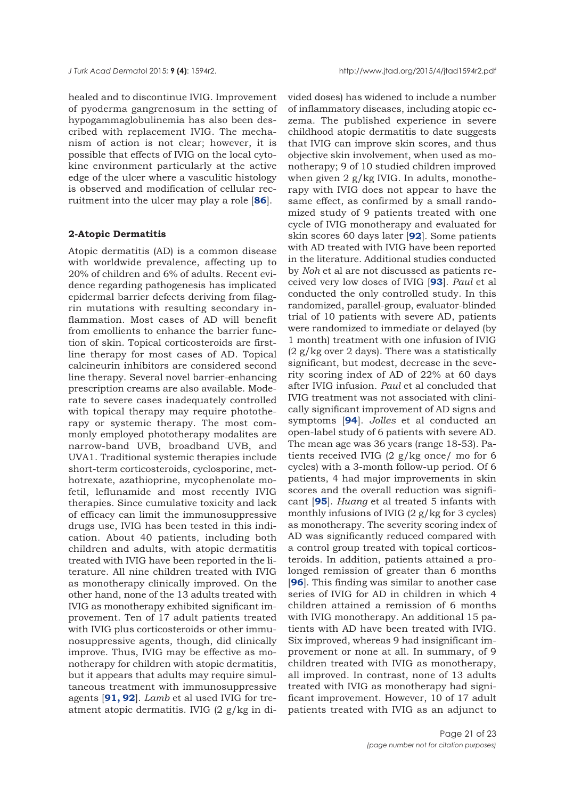healed and to discontinue IVIG. Improvement of pyoderma gangrenosum in the setting of hypogammaglobulinemia has also been described with replacement IVIG. The mechanism of action is not clear; however, it is possible that effects of IVIG on the local cytokine environment particularly at the active edge of the ulcer where a vasculitic histology is observed and modification of cellular recruitment into the ulcer may play a role [**[86](#page-38-0)**].

## **2-Atopic Dermatitis**

Atopic dermatitis (AD) is a common disease with worldwide prevalence, affecting up to 20% of children and 6% of adults. Recent evidence regarding pathogenesis has implicated epidermal barrier defects deriving from filagrin mutations with resulting secondary inflammation. Most cases of AD will benefit from emollients to enhance the barrier function of skin. Topical corticosteroids are firstline therapy for most cases of AD. Topical calcineurin inhibitors are considered second line therapy. Several novel barrier-enhancing prescription creams are also available. Moderate to severe cases inadequately controlled with topical therapy may require phototherapy or systemic therapy. The most commonly employed phototherapy modalites are narrow-band UVB, broadband UVB, and UVA1. Traditional systemic therapies include short-term corticosteroids, cyclosporine, methotrexate, azathioprine, mycophenolate mofetil, leflunamide and most recently IVIG therapies. Since cumulative toxicity and lack of efficacy can limit the immunosuppressive drugs use, IVIG has been tested in this indication. About 40 patients, including both children and adults, with atopic dermatitis treated with IVIG have been reported in the literature. All nine children treated with IVIG as monotherapy clinically improved. On the other hand, none of the 13 adults treated with IVIG as monotherapy exhibited significant improvement. Ten of 17 adult patients treated with IVIG plus corticosteroids or other immunosuppressive agents, though, did clinically improve. Thus, IVIG may be effective as monotherapy for children with atopic dermatitis, but it appears that adults may require simultaneous treatment with immunosuppressive agents [**[91,](#page-39-0) [92](#page-38-0)**]. *Lamb* et al used IVIG for treatment atopic dermatitis. IVIG (2 g/kg in di-

vided doses) has widened to include a number of inflammatory diseases, including atopic eczema. The published experience in severe childhood atopic dermatitis to date suggests that IVIG can improve skin scores, and thus objective skin involvement, when used as monotherapy; 9 of 10 studied children improved when given 2 g/kg IVIG. In adults, monotherapy with IVIG does not appear to have the same effect, as confirmed by a small randomized study of 9 patients treated with one cycle of IVIG monotherapy and evaluated for skin scores 60 days later [**[92](#page-38-0)**]. Some patients with AD treated with IVIG have been reported in the literature. Additional studies conducted by *Noh* et al are not discussed as patients received very low doses of IVIG [**[93](#page-38-0)**]. *Paul* et al conducted the only controlled study. In this randomized, parallel-group, evaluator-blinded trial of 10 patients with severe AD, patients were randomized to immediate or delayed (by 1 month) treatment with one infusion of IVIG (2 g/kg over 2 days). There was a statistically significant, but modest, decrease in the severity scoring index of AD of 22% at 60 days after IVIG infusion. *Paul* et al concluded that IVIG treatment was not associated with clinically significant improvement of AD signs and symptoms [**[94](#page-38-0)**]. *Jolles* et al conducted an open-label study of 6 patients with severe AD. The mean age was 36 years (range 18-53). Patients received IVIG (2 g/kg once/ mo for 6 cycles) with a 3-month follow-up period. Of 6 patients, 4 had major improvements in skin scores and the overall reduction was significant [**[95](#page-38-0)**]. *Huang* et al treated 5 infants with monthly infusions of IVIG  $(2 \text{ g/kg}$  for 3 cycles) as monotherapy. The severity scoring index of AD was significantly reduced compared with a control group treated with topical corticosteroids. In addition, patients attained a prolonged remission of greater than 6 months [**[96](#page-38-0)**]. This finding was similar to another case series of IVIG for AD in children in which 4 children attained a remission of 6 months with IVIG monotherapy. An additional 15 patients with AD have been treated with IVIG. Six improved, whereas 9 had insignificant improvement or none at all. In summary, of 9 children treated with IVIG as monotherapy, all improved. In contrast, none of 13 adults treated with IVIG as monotherapy had significant improvement. However, 10 of 17 adult patients treated with IVIG as an adjunct to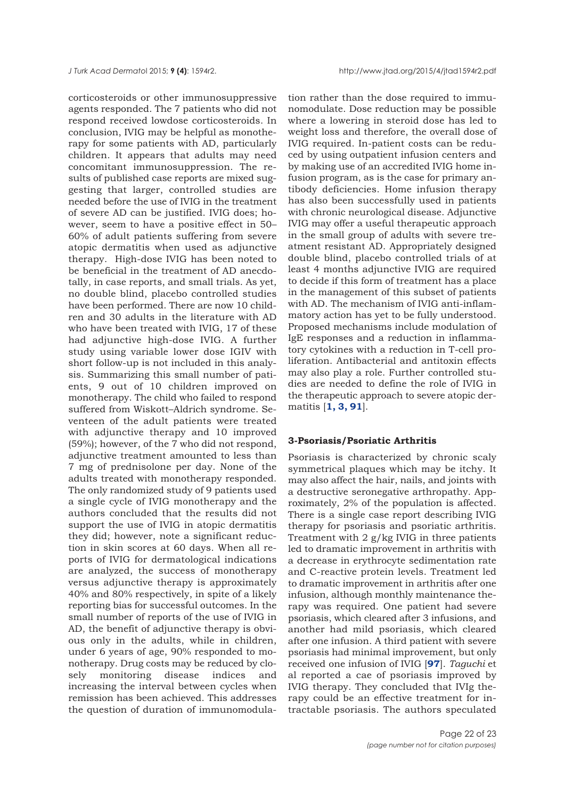corticosteroids or other immunosuppressive agents responded. The 7 patients who did not respond received lowdose corticosteroids. In conclusion, IVIG may be helpful as monotherapy for some patients with AD, particularly children. It appears that adults may need concomitant immunosuppression. The results of published case reports are mixed suggesting that larger, controlled studies are needed before the use of IVIG in the treatment of severe AD can be justified. IVIG does; however, seem to have a positive effect in 50– 60% of adult patients suffering from severe atopic dermatitis when used as adjunctive therapy. High-dose IVIG has been noted to be beneficial in the treatment of AD anecdotally, in case reports, and small trials. As yet, no double blind, placebo controlled studies have been performed. There are now 10 children and 30 adults in the literature with AD who have been treated with IVIG, 17 of these had adjunctive high-dose IVIG. A further study using variable lower dose IGIV with short follow-up is not included in this analysis. Summarizing this small number of patients, 9 out of 10 children improved on monotherapy. The child who failed to respond suffered from Wiskott–Aldrich syndrome. Seventeen of the adult patients were treated with adjunctive therapy and 10 improved (59%); however, of the 7 who did not respond, adjunctive treatment amounted to less than 7 mg of prednisolone per day. None of the adults treated with monotherapy responded. The only randomized study of 9 patients used a single cycle of IVIG monotherapy and the authors concluded that the results did not support the use of IVIG in atopic dermatitis they did; however, note a significant reduction in skin scores at 60 days. When all reports of IVIG for dermatological indications are analyzed, the success of monotherapy versus adjunctive therapy is approximately 40% and 80% respectively, in spite of a likely reporting bias for successful outcomes. In the small number of reports of the use of IVIG in AD, the benefit of adjunctive therapy is obvious only in the adults, while in children, under 6 years of age, 90% responded to monotherapy. Drug costs may be reduced by closely monitoring disease indices and increasing the interval between cycles when remission has been achieved. This addresses the question of duration of immunomodula-

tion rather than the dose required to immunomodulate. Dose reduction may be possible where a lowering in steroid dose has led to weight loss and therefore, the overall dose of IVIG required. In-patient costs can be reduced by using outpatient infusion centers and by making use of an accredited IVIG home infusion program, as is the case for primary antibody deficiencies. Home infusion therapy has also been successfully used in patients with chronic neurological disease. Adjunctive IVIG may offer a useful therapeutic approach in the small group of adults with severe treatment resistant AD. Appropriately designed double blind, placebo controlled trials of at least 4 months adjunctive IVIG are required to decide if this form of treatment has a place in the management of this subset of patients with AD. The mechanism of IVIG anti-inflammatory action has yet to be fully understood. Proposed mechanisms include modulation of IgE responses and a reduction in inflammatory cytokines with a reduction in T-cell proliferation. Antibacterial and antitoxin effects may also play a role. Further controlled studies are needed to define the role of IVIG in the therapeutic approach to severe atopic dermatitis [**[1, 3,](#page-35-0) [91](#page-38-0)**].

#### **3-Psoriasis/Psoriatic Arthritis**

Psoriasis is characterized by chronic scaly symmetrical plaques which may be itchy. It may also affect the hair, nails, and joints with a destructive seronegative arthropathy. Approximately, 2% of the population is affected. There is a single case report describing IVIG therapy for psoriasis and psoriatic arthritis. Treatment with 2 g/kg IVIG in three patients led to dramatic improvement in arthritis with a decrease in erythrocyte sedimentation rate and C-reactive protein levels. Treatment led to dramatic improvement in arthritis after one infusion, although monthly maintenance therapy was required. One patient had severe psoriasis, which cleared after 3 infusions, and another had mild psoriasis, which cleared after one infusion. A third patient with severe psoriasis had minimal improvement, but only received one infusion of IVIG [**[97](#page-38-0)**]. *Taguchi* et al reported a cae of psoriasis improved by IVIG therapy. They concluded that IVIg therapy could be an effective treatment for intractable psoriasis. The authors speculated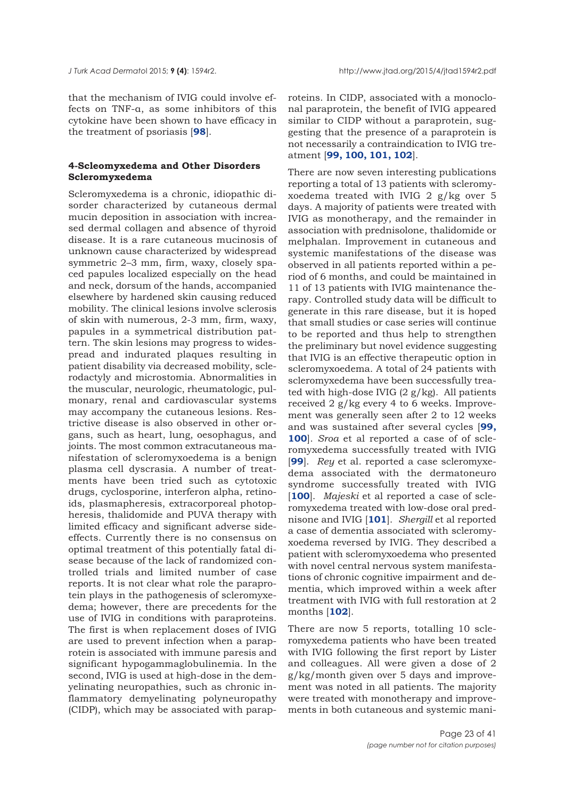that the mechanism of IVIG could involve effects on TNF-α, as some inhibitors of this cytokine have been shown to have efficacy in the treatment of psoriasis [**[98](#page-38-0)**].

## **4-Scleomyxedema and Other Disorders Scleromyxedema**

Scleromyxedema is a chronic, idiopathic disorder characterized by cutaneous dermal mucin deposition in association with increased dermal collagen and absence of thyroid disease. It is a rare cutaneous mucinosis of unknown cause characterized by widespread symmetric 2–3 mm, firm, waxy, closely spaced papules localized especially on the head and neck, dorsum of the hands, accompanied elsewhere by hardened skin causing reduced mobility. The clinical lesions involve sclerosis of skin with numerous, 2-3 mm, firm, waxy, papules in a symmetrical distribution pattern. The skin lesions may progress to widespread and indurated plaques resulting in patient disability via decreased mobility, sclerodactyly and microstomia. Abnormalities in the muscular, neurologic, rheumatologic, pulmonary, renal and cardiovascular systems may accompany the cutaneous lesions. Restrictive disease is also observed in other organs, such as heart, lung, oesophagus, and joints. The most common extracutaneous manifestation of scleromyxoedema is a benign plasma cell dyscrasia. A number of treatments have been tried such as cytotoxic drugs, cyclosporine, interferon alpha, retinoids, plasmapheresis, extracorporeal photopheresis, thalidomide and PUVA therapy with limited efficacy and significant adverse sideeffects. Currently there is no consensus on optimal treatment of this potentially fatal disease because of the lack of randomized controlled trials and limited number of case reports. It is not clear what role the paraprotein plays in the pathogenesis of scleromyxedema; however, there are precedents for the use of IVIG in conditions with paraproteins. The first is when replacement doses of IVIG are used to prevent infection when a paraprotein is associated with immune paresis and significant hypogammaglobulinemia. In the second, IVIG is used at high-dose in the demyelinating neuropathies, such as chronic inflammatory demyelinating polyneuropathy (CIDP), which may be associated with paraproteins. In CIDP, associated with a monoclonal paraprotein, the benefit of IVIG appeared similar to CIDP without a paraprotein, suggesting that the presence of a paraprotein is not necessarily a contraindication to IVIG treatment [**[99, 100, 101, 102](#page-38-0)**].

There are now seven interesting publications reporting a total of 13 patients with scleromyxoedema treated with IVIG 2 g/kg over 5 days. A majority of patients were treated with IVIG as monotherapy, and the remainder in association with prednisolone, thalidomide or melphalan. Improvement in cutaneous and systemic manifestations of the disease was observed in all patients reported within a period of 6 months, and could be maintained in 11 of 13 patients with IVIG maintenance therapy. Controlled study data will be difficult to generate in this rare disease, but it is hoped that small studies or case series will continue to be reported and thus help to strengthen the preliminary but novel evidence suggesting that IVIG is an effective therapeutic option in scleromyxoedema. A total of 24 patients with scleromyxedema have been successfully treated with high-dose IVIG (2 g/kg). All patients received 2 g/kg every 4 to 6 weeks. Improvement was generally seen after 2 to 12 weeks and was sustained after several cycles [**[99,](#page-38-0) [100](#page-38-0)**]. *Sroa* et al reported a case of of scleromyxedema successfully treated with IVIG [**99**]. *Rey* et al. reported a case scleromyxedema associated with the dermatoneuro syndrome successfully treated with IVIG [100]. *Majeski* et al reported a case of scleromyxedema treated with low-dose oral prednisone and IVIG [**[101](#page-38-0)**]. *Shergill* et al reported a case of dementia associated with scleromyxoedema reversed by IVIG. They described a patient with scleromyxoedema who presented with novel central nervous system manifestations of chronic cognitive impairment and dementia, which improved within a week after treatment with IVIG with full restoration at 2 months [**[102](#page-38-0)**].

There are now 5 reports, totalling 10 scleromyxedema patients who have been treated with IVIG following the first report by Lister and colleagues. All were given a dose of 2 g/kg/month given over 5 days and improvement was noted in all patients. The majority were treated with monotherapy and improvements in both cutaneous and systemic mani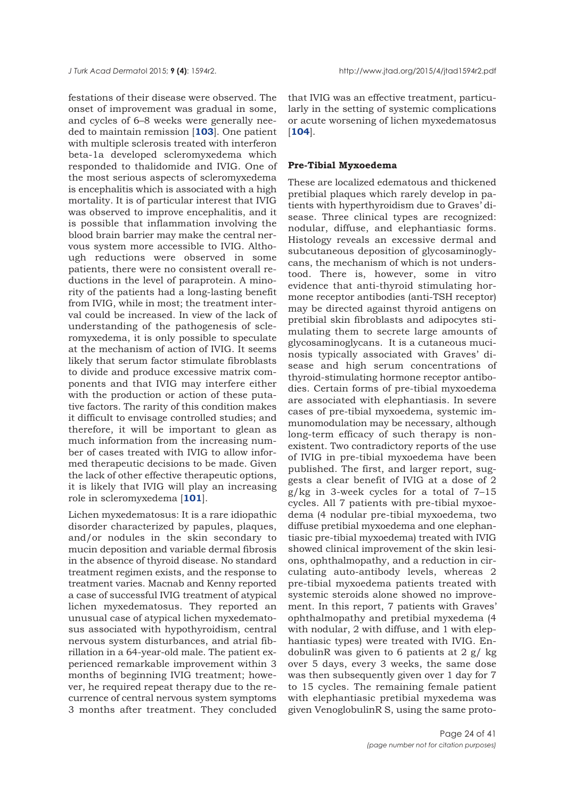festations of their disease were observed. The onset of improvement was gradual in some, and cycles of 6–8 weeks were generally needed to maintain remission [**[103](#page-38-0)**]. One patient with multiple sclerosis treated with interferon beta-1a developed scleromyxedema which responded to thalidomide and IVIG. One of the most serious aspects of scleromyxedema is encephalitis which is associated with a high mortality. It is of particular interest that IVIG was observed to improve encephalitis, and it is possible that inflammation involving the blood brain barrier may make the central nervous system more accessible to IVIG. Although reductions were observed in some patients, there were no consistent overall reductions in the level of paraprotein. A minority of the patients had a long-lasting benefit from IVIG, while in most; the treatment interval could be increased. In view of the lack of understanding of the pathogenesis of scleromyxedema, it is only possible to speculate at the mechanism of action of IVIG. It seems likely that serum factor stimulate fibroblasts to divide and produce excessive matrix components and that IVIG may interfere either with the production or action of these putative factors. The rarity of this condition makes it difficult to envisage controlled studies; and therefore, it will be important to glean as much information from the increasing number of cases treated with IVIG to allow informed therapeutic decisions to be made. Given the lack of other effective therapeutic options, it is likely that IVIG will play an increasing role in scleromyxedema [**[101](#page-38-0)**].

Lichen myxedematosus: It is a rare idiopathic disorder characterized by papules, plaques, and/or nodules in the skin secondary to mucin deposition and variable dermal fibrosis in the absence of thyroid disease. No standard treatment regimen exists, and the response to treatment varies. Macnab and Kenny reported a case of successful IVIG treatment of atypical lichen myxedematosus. They reported an unusual case of atypical lichen myxedematosus associated with hypothyroidism, central nervous system disturbances, and atrial fibrillation in a 64-year-old male. The patient experienced remarkable improvement within 3 months of beginning IVIG treatment; however, he required repeat therapy due to the recurrence of central nervous system symptoms 3 months after treatment. They concluded

that IVIG was an effective treatment, particularly in the setting of systemic complications or acute worsening of lichen myxedematosus [**[104](#page-38-0)**].

#### **Pre-Tibial Myxoedema**

These are localized edematous and thickened pretibial plaques which rarely develop in patients with hyperthyroidism due to Graves' disease. Three clinical types are recognized: nodular, diffuse, and elephantiasic forms. Histology reveals an excessive dermal and subcutaneous deposition of glycosaminoglycans, the mechanism of which is not understood. There is, however, some in vitro evidence that anti-thyroid stimulating hormone receptor antibodies (anti-TSH receptor) may be directed against thyroid antigens on pretibial skin fibroblasts and adipocytes stimulating them to secrete large amounts of glycosaminoglycans. It is a cutaneous mucinosis typically associated with Graves' disease and high serum concentrations of thyroid-stimulating hormone receptor antibodies. Certain forms of pre-tibial myxoedema are associated with elephantiasis. In severe cases of pre-tibial myxoedema, systemic immunomodulation may be necessary, although long-term efficacy of such therapy is nonexistent. Two contradictory reports of the use of IVIG in pre-tibial myxoedema have been published. The first, and larger report, suggests a clear benefit of IVIG at a dose of 2  $g/kg$  in 3-week cycles for a total of  $7-15$ cycles. All 7 patients with pre-tibial myxoedema (4 nodular pre-tibial myxoedema, two diffuse pretibial myxoedema and one elephantiasic pre-tibial myxoedema) treated with IVIG showed clinical improvement of the skin lesions, ophthalmopathy, and a reduction in circulating auto-antibody levels, whereas 2 pre-tibial myxoedema patients treated with systemic steroids alone showed no improvement. In this report, 7 patients with Graves' ophthalmopathy and pretibial myxedema (4 with nodular, 2 with diffuse, and 1 with elephantiasic types) were treated with IVIG. EndobulinR was given to 6 patients at  $2 g / kg$ over 5 days, every 3 weeks, the same dose was then subsequently given over 1 day for 7 to 15 cycles. The remaining female patient with elephantiasic pretibial myxedema was given VenoglobulinR S, using the same proto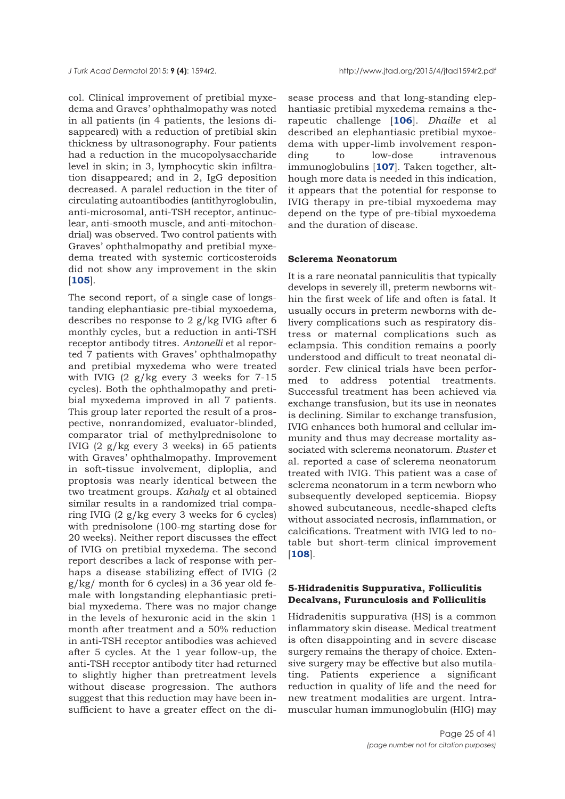col. Clinical improvement of pretibial myxedema and Graves' ophthalmopathy was noted in all patients (in 4 patients, the lesions disappeared) with a reduction of pretibial skin thickness by ultrasonography. Four patients had a reduction in the mucopolysaccharide level in skin; in 3, lymphocytic skin infiltration disappeared; and in 2, IgG deposition decreased. A paralel reduction in the titer of circulating autoantibodies (antithyroglobulin, anti-microsomal, anti-TSH receptor, antinuclear, anti-smooth muscle, and anti-mitochondrial) was observed. Two control patients with Graves' ophthalmopathy and pretibial myxedema treated with systemic corticosteroids did not show any improvement in the skin [**[105](#page-38-0)**].

The second report, of a single case of longstanding elephantiasic pre-tibial myxoedema, describes no response to 2 g/kg IVIG after 6 monthly cycles, but a reduction in anti-TSH receptor antibody titres. *Antonelli* et al reported 7 patients with Graves' ophthalmopathy and pretibial myxedema who were treated with IVIG  $(2 \frac{g}{kg})$  every 3 weeks for 7-15 cycles). Both the ophthalmopathy and pretibial myxedema improved in all 7 patients. This group later reported the result of a prospective, nonrandomized, evaluator-blinded, comparator trial of methylprednisolone to IVIG (2 g/kg every 3 weeks) in 65 patients with Graves' ophthalmopathy. Improvement in soft-tissue involvement, diploplia, and proptosis was nearly identical between the two treatment groups. *Kahaly* et al obtained similar results in a randomized trial comparing IVIG (2 g/kg every 3 weeks for 6 cycles) with prednisolone (100-mg starting dose for 20 weeks). Neither report discusses the effect of IVIG on pretibial myxedema. The second report describes a lack of response with perhaps a disease stabilizing effect of IVIG (2 g/kg/ month for 6 cycles) in a 36 year old female with longstanding elephantiasic pretibial myxedema. There was no major change in the levels of hexuronic acid in the skin 1 month after treatment and a 50% reduction in anti-TSH receptor antibodies was achieved after 5 cycles. At the 1 year follow-up, the anti-TSH receptor antibody titer had returned to slightly higher than pretreatment levels without disease progression. The authors suggest that this reduction may have been insufficient to have a greater effect on the disease process and that long-standing elephantiasic pretibial myxedema remains a therapeutic challenge [**[106](#page-39-0)**]. *Dhaille* et al described an elephantiasic pretibial myxoedema with upper-limb involvement responding to low-dose intravenous immunoglobulins [**[107](#page-39-0)**]. Taken together, although more data is needed in this indication, it appears that the potential for response to IVIG therapy in pre-tibial myxoedema may depend on the type of pre-tibial myxoedema and the duration of disease.

### **Sclerema Neonatorum**

It is a rare neonatal panniculitis that typically develops in severely ill, preterm newborns within the first week of life and often is fatal. It usually occurs in preterm newborns with delivery complications such as respiratory distress or maternal complications such as eclampsia. This condition remains a poorly understood and difficult to treat neonatal disorder. Few clinical trials have been performed to address potential treatments. Successful treatment has been achieved via exchange transfusion, but its use in neonates is declining. Similar to exchange transfusion, IVIG enhances both humoral and cellular immunity and thus may decrease mortality associated with sclerema neonatorum. *Buster* et al. reported a case of sclerema neonatorum treated with IVIG. This patient was a case of sclerema neonatorum in a term newborn who subsequently developed septicemia. Biopsy showed subcutaneous, needle-shaped clefts without associated necrosis, inflammation, or calcifications. Treatment with IVIG led to notable but short-term clinical improvement [**[108](#page-39-0)**].

## **5-Hidradenitis Suppurativa, Folliculitis Decalvans, Furunculosis and Folliculitis**

Hidradenitis suppurativa (HS) is a common inflammatory skin disease. Medical treatment is often disappointing and in severe disease surgery remains the therapy of choice. Extensive surgery may be effective but also mutilating. Patients experience a significant reduction in quality of life and the need for new treatment modalities are urgent. Intramuscular human immunoglobulin (HIG) may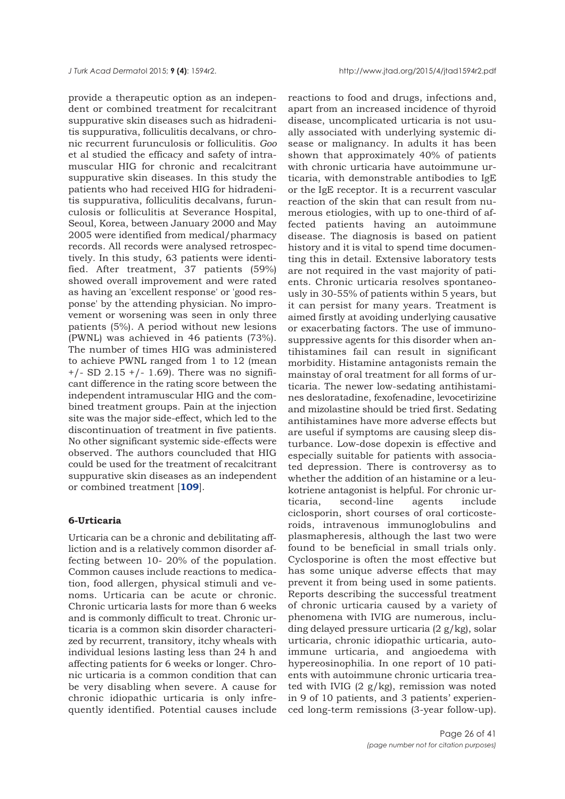provide a therapeutic option as an independent or combined treatment for recalcitrant suppurative skin diseases such as hidradenitis suppurativa, folliculitis decalvans, or chronic recurrent furunculosis or folliculitis. *Goo* et al studied the efficacy and safety of intramuscular HIG for chronic and recalcitrant suppurative skin diseases. In this study the patients who had received HIG for hidradenitis suppurativa, folliculitis decalvans, furunculosis or folliculitis at Severance Hospital, Seoul, Korea, between January 2000 and May 2005 were identified from medical/pharmacy records. All records were analysed retrospectively. In this study, 63 patients were identified. After treatment, 37 patients (59%) showed overall improvement and were rated as having an 'excellent response' or 'good response' by the attending physician. No improvement or worsening was seen in only three patients (5%). A period without new lesions (PWNL) was achieved in 46 patients (73%). The number of times HIG was administered to achieve PWNL ranged from 1 to 12 (mean  $+/-$  SD 2.15  $+/-$  1.69). There was no significant difference in the rating score between the independent intramuscular HIG and the combined treatment groups. Pain at the injection site was the major side-effect, which led to the discontinuation of treatment in five patients. No other significant systemic side-effects were observed. The authors councluded that HIG could be used for the treatment of recalcitrant suppurative skin diseases as an independent or combined treatment [**[109](#page-39-0)**].

#### **6-Urticaria**

Urticaria can be a chronic and debilitating affliction and is a relatively common disorder affecting between 10- 20% of the population. Common causes include reactions to medication, food allergen, physical stimuli and venoms. Urticaria can be acute or chronic. Chronic urticaria lasts for more than 6 weeks and is commonly difficult to treat. Chronic urticaria is a common skin disorder characterized by recurrent, transitory, itchy wheals with individual lesions lasting less than 24 h and affecting patients for 6 weeks or longer. Chronic urticaria is a common condition that can be very disabling when severe. A cause for chronic idiopathic urticaria is only infrequently identified. Potential causes include reactions to food and drugs, infections and, apart from an increased incidence of thyroid disease, uncomplicated urticaria is not usually associated with underlying systemic disease or malignancy. In adults it has been shown that approximately 40% of patients with chronic urticaria have autoimmune urticaria, with demonstrable antibodies to IgE or the IgE receptor. It is a recurrent vascular reaction of the skin that can result from numerous etiologies, with up to one-third of affected patients having an autoimmune disease. The diagnosis is based on patient history and it is vital to spend time documenting this in detail. Extensive laboratory tests are not required in the vast majority of patients. Chronic urticaria resolves spontaneously in 30-55% of patients within 5 years, but it can persist for many years. Treatment is aimed firstly at avoiding underlying causative or exacerbating factors. The use of immunosuppressive agents for this disorder when antihistamines fail can result in significant morbidity. Histamine antagonists remain the mainstay of oral treatment for all forms of urticaria. The newer low-sedating antihistamines desloratadine, fexofenadine, levocetirizine and mizolastine should be tried first. Sedating antihistamines have more adverse effects but are useful if symptoms are causing sleep disturbance. Low-dose dopexin is effective and especially suitable for patients with associated depression. There is controversy as to whether the addition of an histamine or a leukotriene antagonist is helpful. For chronic urticaria, second-line agents include ciclosporin, short courses of oral corticosteroids, intravenous immunoglobulins and plasmapheresis, although the last two were found to be beneficial in small trials only. Cyclosporine is often the most effective but has some unique adverse effects that may prevent it from being used in some patients. Reports describing the successful treatment of chronic urticaria caused by a variety of phenomena with IVIG are numerous, including delayed pressure urticaria (2 g/kg), solar urticaria, chronic idiopathic urticaria, autoimmune urticaria, and angioedema with hypereosinophilia. In one report of 10 patients with autoimmune chronic urticaria treated with IVIG  $(2 \frac{g}{kg})$ , remission was noted in 9 of 10 patients, and 3 patients' experienced long-term remissions (3-year follow-up).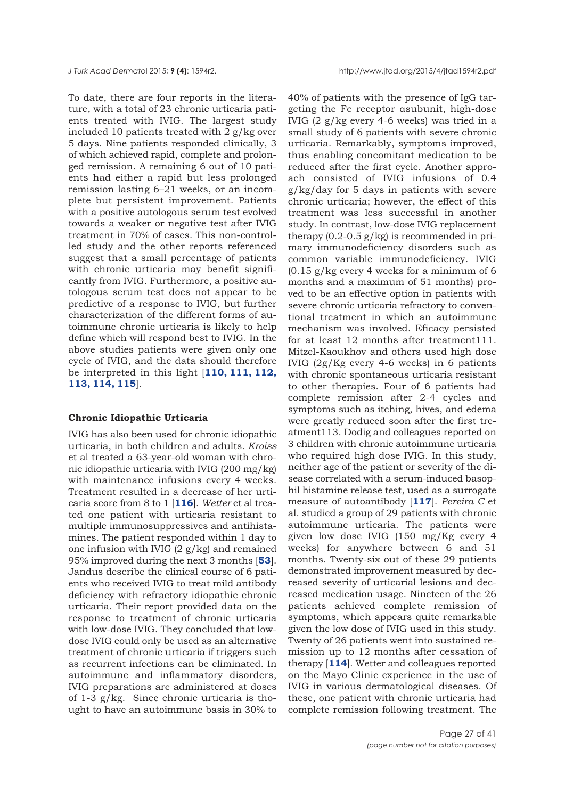To date, there are four reports in the literature, with a total of 23 chronic urticaria patients treated with IVIG. The largest study included 10 patients treated with 2 g/kg over 5 days. Nine patients responded clinically, 3 of which achieved rapid, complete and prolonged remission. A remaining 6 out of 10 patients had either a rapid but less prolonged remission lasting 6–21 weeks, or an incomplete but persistent improvement. Patients with a positive autologous serum test evolved towards a weaker or negative test after IVIG treatment in 70% of cases. This non-controlled study and the other reports referenced suggest that a small percentage of patients with chronic urticaria may benefit significantly from IVIG. Furthermore, a positive autologous serum test does not appear to be predictive of a response to IVIG, but further characterization of the different forms of autoimmune chronic urticaria is likely to help define which will respond best to IVIG. In the above studies patients were given only one cycle of IVIG, and the data should therefore be interpreted in this light [**[110, 111, 112,](#page-39-0) [113, 114, 115](#page-39-0)**].

#### **Chronic Idiopathic Urticaria**

IVIG has also been used for chronic idiopathic urticaria, in both children and adults. *Kroiss* et al treated a 63-year-old woman with chronic idiopathic urticaria with IVIG (200 mg/kg) with maintenance infusions every 4 weeks. Treatment resulted in a decrease of her urticaria score from 8 to 1 [**[116](#page-39-0)**]. *Wetter* et al treated one patient with urticaria resistant to multiple immunosuppressives and antihistamines. The patient responded within 1 day to one infusion with IVIG  $(2 g/kg)$  and remained 95% improved during the next 3 months [**[53](#page-37-0)**]. Jandus describe the clinical course of 6 patients who received IVIG to treat mild antibody deficiency with refractory idiopathic chronic urticaria. Their report provided data on the response to treatment of chronic urticaria with low-dose IVIG. They concluded that lowdose IVIG could only be used as an alternative treatment of chronic urticaria if triggers such as recurrent infections can be eliminated. In autoimmune and inflammatory disorders, IVIG preparations are administered at doses of 1-3 g/kg. Since chronic urticaria is thought to have an autoimmune basis in 30% to

40% of patients with the presence of IgG targeting the Fc receptor αsubunit, high-dose IVIG (2 g/kg every 4-6 weeks) was tried in a small study of 6 patients with severe chronic urticaria. Remarkably, symptoms improved, thus enabling concomitant medication to be reduced after the first cycle. Another approach consisted of IVIG infusions of 0.4 g/kg/day for 5 days in patients with severe chronic urticaria; however, the effect of this treatment was less successful in another study. In contrast, low-dose IVIG replacement therapy  $(0.2-0.5 \text{ g/kg})$  is recommended in primary immunodeficiency disorders such as common variable immunodeficiency. IVIG  $(0.15 \text{ g/kg}$  every 4 weeks for a minimum of 6 months and a maximum of 51 months) proved to be an effective option in patients with severe chronic urticaria refractory to conventional treatment in which an autoimmune mechanism was involved. Eficacy persisted for at least 12 months after treatment111. Mitzel-Kaoukhov and others used high dose IVIG (2g/Kg every 4-6 weeks) in 6 patients with chronic spontaneous urticaria resistant to other therapies. Four of 6 patients had complete remission after 2-4 cycles and symptoms such as itching, hives, and edema were greatly reduced soon after the first treatment113. Dodig and colleagues reported on 3 children with chronic autoimmune urticaria who required high dose IVIG. In this study, neither age of the patient or severity of the disease correlated with a serum-induced basophil histamine release test, used as a surrogate measure of autoantibody [**[117](#page-39-0)**]. *Pereira C* et al. studied a group of 29 patients with chronic autoimmune urticaria. The patients were given low dose IVIG (150 mg/Kg every 4 weeks) for anywhere between 6 and 51 months. Twenty-six out of these 29 patients demonstrated improvement measured by decreased severity of urticarial lesions and decreased medication usage. Nineteen of the 26 patients achieved complete remission of symptoms, which appears quite remarkable given the low dose of IVIG used in this study. Twenty of 26 patients went into sustained remission up to 12 months after cessation of therapy [**[114](#page-39-0)**]. Wetter and colleagues reported on the Mayo Clinic experience in the use of IVIG in various dermatological diseases. Of these, one patient with chronic urticaria had complete remission following treatment. The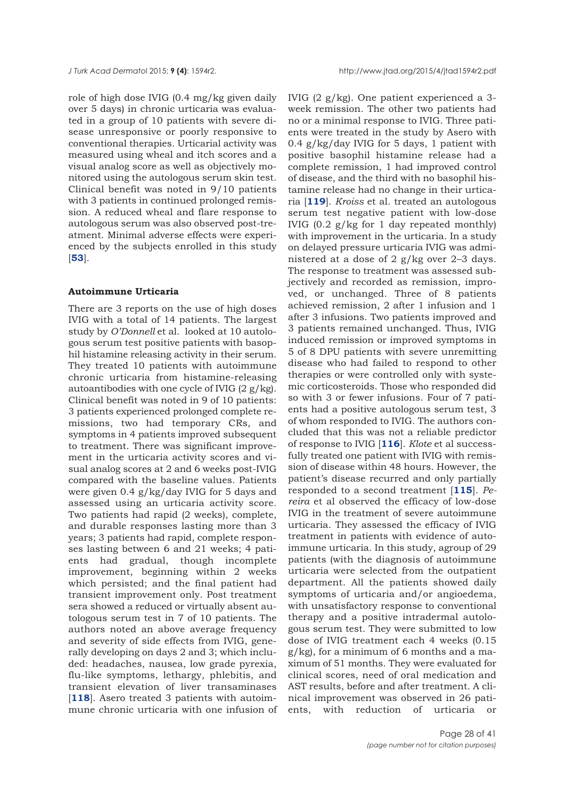role of high dose IVIG (0.4 mg/kg given daily over 5 days) in chronic urticaria was evaluated in a group of 10 patients with severe disease unresponsive or poorly responsive to conventional therapies. Urticarial activity was measured using wheal and itch scores and a visual analog score as well as objectively monitored using the autologous serum skin test. Clinical benefit was noted in 9/10 patients with 3 patients in continued prolonged remission. A reduced wheal and flare response to autologous serum was also observed post-treatment. Minimal adverse effects were experienced by the subjects enrolled in this study [**[53](#page-36-0)**].

### **Autoimmune Urticaria**

There are 3 reports on the use of high doses IVIG with a total of 14 patients. The largest study by *O'Donnell* et al. looked at 10 autologous serum test positive patients with basophil histamine releasing activity in their serum. They treated 10 patients with autoimmune chronic urticaria from histamine-releasing autoantibodies with one cycle of IVIG (2 g/kg). Clinical benefit was noted in 9 of 10 patients: 3 patients experienced prolonged complete remissions, two had temporary CRs, and symptoms in 4 patients improved subsequent to treatment. There was significant improvement in the urticaria activity scores and visual analog scores at 2 and 6 weeks post-IVIG compared with the baseline values. Patients were given 0.4 g/kg/day IVIG for 5 days and assessed using an urticaria activity score. Two patients had rapid (2 weeks), complete, and durable responses lasting more than 3 years; 3 patients had rapid, complete responses lasting between 6 and 21 weeks; 4 patients had gradual, though incomplete improvement, beginning within 2 weeks which persisted; and the final patient had transient improvement only. Post treatment sera showed a reduced or virtually absent autologous serum test in 7 of 10 patients. The authors noted an above average frequency and severity of side effects from IVIG, generally developing on days 2 and 3; which included: headaches, nausea, low grade pyrexia, flu-like symptoms, lethargy, phlebitis, and transient elevation of liver transaminases [[118](#page-39-0)]. Asero treated 3 patients with autoimmune chronic urticaria with one infusion of IVIG (2 g/kg). One patient experienced a 3 week remission. The other two patients had no or a minimal response to IVIG. Three patients were treated in the study by Asero with 0.4 g/kg/day IVIG for 5 days, 1 patient with positive basophil histamine release had a complete remission, 1 had improved control of disease, and the third with no basophil histamine release had no change in their urticaria [**[119](#page-39-0)**]. *Kroiss* et al. treated an autologous serum test negative patient with low-dose IVIG (0.2 g/kg for 1 day repeated monthly) with improvement in the urticaria. In a study on delayed pressure urticaria IVIG was administered at a dose of 2 g/kg over 2–3 days. The response to treatment was assessed subjectively and recorded as remission, improved, or unchanged. Three of 8 patients achieved remission, 2 after 1 infusion and 1 after 3 infusions. Two patients improved and 3 patients remained unchanged. Thus, IVIG induced remission or improved symptoms in 5 of 8 DPU patients with severe unremitting disease who had failed to respond to other therapies or were controlled only with systemic corticosteroids. Those who responded did so with 3 or fewer infusions. Four of 7 patients had a positive autologous serum test, 3 of whom responded to IVIG. The authors concluded that this was not a reliable predictor of response to IVIG [**[116](#page-39-0)**]. *Klote* et al successfully treated one patient with IVIG with remission of disease within 48 hours. However, the patient's disease recurred and only partially responded to a second treatment [**[115](#page-39-0)**]. *Pereira* et al observed the efficacy of low-dose IVIG in the treatment of severe autoimmune urticaria. They assessed the efficacy of IVIG treatment in patients with evidence of autoimmune urticaria. In this study, agroup of 29 patients (with the diagnosis of autoimmune urticaria were selected from the outpatient department. All the patients showed daily symptoms of urticaria and/or angioedema, with unsatisfactory response to conventional therapy and a positive intradermal autologous serum test. They were submitted to low dose of IVIG treatment each 4 weeks (0.15  $g/kg$ , for a minimum of 6 months and a maximum of 51 months. They were evaluated for clinical scores, need of oral medication and AST results, before and after treatment. A clinical improvement was observed in 26 patients, with reduction of urticaria or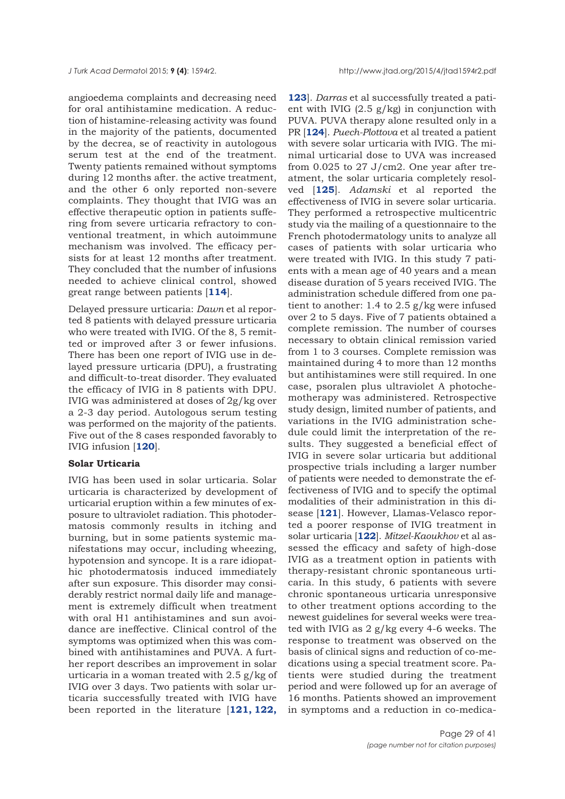angioedema complaints and decreasing need for oral antihistamine medication. A reduction of histamine-releasing activity was found in the majority of the patients, documented by the decrea, se of reactivity in autologous serum test at the end of the treatment. Twenty patients remained without symptoms during 12 months after. the active treatment, and the other 6 only reported non-severe complaints. They thought that IVIG was an effective therapeutic option in patients suffering from severe urticaria refractory to conventional treatment, in which autoimmune mechanism was involved. The efficacy persists for at least 12 months after treatment. They concluded that the number of infusions needed to achieve clinical control, showed great range between patients [**[114](#page-39-0)**].

Delayed pressure urticaria: *Dawn* et al reported 8 patients with delayed pressure urticaria who were treated with IVIG. Of the 8, 5 remitted or improved after 3 or fewer infusions. There has been one report of IVIG use in delayed pressure urticaria (DPU), a frustrating and difficult-to-treat disorder. They evaluated the efficacy of IVIG in 8 patients with DPU. IVIG was administered at doses of 2g/kg over a 2-3 day period. Autologous serum testing was performed on the majority of the patients. Five out of the 8 cases responded favorably to IVIG infusion [**[120](#page-39-0)**].

## **Solar Urticaria**

IVIG has been used in solar urticaria. Solar urticaria is characterized by development of urticarial eruption within a few minutes of exposure to ultraviolet radiation. This photodermatosis commonly results in itching and burning, but in some patients systemic manifestations may occur, including wheezing, hypotension and syncope. It is a rare idiopathic photodermatosis induced immediately after sun exposure. This disorder may considerably restrict normal daily life and management is extremely difficult when treatment with oral H1 antihistamines and sun avoidance are ineffective. Clinical control of the symptoms was optimized when this was combined with antihistamines and PUVA. A further report describes an improvement in solar urticaria in a woman treated with 2.5 g/kg of IVIG over 3 days. Two patients with solar urticaria successfully treated with IVIG have been reported in the literature [**[121, 122,](#page-39-0)**

**[123](#page-39-0)**]. *Darras* et al successfully treated a patient with IVIG  $(2.5 \text{ g/kg})$  in conjunction with PUVA. PUVA therapy alone resulted only in a PR [**[124](#page-39-0)**]. *Puech-Plottova* et al treated a patient with severe solar urticaria with IVIG. The minimal urticarial dose to UVA was increased from 0.025 to 27 J/cm2. One year after treatment, the solar urticaria completely resolved [**[125](#page-39-0)**]. *Adamski* et al reported the effectiveness of IVIG in severe solar urticaria. They performed a retrospective multicentric study via the mailing of a questionnaire to the French photodermatology units to analyze all cases of patients with solar urticaria who were treated with IVIG. In this study 7 patients with a mean age of 40 years and a mean disease duration of 5 years received IVIG. The administration schedule differed from one patient to another: 1.4 to 2.5 g/kg were infused over 2 to 5 days. Five of 7 patients obtained a complete remission. The number of courses necessary to obtain clinical remission varied from 1 to 3 courses. Complete remission was maintained during 4 to more than 12 months but antihistamines were still required. In one case, psoralen plus ultraviolet A photochemotherapy was administered. Retrospective study design, limited number of patients, and variations in the IVIG administration schedule could limit the interpretation of the results. They suggested a beneficial effect of IVIG in severe solar urticaria but additional prospective trials including a larger number of patients were needed to demonstrate the effectiveness of IVIG and to specify the optimal modalities of their administration in this disease [**[121](#page-39-0)**]. However, Llamas-Velasco reported a poorer response of IVIG treatment in solar urticaria [**[122](#page-39-0)**]. *Mitzel-Kaoukhov* et al assessed the efficacy and safety of high-dose IVIG as a treatment option in patients with therapy-resistant chronic spontaneous urticaria. In this study, 6 patients with severe chronic spontaneous urticaria unresponsive to other treatment options according to the newest guidelines for several weeks were treated with IVIG as 2 g/kg every 4-6 weeks. The response to treatment was observed on the basis of clinical signs and reduction of co-medications using a special treatment score. Patients were studied during the treatment period and were followed up for an average of 16 months. Patients showed an improvement in symptoms and a reduction in co-medica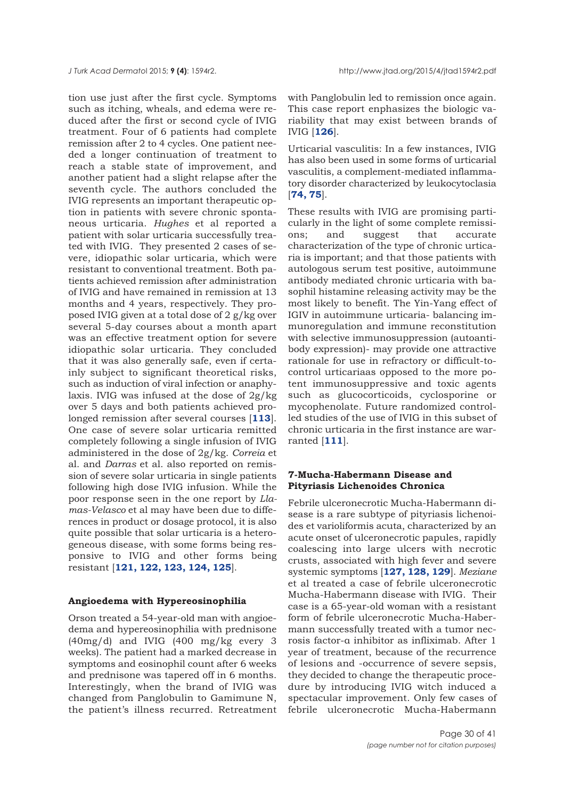tion use just after the first cycle. Symptoms such as itching, wheals, and edema were reduced after the first or second cycle of IVIG treatment. Four of 6 patients had complete remission after 2 to 4 cycles. One patient needed a longer continuation of treatment to reach a stable state of improvement, and another patient had a slight relapse after the seventh cycle. The authors concluded the IVIG represents an important therapeutic option in patients with severe chronic spontaneous urticaria. *Hughes* et al reported a patient with solar urticaria successfully treated with IVIG. They presented 2 cases of severe, idiopathic solar urticaria, which were resistant to conventional treatment. Both patients achieved remission after administration of IVIG and have remained in remission at 13 months and 4 years, respectively. They proposed IVIG given at a total dose of 2 g/kg over several 5-day courses about a month apart was an effective treatment option for severe idiopathic solar urticaria. They concluded that it was also generally safe, even if certainly subject to significant theoretical risks, such as induction of viral infection or anaphylaxis. IVIG was infused at the dose of 2g/kg over 5 days and both patients achieved prolonged remission after several courses [**[113](#page-39-0)**]. One case of severe solar urticaria remitted completely following a single infusion of IVIG administered in the dose of 2g/kg. *Correia* et al. and *Darras* et al. also reported on remission of severe solar urticaria in single patients following high dose IVIG infusion. While the poor response seen in the one report by *Llamas-Velasco* et al may have been due to differences in product or dosage protocol, it is also quite possible that solar urticaria is a heterogeneous disease, with some forms being responsive to IVIG and other forms being resistant [**[121, 122, 123, 124, 125](#page-39-0)**].

## **Angioedema with Hypereosinophilia**

Orson treated a 54-year-old man with angioedema and hypereosinophilia with prednisone (40mg/d) and IVIG (400 mg/kg every 3 weeks). The patient had a marked decrease in symptoms and eosinophil count after 6 weeks and prednisone was tapered off in 6 months. Interestingly, when the brand of IVIG was changed from Panglobulin to Gamimune N, the patient's illness recurred. Retreatment

with Panglobulin led to remission once again. This case report enphasizes the biologic variability that may exist between brands of IVIG [**[126](#page-39-0)**].

Urticarial vasculitis: In a few instances, IVIG has also been used in some forms of urticarial vasculitis, a complement-mediated inflammatory disorder characterized by leukocytoclasia [**[74, 75](#page-37-0)**].

These results with IVIG are promising particularly in the light of some complete remissions; and suggest that accurate characterization of the type of chronic urticaria is important; and that those patients with autologous serum test positive, autoimmune antibody mediated chronic urticaria with basophil histamine releasing activity may be the most likely to benefit. The Yin-Yang effect of IGIV in autoimmune urticaria- balancing immunoregulation and immune reconstitution with selective immunosuppression (autoantibody expression)- may provide one attractive rationale for use in refractory or difficult-tocontrol urticariaas opposed to the more potent immunosuppressive and toxic agents such as glucocorticoids, cyclosporine or mycophenolate. Future randomized controlled studies of the use of IVIG in this subset of chronic urticaria in the first instance are warranted [**[111](#page-39-0)**].

## **7-Mucha-Habermann Disease and Pityriasis Lichenoides Chronica**

Febrile ulceronecrotic Mucha-Habermann disease is a rare subtype of pityriasis lichenoides et varioliformis acuta, characterized by an acute onset of ulceronecrotic papules, rapidly coalescing into large ulcers with necrotic crusts, associated with high fever and severe systemic symptoms [**[127, 128, 129](#page-39-0)**]. *Meziane* et al treated a case of febrile ulceronecrotic Mucha-Habermann disease with IVIG. Their case is a 65-year-old woman with a resistant form of febrile ulceronecrotic Mucha-Habermann successfully treated with a tumor necrosis factor-α inhibitor as infliximab. After 1 year of treatment, because of the recurrence of lesions and -occurrence of severe sepsis, they decided to change the therapeutic procedure by introducing IVIG witch induced a spectacular improvement. Only few cases of febrile ulceronecrotic Mucha-Habermann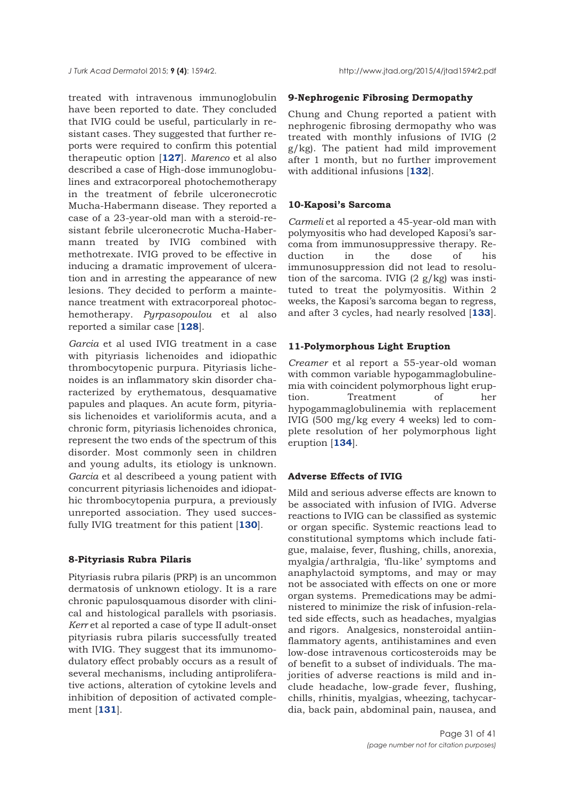treated with intravenous immunoglobulin have been reported to date. They concluded that IVIG could be useful, particularly in resistant cases. They suggested that further reports were required to confirm this potential therapeutic option [**[127](#page-39-0)**]. *Marenco* et al also described a case of High-dose immunoglobulines and extracorporeal photochemotherapy in the treatment of febrile ulceronecrotic Mucha-Habermann disease. They reported a case of a 23-year-old man with a steroid-resistant febrile ulceronecrotic Mucha-Habermann treated by IVIG combined with methotrexate. IVIG proved to be effective in inducing a dramatic improvement of ulceration and in arresting the appearance of new lesions. They decided to perform a maintenance treatment with extracorporeal photochemotherapy. *Pyrpasopoulou* et al also reported a similar case [**[128](#page-39-0)**].

*Garcia* et al used IVIG treatment in a case with pityriasis lichenoides and idiopathic thrombocytopenic purpura. Pityriasis lichenoides is an inflammatory skin disorder characterized by erythematous, desquamative papules and plaques. An acute form, pityriasis lichenoides et varioliformis acuta, and a chronic form, pityriasis lichenoides chronica, represent the two ends of the spectrum of this disorder. Most commonly seen in children and young adults, its etiology is unknown. *Garcia* et al describeed a young patient with concurrent pityriasis lichenoides and idiopathic thrombocytopenia purpura, a previously unreported association. They used succesfully IVIG treatment for this patient [**[130](#page-39-0)**].

#### **8-Pityriasis Rubra Pilaris**

Pityriasis rubra pilaris (PRP) is an uncommon dermatosis of unknown etiology. It is a rare chronic papulosquamous disorder with clinical and histological parallels with psoriasis. *Kerr* et al reported a case of type II adult-onset pityriasis rubra pilaris successfully treated with IVIG. They suggest that its immunomodulatory effect probably occurs as a result of several mechanisms, including antiproliferative actions, alteration of cytokine levels and inhibition of deposition of activated complement [**[131](#page-39-0)**].

## **9-Nephrogenic Fibrosing Dermopathy**

Chung and Chung reported a patient with nephrogenic fibrosing dermopathy who was treated with monthly infusions of IVIG (2 g/kg). The patient had mild improvement after 1 month, but no further improvement with additional infusions [**[132](#page-39-0)**].

## **10-Kaposi's Sarcoma**

*Carmeli* et al reported a 45-year-old man with polymyositis who had developed Kaposi's sarcoma from immunosuppressive therapy. Reduction in the dose of his immunosuppression did not lead to resolution of the sarcoma. IVIG  $(2 g/kg)$  was instituted to treat the polymyositis. Within 2 weeks, the Kaposi's sarcoma began to regress, and after 3 cycles, had nearly resolved [**[133](#page-40-0)**].

## **11-Polymorphous Light Eruption**

*Creamer* et al report a 55-year-old woman with common variable hypogammaglobulinemia with coincident polymorphous light eruption. Treatment of her hypogammaglobulinemia with replacement IVIG (500 mg/kg every 4 weeks) led to complete resolution of her polymorphous light eruption [**[134](#page-39-0)**].

#### **Adverse Effects of IVIG**

Mild and serious adverse effects are known to be associated with infusion of IVIG. Adverse reactions to IVIG can be classified as systemic or organ specific. Systemic reactions lead to constitutional symptoms which include fatigue, malaise, fever, flushing, chills, anorexia, myalgia/arthralgia, 'flu-like' symptoms and anaphylactoid symptoms, and may or may not be associated with effects on one or more organ systems. Premedications may be administered to minimize the risk of infusion-related side effects, such as headaches, myalgias and rigors. Analgesics, nonsteroidal antiinflammatory agents, antihistamines and even low-dose intravenous corticosteroids may be of benefit to a subset of individuals. The majorities of adverse reactions is mild and include headache, low-grade fever, flushing, chills, rhinitis, myalgias, wheezing, tachycardia, back pain, abdominal pain, nausea, and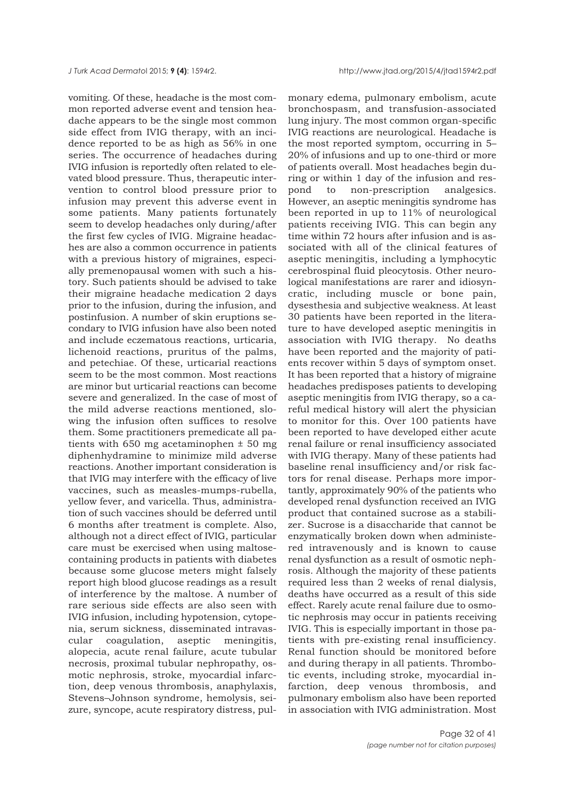vomiting. Of these, headache is the most common reported adverse event and tension headache appears to be the single most common side effect from IVIG therapy, with an incidence reported to be as high as 56% in one series. The occurrence of headaches during IVIG infusion is reportedly often related to elevated blood pressure. Thus, therapeutic intervention to control blood pressure prior to infusion may prevent this adverse event in some patients. Many patients fortunately seem to develop headaches only during/after the first few cycles of IVIG. Migraine headaches are also a common occurrence in patients with a previous history of migraines, especially premenopausal women with such a history. Such patients should be advised to take their migraine headache medication 2 days prior to the infusion, during the infusion, and postinfusion. A number of skin eruptions secondary to IVIG infusion have also been noted and include eczematous reactions, urticaria, lichenoid reactions, pruritus of the palms, and petechiae. Of these, urticarial reactions seem to be the most common. Most reactions are minor but urticarial reactions can become severe and generalized. In the case of most of the mild adverse reactions mentioned, slowing the infusion often suffices to resolve them. Some practitioners premedicate all patients with 650 mg acetaminophen ± 50 mg diphenhydramine to minimize mild adverse reactions. Another important consideration is that IVIG may interfere with the efficacy of live vaccines, such as measles-mumps-rubella, yellow fever, and varicella. Thus, administration of such vaccines should be deferred until 6 months after treatment is complete. Also, although not a direct effect of IVIG, particular care must be exercised when using maltosecontaining products in patients with diabetes because some glucose meters might falsely report high blood glucose readings as a result of interference by the maltose. A number of rare serious side effects are also seen with IVIG infusion, including hypotension, cytopenia, serum sickness, disseminated intravascular coagulation, aseptic meningitis, alopecia, acute renal failure, acute tubular necrosis, proximal tubular nephropathy, osmotic nephrosis, stroke, myocardial infarction, deep venous thrombosis, anaphylaxis, Stevens–Johnson syndrome, hemolysis, seizure, syncope, acute respiratory distress, pul-

monary edema, pulmonary embolism, acute bronchospasm, and transfusion-associated lung injury. The most common organ-specific IVIG reactions are neurological. Headache is the most reported symptom, occurring in 5– 20% of infusions and up to one-third or more of patients overall. Most headaches begin during or within 1 day of the infusion and respond to non-prescription analgesics. However, an aseptic meningitis syndrome has been reported in up to 11% of neurological patients receiving IVIG. This can begin any time within 72 hours after infusion and is associated with all of the clinical features of aseptic meningitis, including a lymphocytic cerebrospinal fluid pleocytosis. Other neurological manifestations are rarer and idiosyncratic, including muscle or bone pain, dysesthesia and subjective weakness. At least 30 patients have been reported in the literature to have developed aseptic meningitis in association with IVIG therapy. No deaths have been reported and the majority of patients recover within 5 days of symptom onset. It has been reported that a history of migraine headaches predisposes patients to developing aseptic meningitis from IVIG therapy, so a careful medical history will alert the physician to monitor for this. Over 100 patients have been reported to have developed either acute renal failure or renal insufficiency associated with IVIG therapy. Many of these patients had baseline renal insufficiency and/or risk factors for renal disease. Perhaps more importantly, approximately 90% of the patients who developed renal dysfunction received an IVIG product that contained sucrose as a stabilizer. Sucrose is a disaccharide that cannot be enzymatically broken down when administered intravenously and is known to cause renal dysfunction as a result of osmotic nephrosis. Although the majority of these patients required less than 2 weeks of renal dialysis, deaths have occurred as a result of this side effect. Rarely acute renal failure due to osmotic nephrosis may occur in patients receiving IVIG. This is especially important in those patients with pre-existing renal insufficiency. Renal function should be monitored before and during therapy in all patients. Thrombotic events, including stroke, myocardial infarction, deep venous thrombosis, and pulmonary embolism also have been reported in association with IVIG administration. Most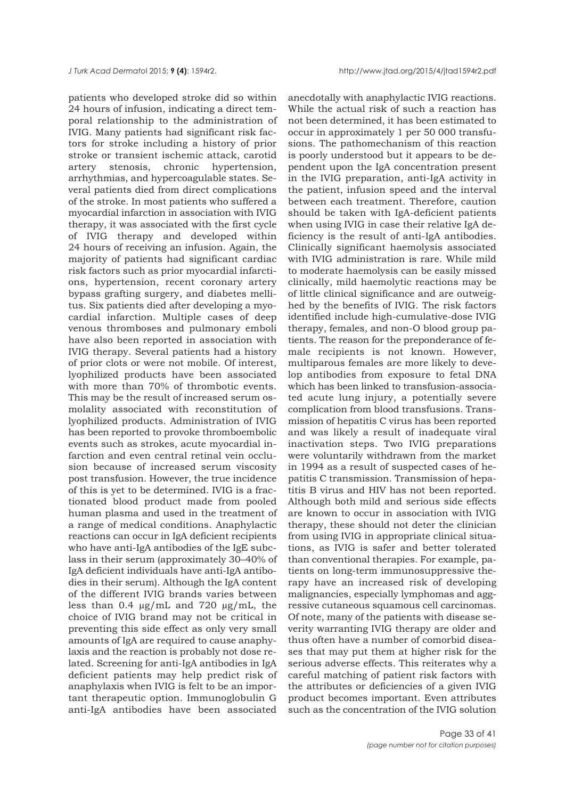patients who developed stroke did so within 24 hours of infusion, indicating a direct temporal relationship to the administration of IVIG. Many patients had significant risk factors for stroke including a history of prior stroke or transient ischemic attack, carotid artery stenosis, chronic hypertension, arrhythmias, and hypercoagulable states. Several patients died from direct complications of the stroke. In most patients who suffered a myocardial infarction in association with IVIG therapy, it was associated with the first cycle of IVIG therapy and developed within 24 hours of receiving an infusion. Again, the majority of patients had significant cardiac risk factors such as prior myocardial infarctions, hypertension, recent coronary artery bypass grafting surgery, and diabetes mellitus. Six patients died after developing a myocardial infarction. Multiple cases of deep venous thromboses and pulmonary emboli have also been reported in association with IVIG therapy. Several patients had a history of prior clots or were not mobile. Of interest, lyophilized products have been associated with more than 70% of thrombotic events. This may be the result of increased serum osmolality associated with reconstitution of lyophilized products. Administration of IVIG has been reported to provoke thromboembolic events such as strokes, acute myocardial infarction and even central retinal vein occlusion because of increased serum viscosity post transfusion. However, the true incidence of this is yet to be determined. IVIG is a fractionated blood product made from pooled human plasma and used in the treatment of a range of medical conditions. Anaphylactic reactions can occur in IgA deficient recipients who have anti-IgA antibodies of the IgE subclass in their serum (approximately 30–40% of IgA deficient individuals have anti-IgA antibodies in their serum). Although the IgA content of the different IVIG brands varies between less than 0.4  $\mu$ g/mL and 720  $\mu$ g/mL, the choice of IVIG brand may not be critical in preventing this side effect as only very small amounts of IgA are required to cause anaphylaxis and the reaction is probably not dose related. Screening for anti-IgA antibodies in IgA deficient patients may help predict risk of anaphylaxis when IVIG is felt to be an important therapeutic option. Immunoglobulin G anti-IgA antibodies have been associated

anecdotally with anaphylactic IVIG reactions. While the actual risk of such a reaction has not been determined, it has been estimated to occur in approximately 1 per 50 000 transfusions. The pathomechanism of this reaction is poorly understood but it appears to be dependent upon the IgA concentration present in the IVIG preparation, anti-IgA activity in the patient, infusion speed and the interval between each treatment. Therefore, caution should be taken with IgA-deficient patients when using IVIG in case their relative IgA deficiency is the result of anti-IgA antibodies. Clinically significant haemolysis associated with IVIG administration is rare. While mild to moderate haemolysis can be easily missed clinically, mild haemolytic reactions may be of little clinical significance and are outweighed by the benefits of IVIG. The risk factors identified include high-cumulative-dose IVIG therapy, females, and non-O blood group patients. The reason for the preponderance of female recipients is not known. However, multiparous females are more likely to develop antibodies from exposure to fetal DNA which has been linked to transfusion-associated acute lung injury, a potentially severe complication from blood transfusions. Transmission of hepatitis C virus has been reported and was likely a result of inadequate viral inactivation steps. Two IVIG preparations were voluntarily withdrawn from the market in 1994 as a result of suspected cases of hepatitis C transmission. Transmission of hepatitis B virus and HIV has not been reported. Although both mild and serious side effects are known to occur in association with IVIG therapy, these should not deter the clinician from using IVIG in appropriate clinical situations, as IVIG is safer and better tolerated than conventional therapies. For example, patients on long-term immunosuppressive therapy have an increased risk of developing malignancies, especially lymphomas and aggressive cutaneous squamous cell carcinomas. Of note, many of the patients with disease severity warranting IVIG therapy are older and thus often have a number of comorbid diseases that may put them at higher risk for the serious adverse effects. This reiterates why a careful matching of patient risk factors with the attributes or deficiencies of a given IVIG product becomes important. Even attributes such as the concentration of the IVIG solution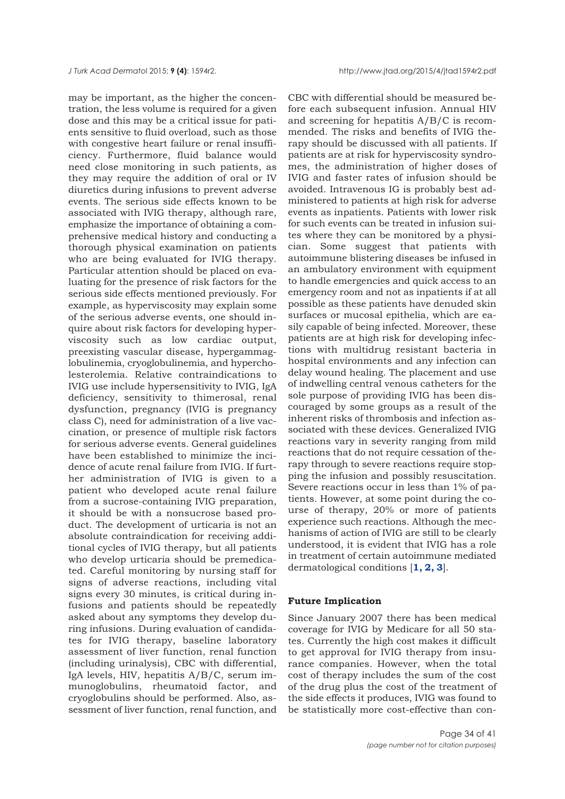may be important, as the higher the concentration, the less volume is required for a given dose and this may be a critical issue for patients sensitive to fluid overload, such as those with congestive heart failure or renal insufficiency. Furthermore, fluid balance would need close monitoring in such patients, as they may require the addition of oral or IV diuretics during infusions to prevent adverse events. The serious side effects known to be associated with IVIG therapy, although rare, emphasize the importance of obtaining a comprehensive medical history and conducting a thorough physical examination on patients who are being evaluated for IVIG therapy. Particular attention should be placed on evaluating for the presence of risk factors for the serious side effects mentioned previously. For example, as hyperviscosity may explain some of the serious adverse events, one should inquire about risk factors for developing hyperviscosity such as low cardiac output, preexisting vascular disease, hypergammaglobulinemia, cryoglobulinemia, and hypercholesterolemia. Relative contraindications to IVIG use include hypersensitivity to IVIG, IgA deficiency, sensitivity to thimerosal, renal dysfunction, pregnancy (IVIG is pregnancy class C), need for administration of a live vaccination, or presence of multiple risk factors for serious adverse events. General guidelines have been established to minimize the incidence of acute renal failure from IVIG. If further administration of IVIG is given to a patient who developed acute renal failure from a sucrose-containing IVIG preparation, it should be with a nonsucrose based product. The development of urticaria is not an absolute contraindication for receiving additional cycles of IVIG therapy, but all patients who develop urticaria should be premedicated. Careful monitoring by nursing staff for signs of adverse reactions, including vital signs every 30 minutes, is critical during infusions and patients should be repeatedly asked about any symptoms they develop during infusions. During evaluation of candidates for IVIG therapy, baseline laboratory assessment of liver function, renal function (including urinalysis), CBC with differential, IgA levels, HIV, hepatitis A/B/C, serum immunoglobulins, rheumatoid factor, and cryoglobulins should be performed. Also, assessment of liver function, renal function, and

CBC with differential should be measured before each subsequent infusion. Annual HIV and screening for hepatitis A/B/C is recommended. The risks and benefits of IVIG therapy should be discussed with all patients. If patients are at risk for hyperviscosity syndromes, the administration of higher doses of IVIG and faster rates of infusion should be avoided. Intravenous IG is probably best administered to patients at high risk for adverse events as inpatients. Patients with lower risk for such events can be treated in infusion suites where they can be monitored by a physician. Some suggest that patients with autoimmune blistering diseases be infused in an ambulatory environment with equipment to handle emergencies and quick access to an emergency room and not as inpatients if at all possible as these patients have denuded skin surfaces or mucosal epithelia, which are easily capable of being infected. Moreover, these patients are at high risk for developing infections with multidrug resistant bacteria in hospital environments and any infection can delay wound healing. The placement and use of indwelling central venous catheters for the sole purpose of providing IVIG has been discouraged by some groups as a result of the inherent risks of thrombosis and infection associated with these devices. Generalized IVIG reactions vary in severity ranging from mild reactions that do not require cessation of therapy through to severe reactions require stopping the infusion and possibly resuscitation. Severe reactions occur in less than 1% of patients. However, at some point during the course of therapy, 20% or more of patients experience such reactions. Although the mechanisms of action of IVIG are still to be clearly understood, it is evident that IVIG has a role in treatment of certain autoimmune mediated dermatological conditions [**[1, 2, 3](#page-35-0)**].

#### **Future Implication**

Since January 2007 there has been medical coverage for IVIG by Medicare for all 50 states. Currently the high cost makes it difficult to get approval for IVIG therapy from insurance companies. However, when the total cost of therapy includes the sum of the cost of the drug plus the cost of the treatment of the side effects it produces, IVIG was found to be statistically more cost-effective than con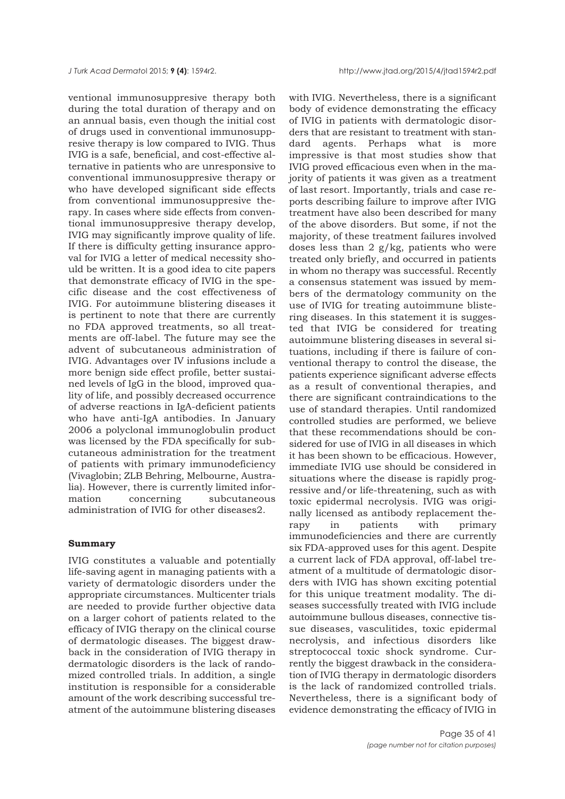<span id="page-34-0"></span>ventional immunosuppresive therapy both during the total duration of therapy and on an annual basis, even though the initial cost of drugs used in conventional immunosuppresive therapy is low compared to IVIG. Thus IVIG is a safe, beneficial, and cost-effective alternative in patients who are unresponsive to conventional immunosuppresive therapy or who have developed significant side effects from conventional immunosuppresive therapy. In cases where side effects from conventional immunosuppresive therapy develop, IVIG may significantly improve quality of life. If there is difficulty getting insurance approval for IVIG a letter of medical necessity should be written. It is a good idea to cite papers that demonstrate efficacy of IVIG in the specific disease and the cost effectiveness of IVIG. For autoimmune blistering diseases it is pertinent to note that there are currently no FDA approved treatments, so all treatments are off-label. The future may see the advent of subcutaneous administration of IVIG. Advantages over IV infusions include a more benign side effect profile, better sustained levels of IgG in the blood, improved quality of life, and possibly decreased occurrence of adverse reactions in IgA-deficient patients who have anti-IgA antibodies. In January 2006 a polyclonal immunoglobulin product was licensed by the FDA specifically for subcutaneous administration for the treatment of patients with primary immunodeficiency (Vivaglobin; ZLB Behring, Melbourne, Australia). However, there is currently limited information concerning subcutaneous administration of IVIG for other diseases2.

#### **Summary**

IVIG constitutes a valuable and potentially life-saving agent in managing patients with a variety of dermatologic disorders under the appropriate circumstances. Multicenter trials are needed to provide further objective data on a larger cohort of patients related to the efficacy of IVIG therapy on the clinical course of dermatologic diseases. The biggest drawback in the consideration of IVIG therapy in dermatologic disorders is the lack of randomized controlled trials. In addition, a single institution is responsible for a considerable amount of the work describing successful treatment of the autoimmune blistering diseases

with IVIG. Nevertheless, there is a significant body of evidence demonstrating the efficacy of IVIG in patients with dermatologic disorders that are resistant to treatment with standard agents. Perhaps what is more impressive is that most studies show that IVIG proved efficacious even when in the majority of patients it was given as a treatment of last resort. Importantly, trials and case reports describing failure to improve after IVIG treatment have also been described for many of the above disorders. But some, if not the majority, of these treatment failures involved doses less than 2 g/kg, patients who were treated only briefly, and occurred in patients in whom no therapy was successful. Recently a consensus statement was issued by members of the dermatology community on the use of IVIG for treating autoimmune blistering diseases. In this statement it is suggested that IVIG be considered for treating autoimmune blistering diseases in several situations, including if there is failure of conventional therapy to control the disease, the patients experience significant adverse effects as a result of conventional therapies, and there are significant contraindications to the use of standard therapies. Until randomized controlled studies are performed, we believe that these recommendations should be considered for use of IVIG in all diseases in which it has been shown to be efficacious. However, immediate IVIG use should be considered in situations where the disease is rapidly progressive and/or life-threatening, such as with toxic epidermal necrolysis. IVIG was originally licensed as antibody replacement therapy in patients with primary immunodeficiencies and there are currently six FDA-approved uses for this agent. Despite a current lack of FDA approval, off-label treatment of a multitude of dermatologic disorders with IVIG has shown exciting potential for this unique treatment modality. The diseases successfully treated with IVIG include autoimmune bullous diseases, connective tissue diseases, vasculitides, toxic epidermal necrolysis, and infectious disorders like streptococcal toxic shock syndrome. Currently the biggest drawback in the consideration of IVIG therapy in dermatologic disorders is the lack of randomized controlled trials. Nevertheless, there is a significant body of evidence demonstrating the efficacy of IVIG in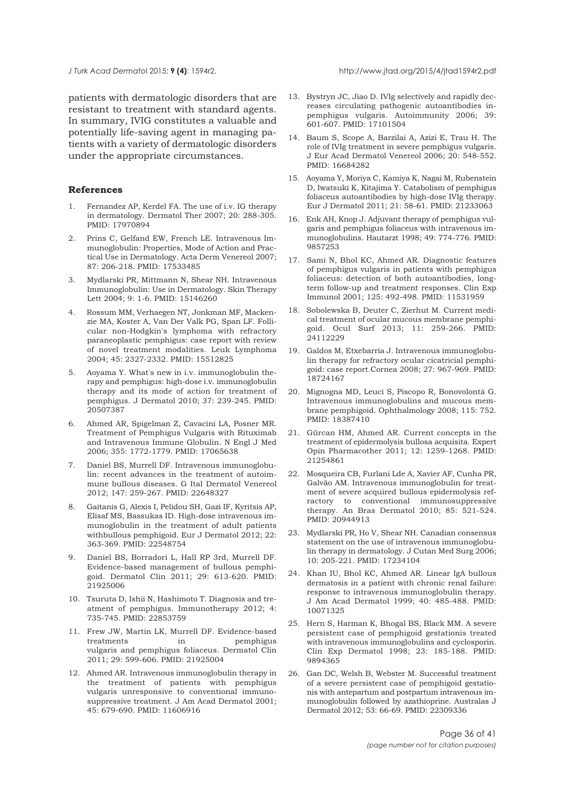<span id="page-35-0"></span>patients with dermatologic disorders that are resistant to treatment with standard agents. In summary, IVIG constitutes a valuable and potentially life-saving agent in managing patients with a variety of dermatologic disorders under the appropriate circumstances.

#### **References**

- 1. Fernandez AP, Kerdel FA. The use of i.v. IG therapy in dermatology. Dermatol Ther 2007; 20: 288-305. PMID: 17970894
- 2. Prins C, Gelfand EW, French LE. Intravenous Immunoglobulin: Properties, Mode of Action and Practical Use in Dermatology. Acta Derm Venereol 2007; 87: 206-218. PMID: 17533485
- 3. Mydlarski PR, Mittmann N, Shear NH. Intravenous Immunoglobulin: Use in Dermatology. Skin Therapy Lett 2004; 9: 1-6. PMID: 15146260
- 4. Rossum MM, Verhaegen NT, Jonkman MF, Mackenzie MA, Koster A, Van Der Valk PG, Span LF. Follicular non-Hodgkin's lymphoma with refractory paraneoplastic pemphigus: case report with review of novel treatment modalities. Leuk Lymphoma 2004; 45: 2327-2332. PMID: 15512825
- 5. Aoyama Y. What's new in i.v. immunoglobulin therapy and pemphigus: high-dose i.v. immunoglobulin therapy and its mode of action for treatment of pemphigus. J Dermatol 2010; 37: 239-245. PMID: 20507387
- 6. Ahmed AR, Spigelman Z, Cavacini LA, Posner MR. Treatment of Pemphigus Vulgaris with Rituximab and Intravenous Immune Globulin. N Engl J Med 2006; 355: 1772-1779. PMID: 17065638
- 7. Daniel BS, Murrell DF. Intravenous immunoglobulin: recent advances in the treatment of autoimmune bullous diseases. G Ital Dermatol Venereol 2012; 147: 259-267. PMID: 22648327
- 8. Gaitanis G, Alexis I, Pelidou SH, Gazi IF, Kyritsis AP, Elisaf MS, Bassukas ID. High-dose intravenous immunoglobulin in the treatment of adult patients withbullous pemphigoid. Eur J Dermatol 2012; 22: 363-369. PMID: 22548754
- 9. Daniel BS, Borradori L, Hall RP 3rd, Murrell DF. Evidence-based management of bullous pemphigoid. Dermatol Clin 2011; 29: 613-620. PMID: 21925006
- 10. Tsuruta D, Ishii N, Hashimoto T. Diagnosis and treatment of pemphigus. Immunotherapy 2012; 4: 735-745. PMID: 22853759
- 11. Frew JW, Martin LK, Murrell DF. Evidence-based treatments in pemphigus vulgaris and pemphigus foliaceus. Dermatol Clin 2011; 29: 599-606. PMID: 21925004
- 12. Ahmed AR. Intravenous immunoglobulin therapy in the treatment of patients with pemphigus vulgaris unresponsive to conventional immunosuppressive treatment. J Am Acad Dermatol 2001; 45: 679-690. PMID: 11606916
- 13. Bystryn JC, Jiao D. IVIg selectively and rapidly decreases circulating pathogenic autoantibodies inpemphigus vulgaris. Autoimmunity 2006; 39: 601-607. PMID: 17101504
- 14. Baum S, Scope A, Barzilai A, Azizi E, Trau H. The role of IVIg treatment in severe pemphigus vulgaris. J Eur Acad Dermatol Venereol 2006; 20: 548-552. PMID: 16684282
- 15. Aoyama Y, Moriya C, Kamiya K, Nagai M, Rubenstein D, Iwatsuki K, Kitajima Y. Catabolism of pemphigus foliaceus autoantibodies by high-dose IVIg therapy. Eur J Dermatol 2011; 21: 58-61. PMID: 21233063
- 16. Enk AH, Knop J. Adjuvant therapy of pemphigus vulgaris and pemphigus foliaceus with intravenous immunoglobulins. Hautarzt 1998; 49: 774-776. PMID: 9857253
- 17. Sami N, Bhol KC, Ahmed AR. Diagnostic features of pemphigus vulgaris in patients with pemphigus foliaceus: detection of both autoantibodies, longterm follow-up and treatment responses. Clin Exp Immunol 2001; 125: 492-498. PMID: 11531959
- 18. Sobolewska B, Deuter C, Zierhut M. Current medical treatment of ocular mucous membrane pemphigoid. Ocul Surf 2013; 11: 259-266. PMID: 24112229
- 19. Galdos M, Etxebarría J. Intravenous immunoglobulin therapy for refractory ocular cicatricial pemphigoid: case report.Cornea 2008; 27: 967-969. PMID: 18724167
- 20. Mignogna MD, Leuci S, Piscopo R, Bonovolontà G. Intravenous immunoglobulins and mucous membrane pemphigoid. Ophthalmology 2008; 115: 752. PMID: 18387410
- 21. Gürcan HM, Ahmed AR. Current concepts in the treatment of epidermolysis bullosa acquisita. Expert Opin Pharmacother 2011; 12: 1259-1268. PMID: 21254861
- 22. Mosqueira CB, Furlani Lde A, Xavier AF, Cunha PR, Galvão AM. Intravenous immunoglobulin for treatment of severe acquired bullous epidermolysis refractory to conventional immunosuppressive therapy. An Bras Dermatol 2010; 85: 521-524. PMID: 20944913
- 23. Mydlarski PR, Ho V, Shear NH. Canadian consensus statement on the use of intravenous immunoglobulin therapy in dermatology. J Cutan Med Surg 2006; 10: 205-221. PMID: 17234104
- 24. Khan IU, Bhol KC, Ahmed AR. Linear IgA bullous dermatosis in a patient with chronic renal failure: response to intravenous immunoglobulin therapy. J Am Acad Dermatol 1999; 40: 485-488. PMID: 10071325
- 25. Hern S, Harman K, Bhogal BS, Black MM. A severe persistent case of pemphigoid gestationis treated with intravenous immunoglobulins and cyclosporin. Clin Exp Dermatol 1998; 23: 185-188. PMID: 9894365
- 26. Gan DC, Welsh B, Webster M. Successful treatment of a severe persistent case of pemphigoid gestationis with antepartum and postpartum intravenous immunoglobulin followed by azathioprine. Australas J Dermatol 2012; 53: 66-69. PMID: 22309336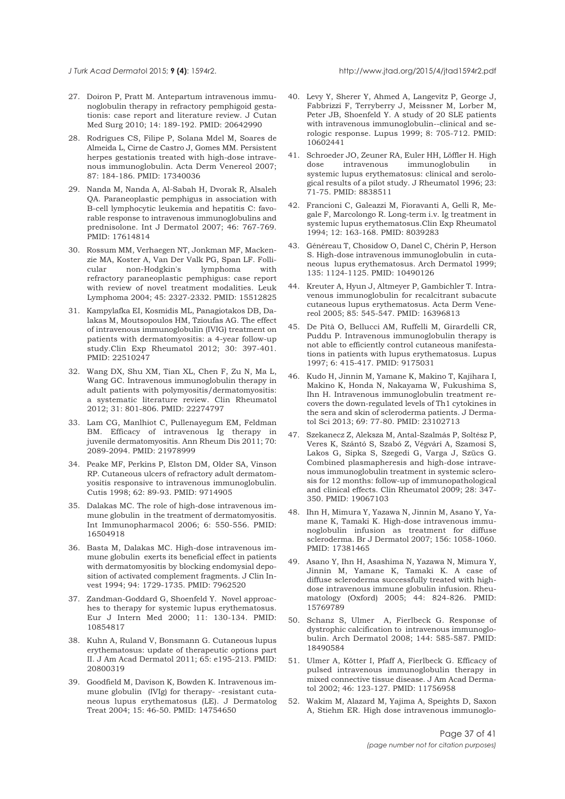#### <span id="page-36-0"></span>*J Turk Acad Dermato*l 2015; **9 (4)**: 1594r2. http://www.jtad.org/2015/4/jtad1594r2.pdf

- 27. Doiron P, Pratt M. Antepartum intravenous immunoglobulin therapy in refractory pemphigoid gestationis: case report and literature review. J Cutan Med Surg 2010; 14: 189-192. PMID: 20642990
- 28. Rodrigues CS, Filipe P, Solana Mdel M, Soares de Almeida L, Cirne de Castro J, Gomes MM. Persistent herpes gestationis treated with high-dose intravenous immunoglobulin. Acta Derm Venereol 2007; 87: 184-186. PMID: 17340036
- 29. Nanda M, Nanda A, Al-Sabah H, Dvorak R, Alsaleh QA. Paraneoplastic pemphigus in association with B-cell lymphocytic leukemia and hepatitis C: favorable response to intravenous immunoglobulins and prednisolone. Int J Dermatol 2007; 46: 767-769. PMID: 17614814
- 30. Rossum MM, Verhaegen NT, Jonkman MF, Mackenzie MA, Koster A, Van Der Valk PG, Span LF. Follicular non-Hodgkin's lymphoma with refractory paraneoplastic pemphigus: case report with review of novel treatment modalities. Leuk Lymphoma 2004; 45: 2327-2332. PMID: 15512825
- 31. Kampylafka EI, Kosmidis ML, Panagiotakos DB, Dalakas M, Moutsopoulos HM, Tzioufas AG. The effect of intravenous immunoglobulin (IVIG) treatment on patients with dermatomyositis: a 4-year follow-up study.Clin Exp Rheumatol 2012; 30: 397-401. PMID: 22510247
- 32. Wang DX, Shu XM, Tian XL, Chen F, Zu N, Ma L, Wang GC. Intravenous immunoglobulin therapy in adult patients with polymyositis/dermatomyositis: a systematic literature review. Clin Rheumatol 2012; 31: 801-806. PMID: 22274797
- 33. Lam CG, Manlhiot C, Pullenayegum EM, Feldman BM. Efficacy of intravenous Ig therapy in juvenile dermatomyositis. Ann Rheum Dis 2011; 70: 2089-2094. PMID: 21978999
- 34. Peake MF, Perkins P, Elston DM, Older SA, Vinson RP. Cutaneous ulcers of refractory adult dermatomyositis responsive to intravenous immunoglobulin. Cutis 1998; 62: 89-93. PMID: 9714905
- 35. Dalakas MC. The role of high-dose intravenous immune globulin in the treatment of dermatomyositis. Int Immunopharmacol 2006; 6: 550-556. PMID: 16504918
- 36. Basta M, Dalakas MC. High-dose intravenous immune globulin exerts its beneficial effect in patients with dermatomyositis by blocking endomysial deposition of activated complement fragments. J Clin Invest 1994; 94: 1729-1735. PMID: 7962520
- 37. Zandman-Goddard G, Shoenfeld Y. Novel approaches to therapy for systemic lupus erythematosus. Eur J Intern Med 2000; 11: 130-134. PMID: 10854817
- 38. Kuhn A, Ruland V, Bonsmann G. Cutaneous lupus erythematosus: update of therapeutic options part II. J Am Acad Dermatol 2011; 65: e195-213. PMID: 20800319
- 39. Goodfield M, Davison K, Bowden K. Intravenous immune globulin (IVIg) for therapy- -resistant cutaneous lupus erythematosus (LE). J Dermatolog Treat 2004; 15: 46-50. PMID: 14754650
- 40. Levy Y, Sherer Y, Ahmed A, Langevitz P, George J, Fabbrizzi F, Terryberry J, Meissner M, Lorber M, Peter JB, Shoenfeld Y. A study of 20 SLE patients with intravenous immunoglobulin--clinical and serologic response. Lupus 1999; 8: 705-712. PMID: 10602441
- 41. Schroeder JO, Zeuner RA, Euler HH, Löffler H. High dose intravenous immunoglobulin in systemic lupus erythematosus: clinical and serological results of a pilot study. J Rheumatol 1996; 23: 71-75. PMID: 8838511
- 42. Francioni C, Galeazzi M, Fioravanti A, Gelli R, Megale F, Marcolongo R. Long-term i.v. Ig treatment in systemic lupus erythematosus.Clin Exp Rheumatol 1994; 12: 163-168. PMID: 8039283
- 43. Généreau T, Chosidow O, Danel C, Chérin P, Herson S. High-dose intravenous immunoglobulin in cutaneous lupus erythematosus. Arch Dermatol 1999; 135: 1124-1125. PMID: 10490126
- 44. Kreuter A, Hyun J, Altmeyer P, Gambichler T. Intravenous immunoglobulin for recalcitrant subacute cutaneous lupus erythematosus. Acta Derm Venereol 2005; 85: 545-547. PMID: 16396813
- 45. De Pità O, Bellucci AM, Ruffelli M, Girardelli CR, Puddu P. Intravenous immunoglobulin therapy is not able to efficiently control cutaneous manifestations in patients with lupus erythematosus. Lupus 1997; 6: 415-417. PMID: 9175031
- 46. Kudo H, Jinnin M, Yamane K, Makino T, Kajihara I, Makino K, Honda N, Nakayama W, Fukushima S, Ihn H. Intravenous immunoglobulin treatment recovers the down-regulated levels of Th1 cytokines in the sera and skin of scleroderma patients. J Dermatol Sci 2013; 69: 77-80. PMID: 23102713
- 47. Szekanecz Z, Aleksza M, Antal-Szalmás P, Soltész P, Veres K, Szántó S, Szabó Z, Végvári A, Szamosi S, Lakos G, Sipka S, Szegedi G, Varga J, Szücs G. Combined plasmapheresis and high-dose intravenous immunoglobulin treatment in systemic sclerosis for 12 months: follow-up of immunopathological and clinical effects. Clin Rheumatol 2009; 28: 347- 350. PMID: 19067103
- 48. Ihn H, Mimura Y, Yazawa N, Jinnin M, Asano Y, Yamane K, Tamaki K. High-dose intravenous immunoglobulin infusion as treatment for diffuse scleroderma. Br J Dermatol 2007; 156: 1058-1060. PMID: 17381465
- 49. Asano Y, Ihn H, Asashima N, Yazawa N, Mimura Y, Jinnin M, Yamane K, Tamaki K. A case of diffuse scleroderma successfully treated with highdose intravenous immune globulin infusion. Rheumatology (Oxford) 2005; 44: 824-826. PMID: 15769789
- 50. Schanz S, Ulmer A, Fierlbeck G. Response of dystrophic calcification to intravenous immunoglobulin. Arch Dermatol 2008; 144: 585-587. PMID: 18490584
- 51. Ulmer A, Kötter I, Pfaff A, Fierlbeck G. Efficacy of pulsed intravenous immunoglobulin therapy in mixed connective tissue disease. J Am Acad Dermatol 2002; 46: 123-127. PMID: 11756958
- 52. Wakim M, Alazard M, Yajima A, Speights D, Saxon A, Stiehm ER. High dose intravenous immunoglo-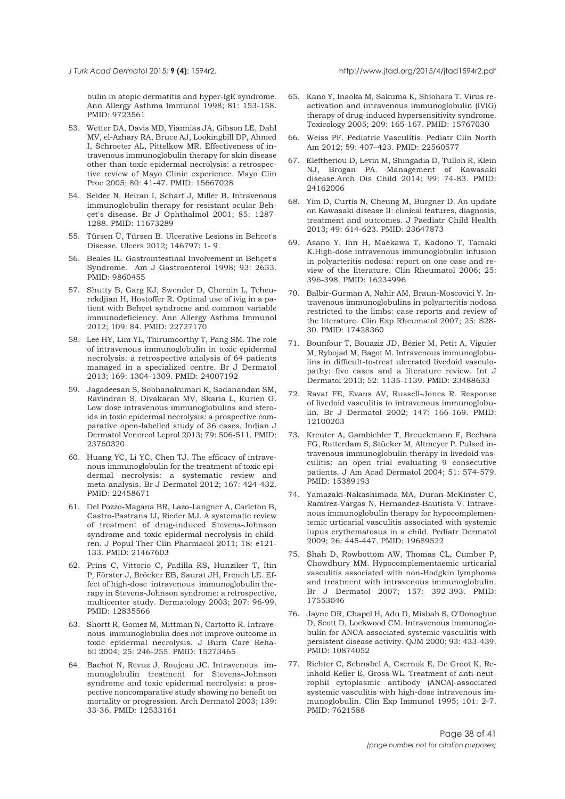<span id="page-37-0"></span>bulin in atopic dermatitis and hyper-IgE syndrome. Ann Allergy Asthma Immunol 1998; 81: 153-158. PMID: 9723561

- 53. Wetter DA, Davis MD, Yiannias JA, Gibson LE, Dahl MV, el-Azhary RA, Bruce AJ, Lookingbill DP, Ahmed I, Schroeter AL, Pittelkow MR. Effectiveness of intravenous immunoglobulin therapy for skin disease other than toxic epidermal necrolysis: a retrospective review of Mayo Clinic experience. Mayo Clin Proc 2005; 80: 41-47. PMID: 15667028
- 54. Seider N, Beiran I, Scharf J, Miller B. Intravenous immunoglobulin therapy for resistant ocular Behçet's disease. Br J Ophthalmol 2001; 85: 1287- 1288. PMID: 11673289
- 55. Türsen Ü, Türsen B. Ulcerative Lesions in Behcet's Disease. Ulcers 2012; 146797: 1- 9.
- 56. Beales IL. Gastrointestinal Involvement in Behçet's Syndrome. Am J Gastroenterol 1998; 93: 2633. PMID: 9860455
- 57. Shutty B, Garg KJ, Swender D, Chernin L, Tcheurekdjian H, Hostoffer R. Optimal use of ivig in a patient with Behçet syndrome and common variable immunodeficiency. Ann Allergy Asthma Immunol 2012; 109: 84. PMID: 22727170
- 58. Lee HY, Lim YL, Thirumoorthy T, Pang SM. The role of intravenous immunoglobulin in toxic epidermal necrolysis: a retrospective analysis of 64 patients managed in a specialized centre. Br J Dermatol 2013; 169: 1304-1309. PMID: 24007192
- 59. Jagadeesan S, Sobhanakumari K, Sadanandan SM, Ravindran S, Divakaran MV, Skaria L, Kurien G. Low dose intravenous immunoglobulins and steroids in toxic epidermal necrolysis: a prospective comparative open-labelled study of 36 cases. Indian J Dermatol Venereol Leprol 2013; 79: 506-511. PMID: 23760320
- 60. Huang YC, Li YC, Chen TJ. The efficacy of intravenous immunoglobulin for the treatment of toxic epidermal necrolysis: a systematic review and meta-analysis. Br J Dermatol 2012; 167: 424-432. PMID: 22458671
- 61. Del Pozzo-Magana BR, Lazo-Langner A, Carleton B, Castro-Pastrana LI, Rieder MJ. A systematic review of treatment of drug-induced Stevens-Johnson syndrome and toxic epidermal necrolysis in children. J Popul Ther Clin Pharmacol 2011; 18: e121- 133. PMID: 21467603
- 62. Prins C, Vittorio C, Padilla RS, Hunziker T, Itin P, Förster J, Bröcker EB, Saurat JH, French LE. Effect of high-dose intravenous immunoglobulin therapy in Stevens-Johnson syndrome: a retrospective, multicenter study. Dermatology 2003; 207: 96-99. PMID: 12835566
- 63. Shortt R, Gomez M, Mittman N, Cartotto R. Intravenous immunoglobulin does not improve outcome in toxic epidermal necrolysis. J Burn Care Rehabil 2004; 25: 246-255. PMID: 15273465
- 64. Bachot N, Revuz J, Roujeau JC. Intravenous immunoglobulin treatment for Stevens-Johnson syndrome and toxic epidermal necrolysis: a prospective noncomparative study showing no benefit on mortality or progression. Arch Dermatol 2003; 139: 33-36. PMID: 12533161
- 65. Kano Y, Inaoka M, Sakuma K, Shiohara T. Virus reactivation and intravenous immunoglobulin (IVIG) therapy of drug-induced hypersensitivity syndrome. Toxicology 2005; 209: 165-167. PMID: 15767030
- 66. Weiss PF. Pediatric Vasculitis. Pediatr Clin North Am 2012; 59: 407–423. PMID: 22560577
- 67. Eleftheriou D, Levin M, Shingadia D, Tulloh R, Klein NJ, Brogan PA. Management of Kawasaki disease.Arch Dis Child 2014; 99: 74-83. PMID: 24162006
- 68. Yim D, Curtis N, Cheung M, Burgner D. An update on Kawasaki disease II: clinical features, diagnosis, treatment and outcomes. J Paediatr Child Health 2013; 49: 614-623. PMID: 23647873
- 69. Asano Y, Ihn H, Maekawa T, Kadono T, Tamaki K.High-dose intravenous immunoglobulin infusion in polyarteritis nodosa: report on one case and review of the literature. Clin Rheumatol 2006; 25: 396-398. PMID: 16234996
- 70. Balbir-Gurman A, Nahir AM, Braun-Moscovici Y. Intravenous immunoglobulins in polyarteritis nodosa restricted to the limbs: case reports and review of the literature. Clin Exp Rheumatol 2007; 25: S28- 30. PMID: 17428360
- 71. Bounfour T, Bouaziz JD, Bézier M, Petit A, Viguier M, Rybojad M, Bagot M. Intravenous immunoglobulins in difficult-to-treat ulcerated livedoid vasculopathy: five cases and a literature review. Int J Dermatol 2013; 52: 1135-1139. PMID: 23488633
- 72. Ravat FE, Evans AV, Russell-Jones R. Response of livedoid vasculitis to intravenous immunoglobulin. Br J Dermatol 2002; 147: 166-169. PMID: 12100203
- 73. Kreuter A, Gambichler T, Breuckmann F, Bechara FG, Rotterdam S, Stücker M, Altmeyer P. Pulsed intravenous immunoglobulin therapy in livedoid vasculitis: an open trial evaluating 9 consecutive patients. J Am Acad Dermatol 2004; 51: 574-579. PMID: 15389193
- 74. Yamazaki-Nakashimada MA, Duran-McKinster C, Ramírez-Vargas N, Hernandez-Bautista V. Intravenous immunoglobulin therapy for hypocomplementemic urticarial vasculitis associated with systemic lupus erythematosus in a child. Pediatr Dermatol 2009; 26: 445-447. PMID: 19689522
- 75. Shah D, Rowbottom AW, Thomas CL, Cumber P, Chowdhury MM. Hypocomplementaemic urticarial vasculitis associated with non-Hodgkin lymphoma and treatment with intravenous immunoglobulin. Br J Dermatol 2007; 157: 392-393. PMID: 17553046
- 76. Jayne DR, Chapel H, Adu D, Misbah S, O'Donoghue D, Scott D, Lockwood CM. Intravenous immunoglobulin for ANCA-associated systemic vasculitis with persistent disease activity. QJM 2000; 93: 433-439. PMID: 10874052
- 77. Richter C, Schnabel A, Csernok E, De Groot K, Reinhold-Keller E, Gross WL. Treatment of anti-neutrophil cytoplasmic antibody (ANCA)-associated systemic vasculitis with high-dose intravenous immunoglobulin. Clin Exp Immunol 1995; 101: 2-7. PMID: 7621588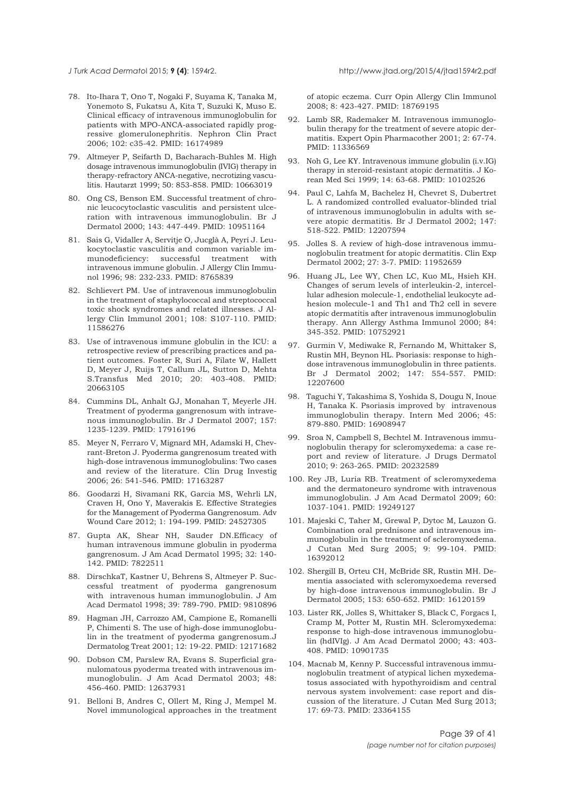<span id="page-38-0"></span>

- 78. Ito-Ihara T, Ono T, Nogaki F, Suyama K, Tanaka M, Yonemoto S, Fukatsu A, Kita T, Suzuki K, Muso E. Clinical efficacy of intravenous immunoglobulin for patients with MPO-ANCA-associated rapidly progressive glomerulonephritis. Nephron Clin Pract 2006; 102: c35-42. PMID: 16174989
- 79. Altmeyer P, Seifarth D, Bacharach-Buhles M. High dosage intravenous immunoglobulin (IVIG) therapy in therapy-refractory ANCA-negative, necrotizing vasculitis. Hautarzt 1999; 50: 853-858. PMID: 10663019
- 80. Ong CS, Benson EM. Successful treatment of chronic leucocytoclastic vasculitis and persistent ulceration with intravenous immunoglobulin. Br J Dermatol 2000; 143: 447-449. PMID: 10951164
- 81. Sais G, Vidaller A, Servitje O, Jucglà A, Peyrí J. Leukocytoclastic vasculitis and common variable immunodeficiency: successful treatment with intravenous immune globulin. J Allergy Clin Immunol 1996; 98: 232-233. PMID: 8765839
- 82. Schlievert PM. Use of intravenous immunoglobulin in the treatment of staphylococcal and streptococcal toxic shock syndromes and related illnesses. J Allergy Clin Immunol 2001; 108: S107-110. PMID: 11586276
- 83. Use of intravenous immune globulin in the ICU: a retrospective review of prescribing practices and patient outcomes. Foster R, Suri A, Filate W, Hallett D, Meyer J, Ruijs T, Callum JL, Sutton D, Mehta S.Transfus Med 2010; 20: 403-408. PMID: 20663105
- 84. Cummins DL, Anhalt GJ, Monahan T, Meyerle JH. Treatment of pyoderma gangrenosum with intravenous immunoglobulin. Br J Dermatol 2007; 157: 1235-1239. PMID: 17916196
- 85. Meyer N, Ferraro V, Mignard MH, Adamski H, Chevrant-Breton J. Pyoderma gangrenosum treated with high-dose intravenous immunoglobulins: Two cases and review of the literature. Clin Drug Investig 2006; 26: 541-546. PMID: 17163287
- 86. Goodarzi H, Sivamani RK, Garcia MS, Wehrli LN, Craven H, Ono Y, Maverakis E. Effective Strategies for the Management of Pyoderma Gangrenosum. Adv Wound Care 2012; 1: 194-199. PMID: 24527305
- 87. Gupta AK, Shear NH, Sauder DN.Efficacy of human intravenous immune globulin in pyoderma gangrenosum. J Am Acad Dermatol 1995; 32: 140- 142. PMID: 7822511
- 88. DirschkaT, Kastner U, Behrens S, Altmeyer P. Successful treatment of pyoderma gangrenosum with intravenous human immunoglobulin. J Am Acad Dermatol 1998; 39: 789-790. PMID: 9810896
- 89. Hagman JH, Carrozzo AM, Campione E, Romanelli P, Chimenti S. The use of high-dose immunoglobulin in the treatment of pyoderma gangrenosum.J Dermatolog Treat 2001; 12: 19-22. PMID: 12171682
- 90. Dobson CM, Parslew RA, Evans S. Superficial granulomatous pyoderma treated with intravenous immunoglobulin. J Am Acad Dermatol 2003; 48: 456-460. PMID: 12637931
- 91. Belloni B, Andres C, Ollert M, Ring J, Mempel M. Novel immunological approaches in the treatment

of atopic eczema. Curr Opin Allergy Clin Immunol 2008; 8: 423-427. PMID: 18769195

- 92. Lamb SR, Rademaker M. Intravenous immunoglobulin therapy for the treatment of severe atopic dermatitis. Expert Opin Pharmacother 2001; 2: 67-74. PMID: 11336569
- 93. Noh G, Lee KY. Intravenous immune globulin (i.v.IG) therapy in steroid-resistant atopic dermatitis. J Korean Med Sci 1999; 14: 63-68. PMID: 10102526
- 94. Paul C, Lahfa M, Bachelez H, Chevret S, Dubertret L. A randomized controlled evaluator-blinded trial of intravenous immunoglobulin in adults with severe atopic dermatitis. Br J Dermatol 2002; 147: 518-522. PMID: 12207594
- 95. Jolles S. A review of high-dose intravenous immunoglobulin treatment for atopic dermatitis. Clin Exp Dermatol 2002; 27: 3-7. PMID: 11952659
- 96. Huang JL, Lee WY, Chen LC, Kuo ML, Hsieh KH. Changes of serum levels of interleukin-2, intercellular adhesion molecule-1, endothelial leukocyte adhesion molecule-1 and Th1 and Th2 cell in severe atopic dermatitis after intravenous immunoglobulin therapy. Ann Allergy Asthma Immunol 2000; 84: 345-352. PMID: 10752921
- 97. Gurmin V, Mediwake R, Fernando M, Whittaker S, Rustin MH, Beynon HL. Psoriasis: response to highdose intravenous immunoglobulin in three patients. Br J Dermatol 2002; 147: 554-557. PMID: 12207600
- Taguchi Y, Takashima S, Yoshida S, Dougu N, Inoue H, Tanaka K. Psoriasis improved by intravenous immunoglobulin therapy. Intern Med 2006; 45: 879-880. PMID: 16908947
- 99. Sroa N, Campbell S, Bechtel M. Intravenous immunoglobulin therapy for scleromyxedema: a case report and review of literature. J Drugs Dermatol 2010; 9: 263-265. PMID: 20232589
- 100. Rey JB, Luria RB. Treatment of scleromyxedema and the dermatoneuro syndrome with intravenous immunoglobulin. J Am Acad Dermatol 2009; 60: 1037-1041. PMID: 19249127
- 101. Majeski C, Taher M, Grewal P, Dytoc M, Lauzon G. Combination oral prednisone and intravenous immunoglobulin in the treatment of scleromyxedema. J Cutan Med Surg 2005; 9: 99-104. PMID: 16392012
- 102. Shergill B, Orteu CH, McBride SR, Rustin MH. Dementia associated with scleromyxoedema reversed by high-dose intravenous immunoglobulin. Br J Dermatol 2005; 153: 650-652. PMID: 16120159
- 103. Lister RK, Jolles S, Whittaker S, Black C, Forgacs I, Cramp M, Potter M, Rustin MH. Scleromyxedema: response to high-dose intravenous immunoglobulin (hdIVIg). J Am Acad Dermatol 2000; 43: 403- 408. PMID: 10901735
- 104. Macnab M, Kenny P. Successful intravenous immunoglobulin treatment of atypical lichen myxedematosus associated with hypothyroidism and central nervous system involvement: case report and discussion of the literature. J Cutan Med Surg 2013; 17: 69-73. PMID: 23364155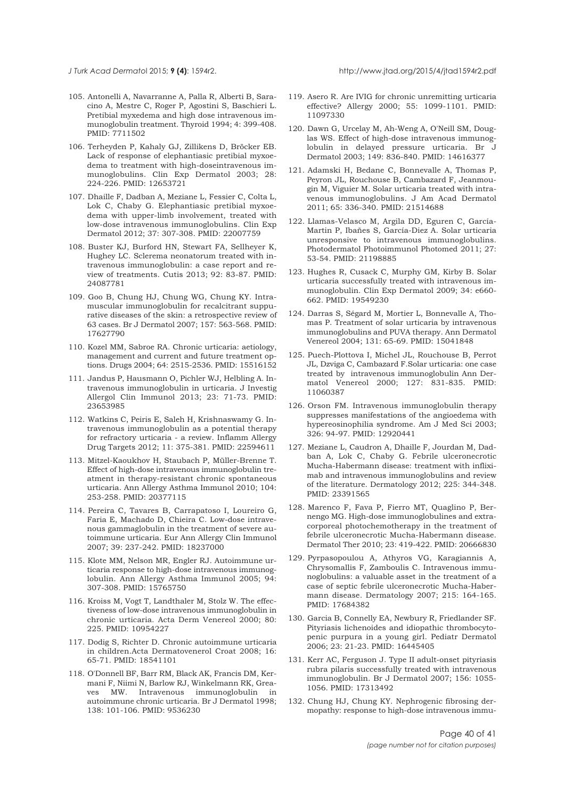<span id="page-39-0"></span>

- 105. Antonelli A, Navarranne A, Palla R, Alberti B, Saracino A, Mestre C, Roger P, Agostini S, Baschieri L. Pretibial myxedema and high dose intravenous immunoglobulin treatment. Thyroid 1994; 4: 399-408. PMID: 7711502
- 106. Terheyden P, Kahaly GJ, Zillikens D, Bröcker EB. Lack of response of elephantiasic pretibial myxoedema to treatment with high-doseintravenous immunoglobulins. Clin Exp Dermatol 2003; 28: 224-226. PMID: 12653721
- 107. Dhaille F, Dadban A, Meziane L, Fessier C, Colta L, Lok C, Chaby G. Elephantiasic pretibial myxoedema with upper-limb involvement, treated with low-dose intravenous immunoglobulins. Clin Exp Dermatol 2012; 37: 307-308. PMID: 22007759
- 108. Buster KJ, Burford HN, Stewart FA, Sellheyer K, Hughey LC. Sclerema neonatorum treated with intravenous immunoglobulin: a case report and review of treatments. Cutis 2013; 92: 83-87. PMID: 24087781
- 109. Goo B, Chung HJ, Chung WG, Chung KY. Intramuscular immunoglobulin for recalcitrant suppurative diseases of the skin: a retrospective review of 63 cases. Br J Dermatol 2007; 157: 563-568. PMID: 17627790
- 110. Kozel MM, Sabroe RA. Chronic urticaria: aetiology, management and current and future treatment options. Drugs 2004; 64: 2515-2536. PMID: 15516152
- 111. Jandus P, Hausmann O, Pichler WJ, Helbling A. Intravenous immunoglobulin in urticaria. J Investig Allergol Clin Immunol 2013; 23: 71-73. PMID: 23653985
- 112. Watkins C, Peiris E, Saleh H, Krishnaswamy G. Intravenous immunoglobulin as a potential therapy for refractory urticaria - a review. Inflamm Allergy Drug Targets 2012; 11: 375-381. PMID: 22594611
- 113. Mitzel-Kaoukhov H, Staubach P, Müller-Brenne T. Effect of high-dose intravenous immunoglobulin treatment in therapy-resistant chronic spontaneous urticaria. Ann Allergy Asthma Immunol 2010; 104: 253-258. PMID: 20377115
- 114. Pereira C, Tavares B, Carrapatoso I, Loureiro G, Faria E, Machado D, Chieira C. Low-dose intravenous gammaglobulin in the treatment of severe autoimmune urticaria. Eur Ann Allergy Clin Immunol 2007; 39: 237-242. PMID: 18237000
- 115. Klote MM, Nelson MR, Engler RJ. Autoimmune urticaria response to high-dose intravenous immunoglobulin. Ann Allergy Asthma Immunol 2005; 94: 307-308. PMID: 15765750
- 116. Kroiss M, Vogt T, Landthaler M, Stolz W. The effectiveness of low-dose intravenous immunoglobulin in chronic urticaria. Acta Derm Venereol 2000; 80: 225. PMID: 10954227
- 117. Dodig S, Richter D. Chronic autoimmune urticaria in children.Acta Dermatovenerol Croat 2008; 16: 65-71. PMID: 18541101
- 118. O'Donnell BF, Barr RM, Black AK, Francis DM, Kermani F, Niimi N, Barlow RJ, Winkelmann RK, Greaves MW. Intravenous immunoglobulin in autoimmune chronic urticaria. Br J Dermatol 1998; 138: 101-106. PMID: 9536230
- 119. Asero R. Are IVIG for chronic unremitting urticaria effective? Allergy 2000; 55: 1099-1101. PMID: 11097330
- 120. Dawn G, Urcelay M, Ah-Weng A, O'Neill SM, Douglas WS. Effect of high-dose intravenous immunoglobulin in delayed pressure urticaria. Br J Dermatol 2003; 149: 836-840. PMID: 14616377
- 121. Adamski H, Bedane C, Bonnevalle A, Thomas P, Peyron JL, Rouchouse B, Cambazard F, Jeanmougin M, Viguier M. Solar urticaria treated with intravenous immunoglobulins. J Am Acad Dermatol 2011; 65: 336-340. PMID: 21514688
- 122. Llamas-Velasco M, Argila DD, Eguren C, García-Martin P, Ibañes S, García-Diez A. Solar urticaria unresponsive to intravenous immunoglobulins. Photodermatol Photoimmunol Photomed 2011; 27: 53-54. PMID: 21198885
- 123. Hughes R, Cusack C, Murphy GM, Kirby B. Solar urticaria successfully treated with intravenous immunoglobulin. Clin Exp Dermatol 2009; 34: e660- 662. PMID: 19549230
- 124. Darras S, Ségard M, Mortier L, Bonnevalle A, Thomas P. Treatment of solar urticaria by intravenous immunoglobulins and PUVA therapy. Ann Dermatol Venereol 2004; 131: 65-69. PMID: 15041848
- 125. Puech-Plottova I, Michel JL, Rouchouse B, Perrot JL, Dzviga C, Cambazard F.Solar urticaria: one case treated by intravenous immunoglobulin Ann Dermatol Venereol 2000; 127: 831-835. PMID: 11060387
- 126. Orson FM. Intravenous immunoglobulin therapy suppresses manifestations of the angioedema with hypereosinophilia syndrome. Am J Med Sci 2003; 326: 94-97. PMID: 12920441
- 127. Meziane L, Caudron A, Dhaille F, Jourdan M, Dadban A, Lok C, Chaby G. Febrile ulceronecrotic Mucha-Habermann disease: treatment with infliximab and intravenous immunoglobulins and review of the literature. Dermatology 2012; 225: 344-348. PMID: 23391565
- 128. Marenco F, Fava P, Fierro MT, Quaglino P, Bernengo MG. High-dose immunoglobulines and extracorporeal photochemotherapy in the treatment of febrile ulceronecrotic Mucha-Habermann disease. Dermatol Ther 2010; 23: 419-422. PMID: 20666830
- 129. Pyrpasopoulou A, Athyros VG, Karagiannis A, Chrysomallis F, Zamboulis C. Intravenous immunoglobulins: a valuable asset in the treatment of a case of septic febrile ulceronecrotic Mucha-Habermann disease. Dermatology 2007; 215: 164-165. PMID: 17684382
- 130. Garcia B, Connelly EA, Newbury R, Friedlander SF. Pityriasis lichenoides and idiopathic thrombocytopenic purpura in a young girl. Pediatr Dermatol 2006; 23: 21-23. PMID: 16445405
- 131. Kerr AC, Ferguson J. Type II adult-onset pityriasis rubra pilaris successfully treated with intravenous immunoglobulin. Br J Dermatol 2007; 156: 1055- 1056. PMID: 17313492
- 132. Chung HJ, Chung KY. Nephrogenic fibrosing dermopathy: response to high-dose intravenous immu-